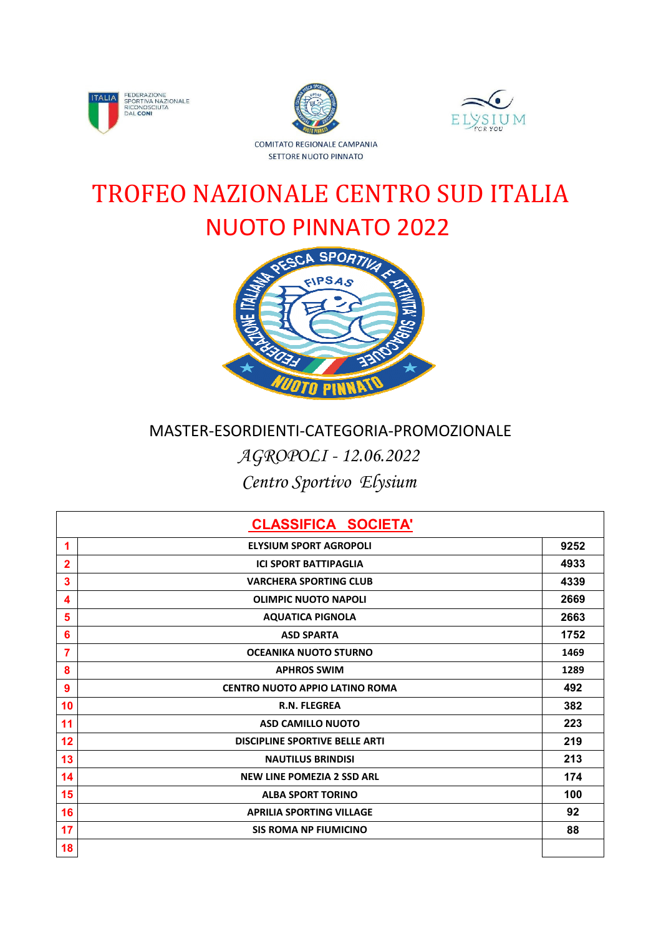





## NUOTO PINNATO 2022 TROFEO NAZIONALE CENTRO SUD ITALIA



## *AGROPOLI - 12.06.2022 Centro Sportivo Elysium* MASTER-ESORDIENTI-CATEGORIA-PROMOZIONALE

|    | <b>CLASSIFICA SOCIETA'</b>            |      |
|----|---------------------------------------|------|
| 1  | <b>ELYSIUM SPORT AGROPOLI</b>         | 9252 |
| 2  | <b>ICI SPORT BATTIPAGLIA</b>          | 4933 |
| 3  | <b>VARCHERA SPORTING CLUB</b>         | 4339 |
| 4  | <b>OLIMPIC NUOTO NAPOLI</b>           | 2669 |
| 5  | <b>AQUATICA PIGNOLA</b>               | 2663 |
| 6  | <b>ASD SPARTA</b>                     | 1752 |
| 7  | <b>OCEANIKA NUOTO STURNO</b>          | 1469 |
| 8  | <b>APHROS SWIM</b>                    | 1289 |
| 9  | CENTRO NUOTO APPIO LATINO ROMA        | 492  |
| 10 | <b>R.N. FLEGREA</b>                   | 382  |
| 11 | <b>ASD CAMILLO NUOTO</b>              | 223  |
| 12 | <b>DISCIPLINE SPORTIVE BELLE ARTI</b> | 219  |
| 13 | <b>NAUTILUS BRINDISI</b>              | 213  |
| 14 | <b>NEW LINE POMEZIA 2 SSD ARL</b>     | 174  |
| 15 | <b>ALBA SPORT TORINO</b>              | 100  |
| 16 | <b>APRILIA SPORTING VILLAGE</b>       | 92   |
| 17 | <b>SIS ROMA NP FIUMICINO</b>          | 88   |
| 18 |                                       |      |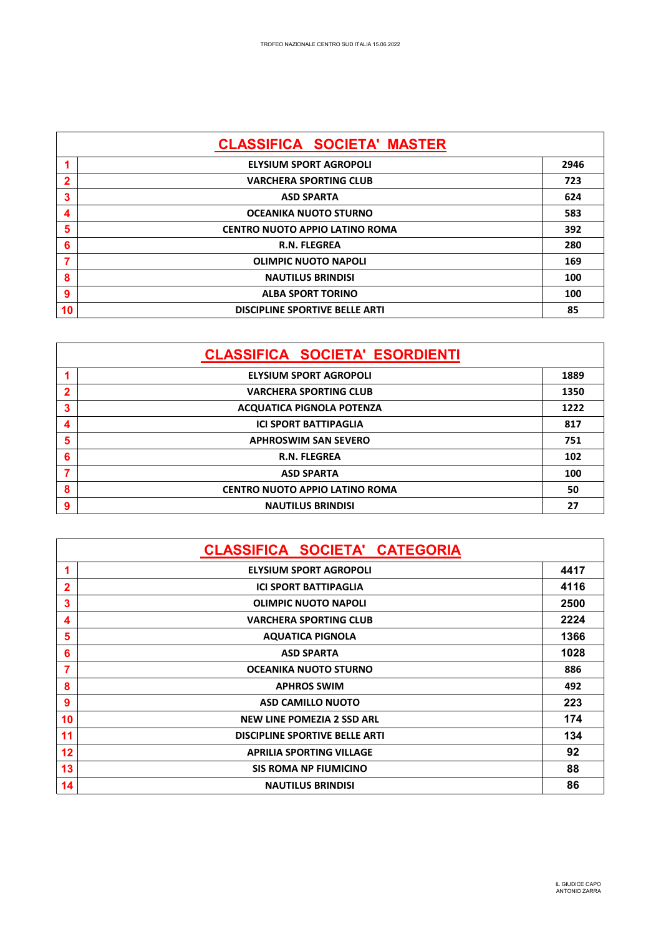| <b>CLASSIFICA SOCIETA' MASTER</b> |                                       |      |  |  |  |  |  |  |  |
|-----------------------------------|---------------------------------------|------|--|--|--|--|--|--|--|
|                                   | <b>ELYSIUM SPORT AGROPOLI</b>         | 2946 |  |  |  |  |  |  |  |
| $\mathbf{2}$                      | <b>VARCHERA SPORTING CLUB</b>         | 723  |  |  |  |  |  |  |  |
| 3                                 | <b>ASD SPARTA</b>                     | 624  |  |  |  |  |  |  |  |
| $\boldsymbol{4}$                  | <b>OCEANIKA NUOTO STURNO</b>          | 583  |  |  |  |  |  |  |  |
| 5                                 | <b>CENTRO NUOTO APPIO LATINO ROMA</b> | 392  |  |  |  |  |  |  |  |
| 6                                 | <b>R.N. FLEGREA</b>                   | 280  |  |  |  |  |  |  |  |
| 7                                 | <b>OLIMPIC NUOTO NAPOLI</b>           | 169  |  |  |  |  |  |  |  |
| 8                                 | <b>NAUTILUS BRINDISI</b>              | 100  |  |  |  |  |  |  |  |
| 9                                 | <b>ALBA SPORT TORINO</b>              | 100  |  |  |  |  |  |  |  |
| 10                                | <b>DISCIPLINE SPORTIVE BELLE ARTI</b> | 85   |  |  |  |  |  |  |  |

|             | <b>CLASSIFICA SOCIETA' ESORDIENTI</b> |      |
|-------------|---------------------------------------|------|
|             | <b>ELYSIUM SPORT AGROPOLI</b>         | 1889 |
| $\mathbf 2$ | <b>VARCHERA SPORTING CLUB</b>         | 1350 |
| 3           | <b>ACQUATICA PIGNOLA POTENZA</b>      | 1222 |
| 4           | <b>ICI SPORT BATTIPAGLIA</b>          | 817  |
| 5           | <b>APHROSWIM SAN SEVERO</b>           | 751  |
| 6           | <b>R.N. FLEGREA</b>                   | 102  |
|             | <b>ASD SPARTA</b>                     | 100  |
| 8           | <b>CENTRO NUOTO APPIO LATINO ROMA</b> | 50   |
| 9           | <b>NAUTILUS BRINDISI</b>              | 27   |

|              | <b>CLASSIFICA SOCIETA' CATEGORIA</b>  |      |
|--------------|---------------------------------------|------|
|              | <b>ELYSIUM SPORT AGROPOLI</b>         | 4417 |
| $\mathbf{2}$ | <b>ICI SPORT BATTIPAGLIA</b>          | 4116 |
| 3            | <b>OLIMPIC NUOTO NAPOLI</b>           | 2500 |
| 4            | <b>VARCHERA SPORTING CLUB</b>         | 2224 |
| 5            | <b>AQUATICA PIGNOLA</b>               | 1366 |
| 6            | <b>ASD SPARTA</b>                     | 1028 |
| 7            | <b>OCEANIKA NUOTO STURNO</b>          | 886  |
| 8            | <b>APHROS SWIM</b>                    | 492  |
| 9            | <b>ASD CAMILLO NUOTO</b>              | 223  |
| 10           | <b>NEW LINE POMEZIA 2 SSD ARL</b>     | 174  |
| 11           | <b>DISCIPLINE SPORTIVE BELLE ARTI</b> | 134  |
| 12           | <b>APRILIA SPORTING VILLAGE</b>       | 92   |
| 13           | <b>SIS ROMA NP FIUMICINO</b>          | 88   |
| 14           | <b>NAUTILUS BRINDISI</b>              | 86   |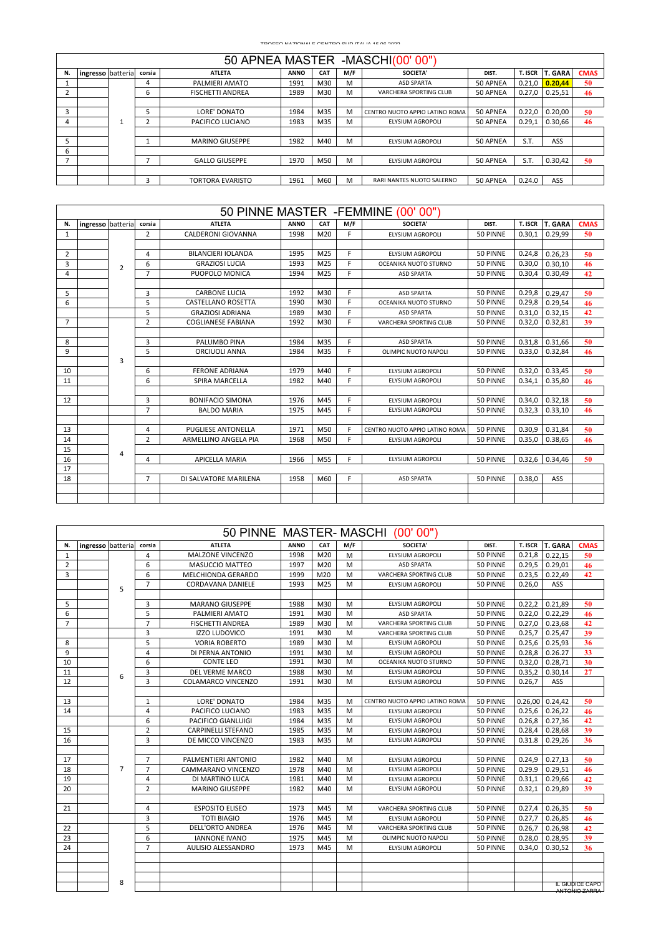| 50 APNEA MASTER -MASCHI(00'00") |                   |         |        |                         |             |            |     |                                |          |         |                |             |  |
|---------------------------------|-------------------|---------|--------|-------------------------|-------------|------------|-----|--------------------------------|----------|---------|----------------|-------------|--|
| N.                              | ingresso batteria |         | corsia | <b>ATLETA</b>           | <b>ANNO</b> | <b>CAT</b> | M/F | SOCIETA'                       | DIST.    | T. ISCR | <b>T. GARA</b> | <b>CMAS</b> |  |
|                                 |                   |         | 4      | PALMIERI AMATO          | 1991        | M30        | м   | <b>ASD SPARTA</b>              | 50 APNEA | 0.21.0  | 0.20.44        | 50          |  |
|                                 |                   |         | b      | <b>FISCHETTI ANDREA</b> | 1989        | M30        | M   | VARCHERA SPORTING CLUB         | 50 APNEA | 0.27.0  | 0.25.51        | 46          |  |
|                                 |                   |         |        |                         |             |            |     |                                |          |         |                |             |  |
| 3                               |                   |         |        | LORE' DONATO            | 1984        | M35        | M   | CENTRO NUOTO APPIO LATINO ROMA | 50 APNEA | 0.22.0  | 0.20.00        | 50          |  |
| 4                               |                   | $\perp$ |        | PACIFICO LUCIANO        | 1983        | M35        | M   | ELYSIUM AGROPOLI               | 50 APNEA | 0.29.1  | 0.30.66        | 46          |  |
|                                 |                   |         |        |                         |             |            |     |                                |          |         |                |             |  |
|                                 |                   |         |        | <b>MARINO GIUSEPPE</b>  | 1982        | M40        | M   | ELYSIUM AGROPOLI               | 50 APNEA | S.T.    | ASS            |             |  |
| 6                               |                   |         |        |                         |             |            |     |                                |          |         |                |             |  |
|                                 |                   |         |        | <b>GALLO GIUSEPPE</b>   | 1970        | M50        | M   | <b>ELYSIUM AGROPOLI</b>        | 50 APNEA | S.T.    | 0.30.42        | 50          |  |
|                                 |                   |         |        |                         |             |            |     |                                |          |         |                |             |  |
|                                 |                   |         |        | <b>TORTORA EVARISTO</b> | 1961        | M60        | M   | RARI NANTES NUOTO SALERNO      | 50 APNEA | 0.24.0  | ASS            |             |  |

| 50 PINNE MASTER - FEMMINE (00'00" |                   |                |                |                           |             |     |     |                                |          |         |                |             |  |
|-----------------------------------|-------------------|----------------|----------------|---------------------------|-------------|-----|-----|--------------------------------|----------|---------|----------------|-------------|--|
| N.                                | ingresso batteria |                | corsia         | <b>ATLETA</b>             | <b>ANNO</b> | CAT | M/F | SOCIETA'                       | DIST.    | T. ISCR | <b>T. GARA</b> | <b>CMAS</b> |  |
| $\mathbf{1}$                      |                   |                | $\overline{2}$ | CALDERONI GIOVANNA        | 1998        | M20 | F.  | ELYSIUM AGROPOLI               | 50 PINNE | 0.30.1  | 0.29.99        | 50          |  |
|                                   |                   |                |                |                           |             |     |     |                                |          |         |                |             |  |
| 2                                 |                   |                | 4              | BILANCIERI IOLANDA        | 1995        | M25 | F.  | <b>ELYSIUM AGROPOLI</b>        | 50 PINNE | 0.24.8  | 0.26,23        | 50          |  |
| 3                                 |                   | $\overline{2}$ | 6              | <b>GRAZIOSI LUCIA</b>     | 1993        | M25 | F.  | OCEANIKA NUOTO STURNO          | 50 PINNE | 0.30,0  | 0.30.10        | 46          |  |
| $\overline{a}$                    |                   |                | $\overline{7}$ | PUOPOLO MONICA            | 1994        | M25 | F.  | <b>ASD SPARTA</b>              | 50 PINNE | 0.30.4  | 0.30.49        | 42          |  |
|                                   |                   |                |                |                           |             |     |     |                                |          |         |                |             |  |
| 5                                 |                   |                | 3              | <b>CARBONE LUCIA</b>      | 1992        | M30 | F.  | <b>ASD SPARTA</b>              | 50 PINNE | 0.29,8  | 0.29.47        | 50          |  |
| 6                                 |                   |                | 5              | CASTELLANO ROSETTA        | 1990        | M30 | F.  | OCEANIKA NUOTO STURNO          | 50 PINNE | 0.29,8  | 0.29,54        | 46          |  |
|                                   |                   |                | 5              | <b>GRAZIOSI ADRIANA</b>   | 1989        | M30 | F.  | <b>ASD SPARTA</b>              | 50 PINNE | 0.31,0  | 0.32,15        | 42          |  |
| $\overline{7}$                    |                   |                | $\overline{2}$ | <b>COGLIANESE FABIANA</b> | 1992        | M30 | F.  | <b>VARCHERA SPORTING CLUB</b>  | 50 PINNE | 0.32,0  | 0.32,81        | 39          |  |
|                                   |                   |                |                |                           |             |     |     |                                |          |         |                |             |  |
| 8                                 |                   |                | 3              | PALUMBO PINA              | 1984        | M35 | F.  | <b>ASD SPARTA</b>              | 50 PINNE | 0.31,8  | 0.31.66        | 50          |  |
| 9                                 |                   |                | 5              | <b>ORCIUOLI ANNA</b>      | 1984        | M35 | F   | OLIMPIC NUOTO NAPOLI           | 50 PINNE | 0.33,0  | 0.32,84        | 46          |  |
|                                   |                   | 3              |                |                           |             |     |     |                                |          |         |                |             |  |
| 10                                |                   |                | 6              | <b>FERONE ADRIANA</b>     | 1979        | M40 | F.  | <b>ELYSIUM AGROPOLI</b>        | 50 PINNE | 0.32,0  | 0.33,45        | 50          |  |
| 11                                |                   |                | 6              | SPIRA MARCELLA            | 1982        | M40 | F.  | <b>ELYSIUM AGROPOLI</b>        | 50 PINNE | 0.34,1  | 0.35,80        | 46          |  |
|                                   |                   |                |                |                           |             |     |     |                                |          |         |                |             |  |
| 12                                |                   |                | 3              | <b>BONIFACIO SIMONA</b>   | 1976        | M45 | E   | <b>ELYSIUM AGROPOLI</b>        | 50 PINNE | 0.34.0  | 0.32.18        | 50          |  |
|                                   |                   |                | $\overline{7}$ | <b>BALDO MARIA</b>        | 1975        | M45 | F.  | <b>ELYSIUM AGROPOLI</b>        | 50 PINNE | 0.32,3  | 0.33,10        | 46          |  |
|                                   |                   |                |                |                           |             |     |     |                                |          |         |                |             |  |
| 13                                |                   |                | 4              | <b>PUGLIESE ANTONELLA</b> | 1971        | M50 | F   | CENTRO NUOTO APPIO LATINO ROMA | 50 PINNE | 0.30.9  | 0.31.84        | 50          |  |
| 14                                |                   |                | $\overline{2}$ | ARMELLINO ANGELA PIA      | 1968        | M50 | F.  | ELYSIUM AGROPOLI               | 50 PINNE | 0.35.0  | 0.38,65        | 46          |  |
| 15                                |                   | 4              |                |                           |             |     |     |                                |          |         |                |             |  |
| 16                                |                   |                | $\overline{4}$ | <b>APICELLA MARIA</b>     | 1966        | M55 | F.  | ELYSIUM AGROPOLI               | 50 PINNE | 0.32.6  | 0.34.46        | 50          |  |
| 17                                |                   |                |                |                           |             |     |     |                                |          |         |                |             |  |
| 18                                |                   |                | $\overline{7}$ | DI SALVATORE MARILENA     | 1958        | M60 | F.  | <b>ASD SPARTA</b>              | 50 PINNE | 0.38.0  | ASS            |             |  |
|                                   |                   |                |                |                           |             |     |     |                                |          |         |                |             |  |
|                                   |                   |                |                |                           |             |     |     |                                |          |         |                |             |  |

|                |                   |                |                | 50 PINNE MASTER-MASCHI    |             |     |     | (00' 00")                      |          |         |                |                                  |
|----------------|-------------------|----------------|----------------|---------------------------|-------------|-----|-----|--------------------------------|----------|---------|----------------|----------------------------------|
| N.             | ingresso batteria |                | corsia         | <b>ATLETA</b>             | <b>ANNO</b> | CAT | M/F | <b>SOCIETA'</b>                | DIST.    | T. ISCR | <b>T. GARA</b> | <b>CMAS</b>                      |
| $\mathbf{1}$   |                   |                | 4              | <b>MALZONE VINCENZO</b>   | 1998        | M20 | M   | <b>ELYSIUM AGROPOLI</b>        | 50 PINNE | 0.21,8  | 0.22.15        | 50                               |
| $\overline{2}$ |                   |                | 6              | <b>MASUCCIO MATTEO</b>    | 1997        | M20 | M   | <b>ASD SPARTA</b>              | 50 PINNE | 0.29.5  | 0.29,01        | 46                               |
| 3              |                   |                | 6              | MELCHIONDA GERARDO        | 1999        | M20 | M   | VARCHERA SPORTING CLUB         | 50 PINNE | 0.23,5  | 0.22,49        | 42                               |
|                |                   | 5              | $\overline{7}$ | <b>CORDAVANA DANIELE</b>  | 1993        | M25 | M   | ELYSIUM AGROPOLI               | 50 PINNE | 0.26,0  | ASS            |                                  |
|                |                   |                |                |                           |             |     |     |                                |          |         |                |                                  |
| 5              |                   |                | 3              | <b>MARANO GIUSEPPE</b>    | 1988        | M30 | M   | <b>ELYSIUM AGROPOLI</b>        | 50 PINNE | 0.22,2  | 0.21,89        | 50                               |
| 6              |                   |                | 5              | PALMIERI AMATO            | 1991        | M30 | M   | <b>ASD SPARTA</b>              | 50 PINNE | 0.22,0  | 0.22,29        | 46                               |
| $\overline{7}$ |                   |                | $\overline{7}$ | <b>FISCHETTI ANDREA</b>   | 1989        | M30 | M   | <b>VARCHERA SPORTING CLUB</b>  | 50 PINNE | 0.27,0  | 0.23,68        | 42                               |
|                |                   |                | 3              | <b>IZZO LUDOVICO</b>      | 1991        | M30 | M   | VARCHERA SPORTING CLUB         | 50 PINNE | 0.25,7  | 0.25,47        | 39                               |
| 8              |                   |                | 5              | <b>VORIA ROBERTO</b>      | 1989        | M30 | M   | ELYSIUM AGROPOLI               | 50 PINNE | 0.25, 6 | 0.25,93        | 36                               |
| 9              |                   |                | 4              | DI PERNA ANTONIO          | 1991        | M30 | M   | ELYSIUM AGROPOLI               | 50 PINNE | 0.28,8  | 0.26.27        | 33                               |
| 10             |                   |                | 6              | <b>CONTE LEO</b>          | 1991        | M30 | M   | OCEANIKA NUOTO STURNO          | 50 PINNE | 0.32,0  | 0.28,71        | 30                               |
| 11             |                   | 6              | 3              | <b>DEL VERME MARCO</b>    | 1988        | M30 | M   | ELYSIUM AGROPOLI               | 50 PINNE | 0.35.2  | 0.30.14        | 27                               |
| 12             |                   |                | 3              | COLAMARCO VINCENZO        | 1991        | M30 | M   | ELYSIUM AGROPOLI               | 50 PINNE | 0.26,7  | ASS            |                                  |
|                |                   |                |                |                           |             |     |     |                                |          |         |                |                                  |
| 13             |                   |                | $\mathbf{1}$   | LORE' DONATO              | 1984        | M35 | M   | CENTRO NUOTO APPIO LATINO ROMA | 50 PINNE | 0.26,00 | 0.24,42        | 50                               |
| 14             |                   |                | 4              | PACIFICO LUCIANO          | 1983        | M35 | M   | ELYSIUM AGROPOLI               | 50 PINNE | 0.25.6  | 0.26, 22       | 46                               |
|                |                   |                | 6              | PACIFICO GIANLUIGI        | 1984        | M35 | M   | ELYSIUM AGROPOLI               | 50 PINNE | 0.26,8  | 0.27,36        | 42                               |
| 15             |                   |                | $\overline{2}$ | <b>CARPINELLI STEFANO</b> | 1985        | M35 | M   | ELYSIUM AGROPOLI               | 50 PINNE | 0.28,4  | 0.28,68        | 39                               |
| 16             |                   |                | 3              | DE MICCO VINCENZO         | 1983        | M35 | M   | <b>ELYSIUM AGROPOLI</b>        | 50 PINNE | 0.31.8  | 0.29,26        | 36                               |
|                |                   |                |                |                           |             |     |     |                                |          |         |                |                                  |
| 17             |                   |                | $\overline{7}$ | PALMENTIERI ANTONIO       | 1982        | M40 | M   | <b>ELYSIUM AGROPOLI</b>        | 50 PINNE | 0.24,9  | 0.27,13        | 50                               |
| 18             |                   | $\overline{7}$ | $\overline{7}$ | CAMMARANO VINCENZO        | 1978        | M40 | M   | ELYSIUM AGROPOLI               | 50 PINNE | 0.29.9  | 0.29,51        | 46                               |
| 19             |                   |                | 4              | DI MARTINO LUCA           | 1981        | M40 | M   | ELYSIUM AGROPOLI               | 50 PINNE | 0.31,1  | 0.29,66        | 42                               |
| 20             |                   |                | $\overline{2}$ | <b>MARINO GIUSEPPE</b>    | 1982        | M40 | M   | <b>ELYSIUM AGROPOLI</b>        | 50 PINNE | 0.32,1  | 0.29,89        | 39                               |
|                |                   |                |                |                           |             |     |     |                                |          |         |                |                                  |
| 21             |                   |                | $\overline{4}$ | <b>ESPOSITO ELISEO</b>    | 1973        | M45 | M   | <b>VARCHERA SPORTING CLUB</b>  | 50 PINNE | 0.27,4  | 0.26,35        | 50                               |
|                |                   |                | 3              | <b>TOTI BIAGIO</b>        | 1976        | M45 | M   | ELYSIUM AGROPOLI               | 50 PINNE | 0.27.7  | 0.26.85        | 46                               |
| 22             |                   |                | 5              | <b>DELL'ORTO ANDREA</b>   | 1976        | M45 | M   | <b>VARCHERA SPORTING CLUB</b>  | 50 PINNE | 0.26,7  | 0.26,98        | 42                               |
| 23             |                   |                | 6              | <b>IANNONE IVANO</b>      | 1975        | M45 | M   | OLIMPIC NUOTO NAPOLI           | 50 PINNE | 0.28,0  | 0.28,95        | 39                               |
| 24             |                   |                | $\overline{7}$ | <b>AULISIO ALESSANDRO</b> | 1973        | M45 | M   | ELYSIUM AGROPOLI               | 50 PINNE | 0.34,0  | 0.30,52        | 36                               |
|                |                   |                |                |                           |             |     |     |                                |          |         |                |                                  |
|                |                   |                |                |                           |             |     |     |                                |          |         |                |                                  |
|                |                   |                |                |                           |             |     |     |                                |          |         |                |                                  |
|                |                   | 8              |                |                           |             |     |     |                                |          |         |                | IL GIUDICE CAPO<br>ANTONIO ZARRA |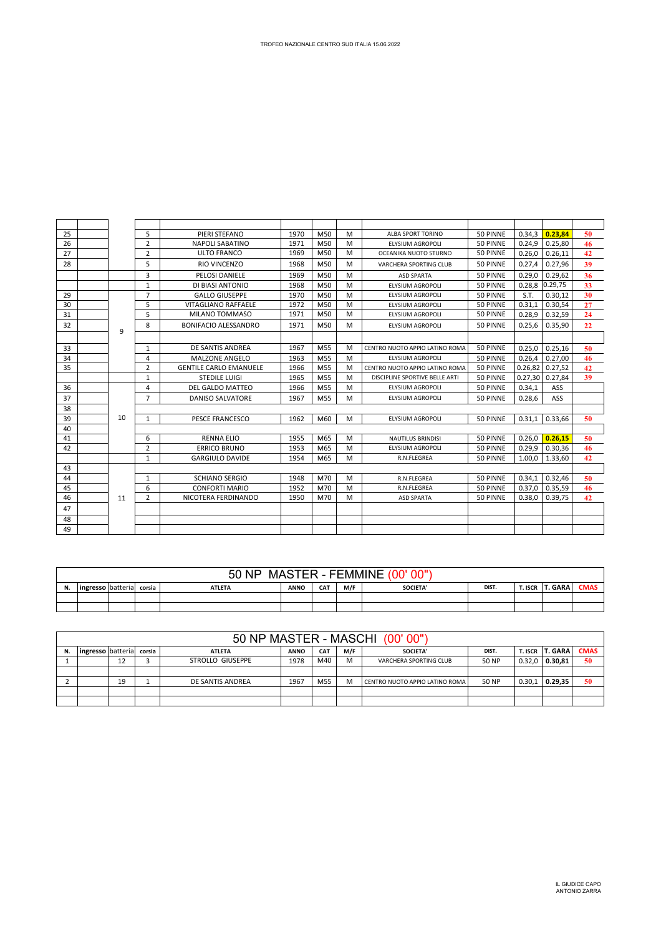| TROFEO NAZIONALE CENTRO SUD ITALIA 15.06.2022 |  |
|-----------------------------------------------|--|
|                                               |  |

| 25 |    | 5              | PIERI STEFANO                 | 1970 | M50             | M | <b>ALBA SPORT TORINO</b>       | 50 PINNE | 0.34.3  | 0.23.84        | 50 |
|----|----|----------------|-------------------------------|------|-----------------|---|--------------------------------|----------|---------|----------------|----|
| 26 |    | $\overline{2}$ | <b>NAPOLI SABATINO</b>        | 1971 | M50             | M | <b>ELYSIUM AGROPOLI</b>        | 50 PINNE | 0.24,9  | 0.25,80        | 46 |
| 27 |    | $\overline{2}$ | ULTO FRANCO                   | 1969 | M50             | M | OCEANIKA NUOTO STURNO          | 50 PINNE | 0.26.0  | 0.26.11        | 42 |
| 28 |    | 5              | <b>RIO VINCENZO</b>           | 1968 | M50             | M | VARCHERA SPORTING CLUB         | 50 PINNE | 0.27.4  | 0.27.96        | 39 |
|    |    | 3              | PELOSI DANIELE                | 1969 | M50             | M | <b>ASD SPARTA</b>              | 50 PINNE | 0.29.0  | 0.29.62        | 36 |
|    |    | 1              | DI BIASI ANTONIO              | 1968 | M50             | M | <b>ELYSIUM AGROPOLI</b>        | 50 PINNE |         | 0.28,8 0.29,75 | 33 |
| 29 |    | $\overline{7}$ | <b>GALLO GIUSEPPE</b>         | 1970 | M <sub>50</sub> | M | <b>ELYSIUM AGROPOLI</b>        | 50 PINNE | S.T.    | 0.30.12        | 30 |
| 30 |    | 5              | VITAGLIANO RAFFAELE           | 1972 | M50             | M | ELYSIUM AGROPOLI               | 50 PINNE | 0.31.1  | 0.30.54        | 27 |
| 31 |    | 5              | MILANO TOMMASO                | 1971 | M50             | M | <b>ELYSIUM AGROPOLI</b>        | 50 PINNE | 0.28.9  | 0.32.59        | 24 |
| 32 | 9  | 8              | <b>BONIFACIO ALESSANDRO</b>   | 1971 | M50             | M | <b>ELYSIUM AGROPOLI</b>        | 50 PINNE | 0.25.6  | 0.35.90        | 22 |
|    |    |                |                               |      |                 |   |                                |          |         |                |    |
| 33 |    | 1              | DE SANTIS ANDREA              | 1967 | M55             | M | CENTRO NUOTO APPIO LATINO ROMA | 50 PINNE | 0.25.0  | 0.25.16        | 50 |
| 34 |    | 4              | MALZONE ANGELO                | 1963 | M <sub>55</sub> | M | <b>ELYSIUM AGROPOLI</b>        | 50 PINNE | 0.26,4  | 0.27.00        | 46 |
| 35 |    | $\overline{2}$ | <b>GENTILE CARLO EMANUELE</b> | 1966 | M55             | M | CENTRO NUOTO APPIO LATINO ROMA | 50 PINNE | 0.26.82 | 0.27.52        | 42 |
|    |    | $\mathbf{1}$   | <b>STEDILE LUIGI</b>          | 1965 | M <sub>55</sub> | M | DISCIPLINE SPORTIVE BELLE ARTI | 50 PINNE | 0.27,30 | 0.27.84        | 39 |
| 36 |    | 4              | <b>DEL GALDO MATTEO</b>       | 1966 | M <sub>55</sub> | м | ELYSIUM AGROPOLI               | 50 PINNE | 0.34.1  | ASS            |    |
| 37 |    | $\overline{7}$ | DANISO SALVATORE              | 1967 | M <sub>55</sub> | M | <b>ELYSIUM AGROPOLI</b>        | 50 PINNE | 0.28.6  | <b>ASS</b>     |    |
| 38 |    |                |                               |      |                 |   |                                |          |         |                |    |
| 39 | 10 | $\mathbf{1}$   | <b>PESCE FRANCESCO</b>        | 1962 | M60             | M | <b>ELYSIUM AGROPOLI</b>        | 50 PINNE | 0.31.1  | 0.33.66        | 50 |
| 40 |    |                |                               |      |                 |   |                                |          |         |                |    |
| 41 |    | 6              | <b>RENNA ELIO</b>             | 1955 | M65             | M | <b>NAUTILUS BRINDISI</b>       | 50 PINNE | 0.26,0  | 0.26.15        | 50 |
| 42 |    | $\overline{2}$ | <b>ERRICO BRUNO</b>           | 1953 | M65             | м | <b>ELYSIUM AGROPOLI</b>        | 50 PINNE | 0.29.9  | 0.30.36        | 46 |
|    |    | $\mathbf{1}$   | <b>GARGIULO DAVIDE</b>        | 1954 | M65             | M | R.N.FLEGREA                    | 50 PINNE | 1.00,0  | 1.33,60        | 42 |
| 43 |    |                |                               |      |                 |   |                                |          |         |                |    |
| 44 |    | $\mathbf{1}$   | <b>SCHIANO SERGIO</b>         | 1948 | M70             | M | R.N.FLEGREA                    | 50 PINNE | 0.34,1  | 0.32,46        | 50 |
| 45 |    | 6              | CONFORTI MARIO                | 1952 | M70             | M | R.N.FLEGREA                    | 50 PINNE | 0.37,0  | 0.35,59        | 46 |
| 46 | 11 | $\overline{2}$ | NICOTERA FERDINANDO           | 1950 | M70             | M | <b>ASD SPARTA</b>              | 50 PINNE | 0.38,0  | 0.39,75        | 42 |
| 47 |    |                |                               |      |                 |   |                                |          |         |                |    |
| 48 |    |                |                               |      |                 |   |                                |          |         |                |    |
| 49 |    |                |                               |      |                 |   |                                |          |         |                |    |

|    | MASTER - FEMMINE (00'00")<br>50 NP |  |  |               |             |     |     |                 |       |  |                 |             |  |
|----|------------------------------------|--|--|---------------|-------------|-----|-----|-----------------|-------|--|-----------------|-------------|--|
| N. | ingresso batteria corsia           |  |  | <b>ATLETA</b> | <b>ANNO</b> | CAT | M/F | <b>SOCIETA'</b> | DIST. |  | T. ISCR T. GARA | <b>CMAS</b> |  |
|    |                                    |  |  |               |             |     |     |                 |       |  |                 |             |  |
|    |                                    |  |  |               |             |     |     |                 |       |  |                 |             |  |

|    | 50 NP MASTER - MASCHI (00'00") |    |        |                  |             |            |     |                                |       |         |         |             |  |
|----|--------------------------------|----|--------|------------------|-------------|------------|-----|--------------------------------|-------|---------|---------|-------------|--|
| N. | <b>Ingresso</b> batteria       |    | corsia | <b>ATLETA</b>    | <b>ANNO</b> | <b>CAT</b> | M/F | SOCIETA'                       | DIST. | T. ISCR | T. GARA | <b>CMAS</b> |  |
|    |                                | 12 |        | STROLLO GIUSEPPE | 1978        | M40        | M   | VARCHERA SPORTING CLUB         | 50 NP | 0.32.0  | 0.30.81 | 50          |  |
|    |                                |    |        |                  |             |            |     |                                |       |         |         |             |  |
|    |                                | 19 |        | DE SANTIS ANDREA | 1967        | M55        | M   | CENTRO NUOTO APPIO LATINO ROMA | 50 NP | 0.30,1  | 0.29.35 | 50          |  |
|    |                                |    |        |                  |             |            |     |                                |       |         |         |             |  |
|    |                                |    |        |                  |             |            |     |                                |       |         |         |             |  |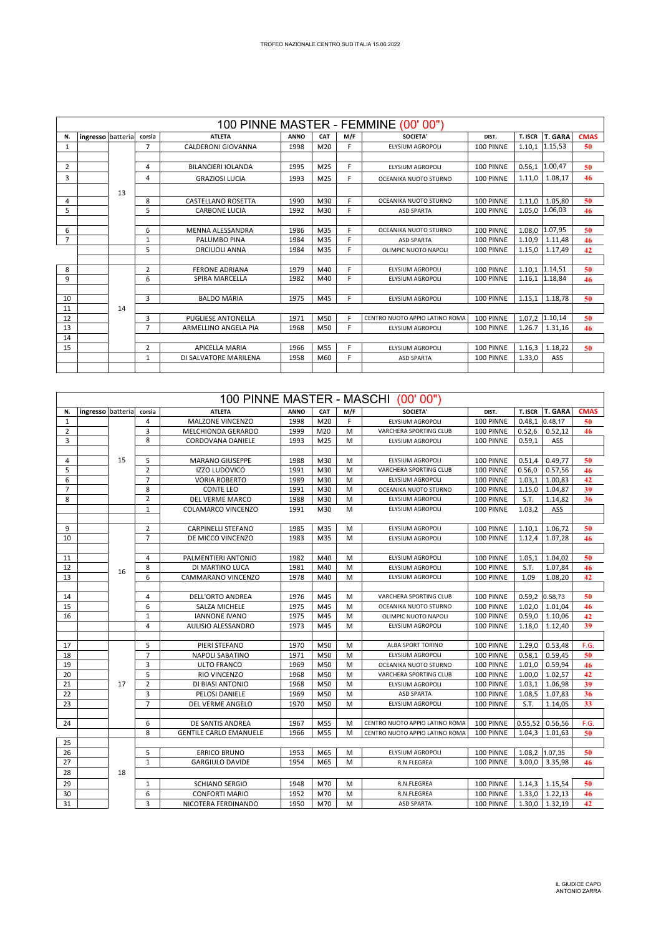| 100 PINNE MASTER - FEMMINE (00'00") |                   |    |                |                           |             |                 |     |                                |           |         |                |             |
|-------------------------------------|-------------------|----|----------------|---------------------------|-------------|-----------------|-----|--------------------------------|-----------|---------|----------------|-------------|
| N.                                  | ingresso batteria |    | corsia         | <b>ATLETA</b>             | <b>ANNO</b> | CAT             | M/F | <b>SOCIETA'</b>                | DIST.     | T. ISCR | <b>T. GARA</b> | <b>CMAS</b> |
| 1                                   |                   |    | $\overline{7}$ | CALDERONI GIOVANNA        | 1998        | M <sub>20</sub> | F   | <b>ELYSIUM AGROPOLI</b>        | 100 PINNE | 1.10.1  | 1.15,53        | 50          |
|                                     |                   |    |                |                           |             |                 |     |                                |           |         |                |             |
| $\overline{2}$                      |                   |    | 4              | BILANCIERI IOLANDA        | 1995        | M25             | F   | <b>ELYSIUM AGROPOLI</b>        | 100 PINNE |         | 0.56,1 1.00,47 | 50          |
| 3                                   |                   |    | 4              | <b>GRAZIOSI LUCIA</b>     | 1993        | M25             | F   | OCEANIKA NUOTO STURNO          | 100 PINNE | 1.11,0  | 1.08,17        | 46          |
|                                     |                   | 13 |                |                           |             |                 |     |                                |           |         |                |             |
| 4                                   |                   |    | 8              | <b>CASTELLANO ROSETTA</b> | 1990        | M30             | F.  | OCEANIKA NUOTO STURNO          | 100 PINNE | 1.11.0  | 1.05.80        | 50          |
| 5                                   |                   |    | 5              | <b>CARBONE LUCIA</b>      | 1992        | M30             | F.  | <b>ASD SPARTA</b>              | 100 PINNE | 1.05.0  | 1.06,03        | 46          |
|                                     |                   |    |                |                           |             |                 |     |                                |           |         |                |             |
| 6                                   |                   |    | 6              | MENNA ALESSANDRA          | 1986        | M35             | F   | OCEANIKA NUOTO STURNO          | 100 PINNE | 1.08.0  | 1.07,95        | 50          |
| $\overline{7}$                      |                   |    | 1              | PALUMBO PINA              | 1984        | M35             | F   | <b>ASD SPARTA</b>              | 100 PINNE | 1.10.9  | 1.11.48        | 46          |
|                                     |                   |    | 5              | ORCIUOLI ANNA             | 1984        | M35             | F.  | OLIMPIC NUOTO NAPOLI           | 100 PINNE | 1.15.0  | 1.17.49        | 42          |
|                                     |                   |    |                |                           |             |                 |     |                                |           |         |                |             |
| 8                                   |                   |    | $\overline{2}$ | <b>FERONE ADRIANA</b>     | 1979        | M40             | F   | <b>ELYSIUM AGROPOLI</b>        | 100 PINNE | 1.10.1  | 1.14,51        | 50          |
| 9                                   |                   |    | 6              | SPIRA MARCELLA            | 1982        | M40             | F.  | <b>ELYSIUM AGROPOLI</b>        | 100 PINNE |         | 1.16,1 1.18,84 | 46          |
|                                     |                   |    |                |                           |             |                 |     |                                |           |         |                |             |
| 10                                  |                   |    | 3              | <b>BALDO MARIA</b>        | 1975        | M45             | F.  | ELYSIUM AGROPOLI               | 100 PINNE | 1.15.1  | 1.18.78        | 50          |
| 11                                  |                   | 14 |                |                           |             |                 |     |                                |           |         |                |             |
| 12                                  |                   |    | 3              | PUGLIESE ANTONELLA        | 1971        | M50             | F   | CENTRO NUOTO APPIO LATINO ROMA | 100 PINNE | 1.07.2  | 1.10,14        | 50          |
| 13                                  |                   |    | $\overline{7}$ | ARMELLINO ANGELA PIA      | 1968        | M50             | F   | <b>ELYSIUM AGROPOLI</b>        | 100 PINNE | 1.26.7  | 1.31,16        | 46          |
| 14                                  |                   |    |                |                           |             |                 |     |                                |           |         |                |             |
| 15                                  |                   |    | $\overline{2}$ | <b>APICELLA MARIA</b>     | 1966        | M <sub>55</sub> | F.  | <b>ELYSIUM AGROPOLI</b>        | 100 PINNE | 1.16.3  | 1.18.22        | 50          |
|                                     |                   |    | 1              | DI SALVATORE MARILENA     | 1958        | M60             | F   | <b>ASD SPARTA</b>              | 100 PINNE | 1.33.0  | ASS            |             |
|                                     |                   |    |                |                           |             |                 |     |                                |           |         |                |             |

|                |                   |    |                |                               |      |     |     | 100 PINNE MASTER - MASCHI (00'00") |           |                |                    |             |
|----------------|-------------------|----|----------------|-------------------------------|------|-----|-----|------------------------------------|-----------|----------------|--------------------|-------------|
| N.             | ingresso batteria |    | corsia         | <b>ATLETA</b>                 | ANNO | CAT | M/F | <b>SOCIETA'</b>                    | DIST.     | T. ISCR        | <b>T. GARA</b>     | <b>CMAS</b> |
| $\mathbf{1}$   |                   |    | 4              | MALZONE VINCENZO              | 1998 | M20 | F   | ELYSIUM AGROPOLI                   | 100 PINNE |                | 0.48,1 0.48,17     | 50          |
| $\overline{2}$ |                   |    | 3              | MELCHIONDA GERARDO            | 1999 | M20 | M   | VARCHERA SPORTING CLUB             | 100 PINNE | 0.52, 6        | 0.52,12            | 46          |
| 3              |                   |    | 8              | CORDOVANA DANIELE             | 1993 | M25 | M   | ELYSIUM AGROPOLI                   | 100 PINNE | 0.59,1         | ASS                |             |
|                |                   |    |                |                               |      |     |     |                                    |           |                |                    |             |
| 4              |                   | 15 | 5              | <b>MARANO GIUSEPPE</b>        | 1988 | M30 | м   | ELYSIUM AGROPOLI                   | 100 PINNE | 0.51,4         | 0.49,77            | 50          |
| 5              |                   |    | $\overline{2}$ | <b>IZZO LUDOVICO</b>          | 1991 | M30 | M   | VARCHERA SPORTING CLUB             | 100 PINNE | 0.56,0         | 0.57,56            | 46          |
| 6              |                   |    | $\overline{7}$ | <b>VORIA ROBERTO</b>          | 1989 | M30 | M   | ELYSIUM AGROPOLI                   | 100 PINNE | 1.03,1         | 1.00,83            | 42          |
| $\overline{7}$ |                   |    | 8              | <b>CONTE LEO</b>              | 1991 | M30 | M   | OCEANIKA NUOTO STURNO              | 100 PINNE | 1.15,0         | 1.04,87            | 39          |
| 8              |                   |    | $\overline{2}$ | DEL VERME MARCO               | 1988 | M30 | M   | ELYSIUM AGROPOLI                   | 100 PINNE | S.T.           | 1.14,82            | 36          |
|                |                   |    | $\mathbf{1}$   | <b>COLAMARCO VINCENZO</b>     | 1991 | M30 | M   | ELYSIUM AGROPOLI                   | 100 PINNE | 1.03,2         | ASS                |             |
|                |                   |    |                |                               |      |     |     |                                    |           |                |                    |             |
| 9              |                   |    | $\overline{2}$ | <b>CARPINELLI STEFANO</b>     | 1985 | M35 | M   | ELYSIUM AGROPOLI                   | 100 PINNE | 1.10,1         | 1.06,72            | 50          |
| 10             |                   |    | $\overline{7}$ | DE MICCO VINCENZO             | 1983 | M35 | M   | ELYSIUM AGROPOLI                   | 100 PINNE | 1.12,4         | 1.07,28            | 46          |
|                |                   |    |                |                               |      |     |     |                                    |           |                |                    |             |
| 11             |                   |    | 4              | PALMENTIERI ANTONIO           | 1982 | M40 | M   | ELYSIUM AGROPOLI                   | 100 PINNE | 1.05,1         | 1.04,02            | 50          |
| 12             |                   |    | 8              | DI MARTINO LUCA               | 1981 | M40 | M   | ELYSIUM AGROPOLI                   | 100 PINNE | S.T.           | 1.07,84            | 46          |
| 13             |                   | 16 | 6              | CAMMARANO VINCENZO            | 1978 | M40 | M   | <b>ELYSIUM AGROPOLI</b>            | 100 PINNE | 1.09           | 1.08,20            | 42          |
|                |                   |    |                |                               |      |     |     |                                    |           |                |                    |             |
| 14             |                   |    | 4              | <b>DELL'ORTO ANDREA</b>       | 1976 | M45 | M   | VARCHERA SPORTING CLUB             | 100 PINNE | 0.59,2 0.58,73 |                    | 50          |
| 15             |                   |    | 6              | <b>SALZA MICHELE</b>          | 1975 | M45 | M   | OCEANIKA NUOTO STURNO              | 100 PINNE | 1.02,0         | 1.01,04            | 46          |
| 16             |                   |    | $\mathbf{1}$   | <b>IANNONE IVANO</b>          | 1975 | M45 | M   | OLIMPIC NUOTO NAPOLI               | 100 PINNE | 0.59,0         | 1.10,06            | 42          |
|                |                   |    | 4              | AULISIO ALESSANDRO            | 1973 | M45 | M   | ELYSIUM AGROPOLI                   | 100 PINNE | 1.18,0         | 1.12,40            | 39          |
|                |                   |    |                |                               |      |     |     |                                    |           |                |                    |             |
| 17             |                   |    | 5              | PIERI STEFANO                 | 1970 | M50 | M   | ALBA SPORT TORINO                  | 100 PINNE | 1.29,0         | 0.53,48            | F.G.        |
| 18             |                   |    | $\overline{7}$ | <b>NAPOLI SABATINO</b>        | 1971 | M50 | M   | ELYSIUM AGROPOLI                   | 100 PINNE | 0.58,1         | 0.59,45            | 50          |
| 19             |                   |    | 3              | ULTO FRANCO                   | 1969 | M50 | M   | OCEANIKA NUOTO STURNO              | 100 PINNE | 1.01,0         | 0.59,94            | 46          |
| 20             |                   |    | 5              | RIO VINCENZO                  | 1968 | M50 | M   | VARCHERA SPORTING CLUB             | 100 PINNE | 1.00,0         | 1.02,57            | 42          |
| 21             |                   | 17 | $\overline{2}$ | DI BIASI ANTONIO              | 1968 | M50 | M   | ELYSIUM AGROPOLI                   | 100 PINNE | 1.03,1         | 1.06,98            | 39          |
| 22             |                   |    | 3              | <b>PELOSI DANIELE</b>         | 1969 | M50 | M   | <b>ASD SPARTA</b>                  | 100 PINNE | 1.08,5         | 1.07,83            | 36          |
| 23             |                   |    | $\overline{7}$ | DEL VERME ANGELO              | 1970 | M50 | M   | ELYSIUM AGROPOLI                   | 100 PINNE | S.T.           | 1.14,05            | 33          |
|                |                   |    |                |                               |      |     |     |                                    |           |                |                    |             |
| 24             |                   |    | 6              | DE SANTIS ANDREA              | 1967 | M55 | M   | CENTRO NUOTO APPIO LATINO ROMA     | 100 PINNE | 0.55,52        | 0.56,56            | F.G.        |
|                |                   |    | 8              | <b>GENTILE CARLO EMANUELE</b> | 1966 | M55 | M   | CENTRO NUOTO APPIO LATINO ROMA     | 100 PINNE | 1.04,3         | 1.01,63            | 50          |
| 25             |                   |    |                |                               |      |     |     |                                    |           |                |                    |             |
| 26             |                   |    | 5              | <b>ERRICO BRUNO</b>           | 1953 | M65 | M   | <b>ELYSIUM AGROPOLI</b>            | 100 PINNE |                | 1.08,2 1.07,35     | 50          |
| 27             |                   |    | $\mathbf{1}$   | <b>GARGIULO DAVIDE</b>        | 1954 | M65 | M   | R.N.FLEGREA                        | 100 PINNE | 3.00.0         | 3.35,98            | 46          |
| 28             |                   | 18 |                |                               |      |     |     |                                    |           |                |                    |             |
| 29             |                   |    | 1              | <b>SCHIANO SERGIO</b>         | 1948 | M70 | M   | R.N.FLEGREA                        | 100 PINNE |                | $1.14,3$   1.15,54 | 50          |
| 30             |                   |    | 6              | <b>CONFORTI MARIO</b>         | 1952 | M70 | M   | R.N.FLEGREA                        | 100 PINNE |                | $1.33,0$ 1.22,13   | 46          |
| 31             |                   |    | 3              | NICOTERA FERDINANDO           | 1950 | M70 | M   | <b>ASD SPARTA</b>                  | 100 PINNE |                | $1.30,0$ 1.32,19   | 42          |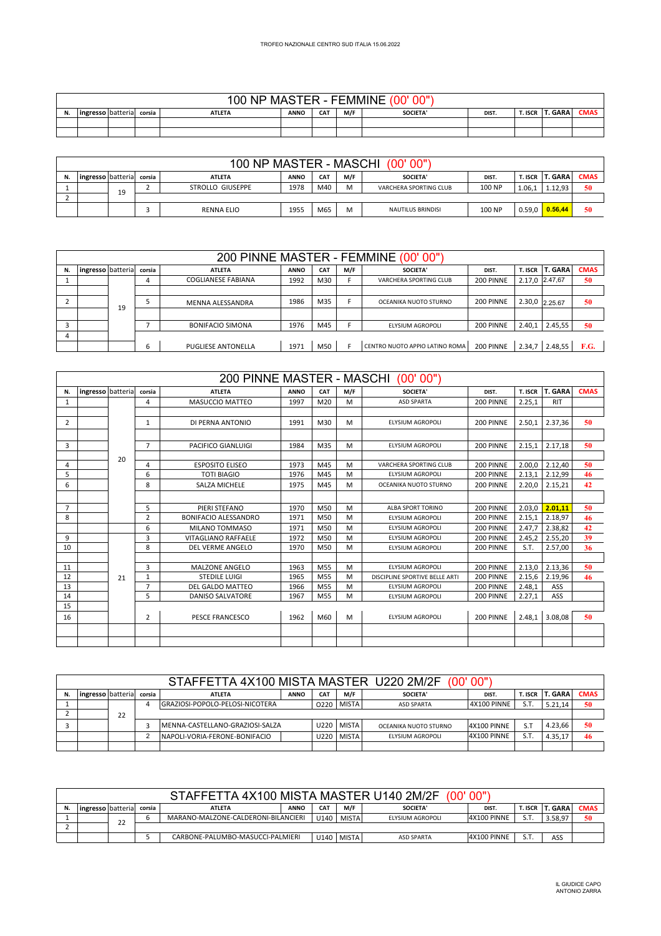|    |                          |  | <b>NP</b><br>$00^{\circ}$ | MASTER - FEMMINE |            |     | 00"<br>.ററ'     |       |         |      |             |
|----|--------------------------|--|---------------------------|------------------|------------|-----|-----------------|-------|---------|------|-------------|
| N. | ingresso batteria corsia |  | <b>ATLETA</b>             | <b>ANNO</b>      | <b>CAT</b> | M/F | <b>SOCIETA'</b> | DIST. | T. ISCR | GARA | <b>CMAS</b> |
|    |                          |  |                           |                  |            |     |                 |       |         |      |             |
|    |                          |  |                           |                  |            |     |                 |       |         |      |             |

|    |                                                                                                                                                |    |  |                  |      |     |   | 100 NP MASTER - MASCHI (00'00") |        |        |         |    |  |
|----|------------------------------------------------------------------------------------------------------------------------------------------------|----|--|------------------|------|-----|---|---------------------------------|--------|--------|---------|----|--|
| N. | T. ISCR   T. GARA<br><b>CMAS</b><br>M/F<br>CA <sub>1</sub><br>SOCIETA'<br><b>ATLETA</b><br><b>ANNO</b><br>ingresso batteria<br>corsia<br>DIST. |    |  |                  |      |     |   |                                 |        |        |         |    |  |
|    |                                                                                                                                                | 19 |  | STROLLO GIUSEPPE | 1978 | M40 | M | VARCHERA SPORTING CLUB          | 100 NP | 1.06.1 | 1.12.93 | 50 |  |
|    |                                                                                                                                                |    |  |                  |      |     |   |                                 |        |        |         |    |  |
|    |                                                                                                                                                |    |  | RENNA ELIO       | 1955 | M65 | м | <b>NAUTILUS BRINDISI</b>        | 100 NP | 0.59.0 | 0.56.44 | 50 |  |

|    |                   |    |        |                           |             |            |     | 200 PINNE MASTER - FEMMINE (00'00") |           |         |                |             |
|----|-------------------|----|--------|---------------------------|-------------|------------|-----|-------------------------------------|-----------|---------|----------------|-------------|
| N. | ingresso batteria |    | corsia | <b>ATLETA</b>             | <b>ANNO</b> | <b>CAT</b> | M/F | <b>SOCIETA'</b>                     | DIST.     | T. ISCR | <b>T. GARA</b> | <b>CMAS</b> |
|    |                   |    | 4      | COGLIANESE FABIANA        | 1992        | M30        | F   | VARCHERA SPORTING CLUB              | 200 PINNE |         | 2.17,0 2.47,67 | 50          |
|    |                   |    |        |                           |             |            |     |                                     |           |         |                |             |
|    |                   | 19 |        | MENNA ALESSANDRA          | 1986        | M35        | Е   | OCEANIKA NUOTO STURNO               | 200 PINNE |         | 2.30,0 2.25.67 | 50          |
|    |                   |    |        |                           |             |            |     |                                     |           |         |                |             |
|    |                   |    |        | <b>BONIFACIO SIMONA</b>   | 1976        | M45        |     | ELYSIUM AGROPOLI                    | 200 PINNE | 2.40,1  | 2.45,55        | 50          |
|    |                   |    |        |                           |             |            |     |                                     |           |         |                |             |
|    |                   |    | ь      | <b>PUGLIESE ANTONELLA</b> | 1971        | M50        |     | CENTRO NUOTO APPIO LATINO ROMA      | 200 PINNE |         | 2.34,7 2.48,55 | F.G.        |

|                |                   |    |                | 200 PINNE MASTER - MASCHI   |             |                 |     | (00' 00"                       |           |         |                |             |
|----------------|-------------------|----|----------------|-----------------------------|-------------|-----------------|-----|--------------------------------|-----------|---------|----------------|-------------|
| N.             | ingresso batteria |    | corsia         | <b>ATLETA</b>               | <b>ANNO</b> | CAT             | M/F | <b>SOCIETA'</b>                | DIST.     | T. ISCR | <b>T. GARA</b> | <b>CMAS</b> |
| 1              |                   |    | 4              | <b>MASUCCIO MATTEO</b>      | 1997        | M20             | M   | <b>ASD SPARTA</b>              | 200 PINNE | 2.25.1  | <b>RIT</b>     |             |
|                |                   |    |                |                             |             |                 |     |                                |           |         |                |             |
| 2              |                   |    | $\mathbf{1}$   | DI PERNA ANTONIO            | 1991        | M30             | M   | <b>ELYSIUM AGROPOLI</b>        | 200 PINNE | 2.50.1  | 2.37.36        | 50          |
|                |                   |    |                |                             |             |                 |     |                                |           |         |                |             |
| 3              |                   |    | $\overline{7}$ | PACIFICO GIANLUIGI          | 1984        | M35             | M   | <b>FLYSIUM AGROPOLI</b>        | 200 PINNE | 2.15.1  | 2.17,18        | 50          |
|                |                   | 20 |                |                             |             |                 |     |                                |           |         |                |             |
| 4              |                   |    | 4              | <b>ESPOSITO ELISEO</b>      | 1973        | M45             | M   | VARCHERA SPORTING CLUB         | 200 PINNE | 2.00.0  | 2.12,40        | 50          |
| 5              |                   |    | 6              | <b>TOTI BIAGIO</b>          | 1976        | M45             | M   | <b>ELYSIUM AGROPOLI</b>        | 200 PINNE | 2.13,1  | 2.12,99        | 46          |
| 6              |                   |    | 8              | <b>SALZA MICHELE</b>        | 1975        | M45             | M   | OCEANIKA NUOTO STURNO          | 200 PINNE | 2.20,0  | 2.15,21        | 42          |
|                |                   |    |                |                             |             |                 |     |                                |           |         |                |             |
| $\overline{7}$ |                   |    | 5              | PIERI STEFANO               | 1970        | M <sub>50</sub> | M   | <b>ALBA SPORT TORINO</b>       | 200 PINNE | 2.03.0  | 2.01.11        | 50          |
| 8              |                   |    | $\overline{2}$ | <b>BONIFACIO ALESSANDRO</b> | 1971        | M50             | M   | <b>ELYSIUM AGROPOLI</b>        | 200 PINNE | 2.15,1  | 2.18.97        | 46          |
|                |                   |    | 6              | MILANO TOMMASO              | 1971        | M50             | M   | <b>FLYSIUM AGROPOLI</b>        | 200 PINNE | 2.47,7  | 2.38,82        | 42          |
| 9              |                   |    | 3              | <b>VITAGLIANO RAFFAELE</b>  | 1972        | M50             | M   | <b>ELYSIUM AGROPOLI</b>        | 200 PINNE | 2.45,2  | 2.55,20        | 39          |
| 10             |                   |    | 8              | <b>DEL VERME ANGELO</b>     | 1970        | M <sub>50</sub> | M   | <b>ELYSIUM AGROPOLI</b>        | 200 PINNE | S.T.    | 2.57.00        | 36          |
|                |                   |    |                |                             |             |                 |     |                                |           |         |                |             |
| 11             |                   |    | 3              | <b>MALZONE ANGELO</b>       | 1963        | M55             | M   | <b>ELYSIUM AGROPOLI</b>        | 200 PINNE | 2.13,0  | 2.13,36        | 50          |
| 12             |                   | 21 | 1              | <b>STEDILE LUIGI</b>        | 1965        | M55             | M   | DISCIPLINE SPORTIVE BELLE ARTI | 200 PINNE | 2.15,6  | 2.19,96        | 46          |
| 13             |                   |    | $\overline{7}$ | DEL GALDO MATTEO            | 1966        | M <sub>55</sub> | M   | <b>ELYSIUM AGROPOLI</b>        | 200 PINNE | 2.48,1  | ASS            |             |
| 14             |                   |    | 5              | <b>DANISO SALVATORE</b>     | 1967        | M55             | M   | <b>ELYSIUM AGROPOLI</b>        | 200 PINNE | 2.27,1  | ASS            |             |
| 15             |                   |    |                |                             |             |                 |     |                                |           |         |                |             |
| 16             |                   |    | $\overline{2}$ | PESCE FRANCESCO             | 1962        | M60             | M   | <b>ELYSIUM AGROPOLI</b>        | 200 PINNE | 2.48,1  | 3.08.08        | 50          |
|                |                   |    |                |                             |             |                 |     |                                |           |         |                |             |
|                |                   |    |                |                             |             |                 |     |                                |           |         |                |             |

|                                                                                                                                               |  |    |  | STAFFETTA 4X100 MISTA MASTER U220 2M/2F |                                                                            |      |              |                       | (00, 00)           |     |         |             |  |
|-----------------------------------------------------------------------------------------------------------------------------------------------|--|----|--|-----------------------------------------|----------------------------------------------------------------------------|------|--------------|-----------------------|--------------------|-----|---------|-------------|--|
| <b>T. GARA</b><br>ingresso batteria<br>M/F<br>CA <sub>7</sub><br>DIST.<br>T. ISCR<br>SOCIETA'<br><b>ATLETA</b><br><b>ANNO</b><br>corsia<br>50 |  |    |  |                                         |                                                                            |      |              |                       |                    |     |         | <b>CMAS</b> |  |
|                                                                                                                                               |  |    |  | GRAZIOSI-POPOLO-PELOSI-NICOTERA         | <b>MISTA</b><br>S.T<br>4X100 PINNE<br>0220<br><b>ASD SPARTA</b><br>5.21,14 |      |              |                       |                    |     |         |             |  |
|                                                                                                                                               |  | 22 |  |                                         |                                                                            |      |              |                       |                    |     |         |             |  |
|                                                                                                                                               |  |    |  | MENNA-CASTELLANO-GRAZIOSI-SALZA         |                                                                            | U220 | <b>MISTA</b> | OCEANIKA NUOTO STURNO | <b>4X100 PINNE</b> | S.T | 4.23.66 | 50          |  |
|                                                                                                                                               |  |    |  | NAPOLI-VORIA-FERONE-BONIFACIO           |                                                                            | U220 | <b>MISTA</b> | ELYSIUM AGROPOLI      | 4X100 PINNE        | S.T | 4.35.17 | 46          |  |
|                                                                                                                                               |  |    |  |                                         |                                                                            |      |              |                       |                    |     |         |             |  |

|    |                                                                                                                                                |                                                                                                                                   |  | STAFFETTA 4X100 MISTA MASTER U140 2M/2F |  |      |              | (00'              | 00"                |     |     |    |
|----|------------------------------------------------------------------------------------------------------------------------------------------------|-----------------------------------------------------------------------------------------------------------------------------------|--|-----------------------------------------|--|------|--------------|-------------------|--------------------|-----|-----|----|
| N. | M/F<br><b>T. GARA</b><br><b>CMAS</b><br>CA1<br><b>SOCIETA'</b><br>T. ISCR<br><b>ATLETA</b><br>ANNO<br>lingresso I batterial<br>DIST.<br>corsia |                                                                                                                                   |  |                                         |  |      |              |                   |                    |     |     |    |
|    |                                                                                                                                                | <b>4X100 PINNE</b><br>S.T<br>3.58.97<br><b>MISTA</b><br>U140<br>MARANO-MALZONE-CALDERONI-BILANCIERI<br>ELYSIUM AGROPOLI<br>$\sim$ |  |                                         |  |      |              |                   |                    |     |     | 50 |
|    |                                                                                                                                                | $\epsilon$                                                                                                                        |  |                                         |  |      |              |                   |                    |     |     |    |
|    |                                                                                                                                                |                                                                                                                                   |  | CARBONE-PALUMBO-MASUCCI-PALMIERI        |  | U140 | <b>MISTA</b> | <b>ASD SPARTA</b> | <b>4X100 PINNE</b> | S.T | ASS |    |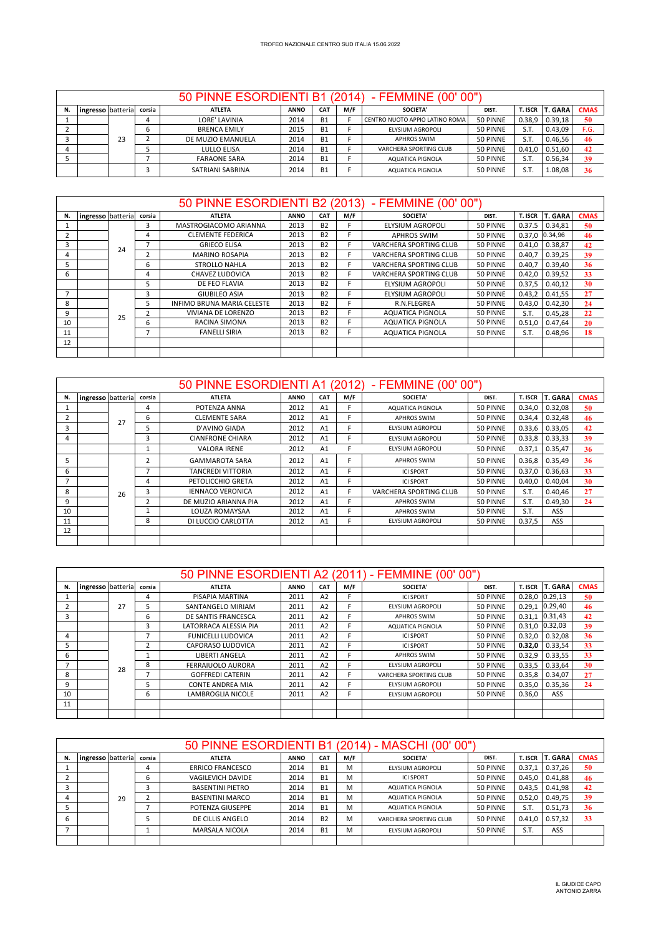|    |                   |    |        |                     |             |                 |     | 50 PINNE ESORDIENTI B1 (2014) - FEMMINE (00'00") |          |           |                |             |
|----|-------------------|----|--------|---------------------|-------------|-----------------|-----|--------------------------------------------------|----------|-----------|----------------|-------------|
| N. | ingresso batteria |    | corsia | <b>ATLETA</b>       | <b>ANNO</b> | CA <sub>1</sub> | M/F | <b>SOCIETA'</b>                                  | DIST.    | T. ISCR I | <b>T. GARA</b> | <b>CMAS</b> |
|    |                   |    | 4      | LORE' LAVINIA       | 2014        | <b>B1</b>       |     | CENTRO NUOTO APPIO LATINO ROMA                   | 50 PINNE | 0.38.9    | 0.39,18        | 50          |
|    |                   |    | ь      | <b>BRENCA EMILY</b> | 2015        | <b>B1</b>       |     | ELYSIUM AGROPOLI                                 | 50 PINNE | S.T.      | 0.43,09        | F.G.        |
|    |                   | 23 |        | DE MUZIO EMANUELA   | 2014        | <b>B1</b>       |     | <b>APHROS SWIM</b>                               | 50 PINNE | S.T.      | 0.46,56        | 46          |
|    |                   |    |        | LULLO ELISA         | 2014        | <b>B1</b>       |     | VARCHERA SPORTING CLUB                           | 50 PINNE | 0.41.0    | 0.51,60        | 42          |
|    |                   |    |        | <b>FARAONE SARA</b> | 2014        | <b>B1</b>       |     | AQUATICA PIGNOLA                                 | 50 PINNE | S.T.      | 0.56,34        | 39          |
|    |                   |    |        | SATRIANI SABRINA    | 2014        | <b>B1</b>       |     | AQUATICA PIGNOLA                                 | 50 PINNE | S.T.      | 1.08,08        | 36          |

|    |                   |    |                | 50 PINNE ESORDIENTI B2 (2013) |             |            |     | - FEMMINE (00' 00")     |          |         |                |             |
|----|-------------------|----|----------------|-------------------------------|-------------|------------|-----|-------------------------|----------|---------|----------------|-------------|
| N. | ingresso batteria |    | corsia         | <b>ATLETA</b>                 | <b>ANNO</b> | <b>CAT</b> | M/F | <b>SOCIETA'</b>         | DIST.    | T. ISCR | <b>T. GARA</b> | <b>CMAS</b> |
|    |                   |    | 3              | MASTROGIACOMO ARIANNA         | 2013        | <b>B2</b>  | F   | <b>ELYSIUM AGROPOLI</b> | 50 PINNE | 0.37.5  | 0.34.81        | 50          |
| 2  |                   |    | 4              | <b>CLEMENTE FEDERICA</b>      | 2013        | <b>B2</b>  | F   | <b>APHROS SWIM</b>      | 50 PINNE |         | 0.37,0 0.34,96 | 46          |
| 3  |                   | 24 | 7              | <b>GRIECO ELISA</b>           | 2013        | <b>B2</b>  | F   | VARCHERA SPORTING CLUB  | 50 PINNE | 0.41,0  | 0.38,87        | 42          |
| 4  |                   |    |                | <b>MARINO ROSAPIA</b>         | 2013        | <b>B2</b>  | E   | VARCHERA SPORTING CLUB  | 50 PINNE | 0.40.7  | 0.39,25        | 39          |
| 5  |                   |    | 6              | <b>STROLLO NAHLA</b>          | 2013        | <b>B2</b>  | F   | VARCHERA SPORTING CLUB  | 50 PINNE | 0.40.7  | 0.39,40        | 36          |
| 6  |                   |    | 4              | CHAVEZ LUDOVICA               | 2013        | <b>B2</b>  | F   | VARCHERA SPORTING CLUB  | 50 PINNE | 0.42,0  | 0.39,52        | 33          |
|    |                   |    | 5              | DE FEO FLAVIA                 | 2013        | <b>B2</b>  | F   | <b>ELYSIUM AGROPOLI</b> | 50 PINNE | 0.37,5  | 0.40,12        | 30          |
|    |                   |    | 3              | <b>GIUBILEO ASIA</b>          | 2013        | <b>B2</b>  |     | <b>ELYSIUM AGROPOLI</b> | 50 PINNE | 0.43,2  | 0.41,55        | 27          |
| 8  |                   |    | 5              | INFIMO BRUNA MARIA CELESTE    | 2013        | <b>B2</b>  | Е   | R.N.FLEGREA             | 50 PINNE | 0.43.0  | 0.42,30        | 24          |
| 9  |                   | 25 | $\overline{2}$ | VIVIANA DE LORENZO            | 2013        | <b>B2</b>  |     | <b>AQUATICA PIGNOLA</b> | 50 PINNE | S.T.    | 0.45,28        | 22          |
| 10 |                   |    | 6              | RACINA SIMONA                 | 2013        | <b>B2</b>  | F   | <b>AQUATICA PIGNOLA</b> | 50 PINNE | 0.51,0  | 0.47.64        | 20          |
| 11 |                   |    | 7              | <b>FANELLI SIRIA</b>          | 2013        | <b>B2</b>  | F   | AQUATICA PIGNOLA        | 50 PINNE | S.T.    | 0.48,96        | 18          |
| 12 |                   |    |                |                               |             |            |     |                         |          |         |                |             |
|    |                   |    |                |                               |             |            |     |                         |          |         |                |             |

|    |                   |    |                | 50 PINNE ESORDIENTI A1 (2012) |             |                |     | - FEMMINE (00' 00")     |          |         |                |             |
|----|-------------------|----|----------------|-------------------------------|-------------|----------------|-----|-------------------------|----------|---------|----------------|-------------|
| N. | ingresso batteria |    | corsia         | <b>ATLETA</b>                 | <b>ANNO</b> | CAT            | M/F | SOCIETA'                | DIST.    | T. ISCR | <b>T. GARA</b> | <b>CMAS</b> |
|    |                   |    | 4              | POTENZA ANNA                  | 2012        | A <sub>1</sub> |     | <b>AQUATICA PIGNOLA</b> | 50 PINNE | 0.34,0  | 0.32,08        | 50          |
|    |                   | 27 | 6              | <b>CLEMENTE SARA</b>          | 2012        | A1             |     | <b>APHROS SWIM</b>      | 50 PINNE | 0.34,4  | 0.32,48        | 46          |
| 3  |                   |    | ╮              | D'AVINO GIADA                 | 2012        | A1             |     | <b>ELYSIUM AGROPOLI</b> | 50 PINNE | 0.33,6  | 0.33,05        | 42          |
| 4  |                   |    | 3              | <b>CIANFRONE CHIARA</b>       | 2012        | A <sub>1</sub> |     | <b>ELYSIUM AGROPOLI</b> | 50 PINNE | 0.33,8  | 0.33,33        | 39          |
|    |                   |    |                | <b>VALORA IRENE</b>           | 2012        | A1             |     | <b>ELYSIUM AGROPOLI</b> | 50 PINNE | 0.37,1  | 0.35,47        | 36          |
| 5  |                   |    | $\overline{2}$ | <b>GAMMAROTA SARA</b>         | 2012        | A1             |     | <b>APHROS SWIM</b>      | 50 PINNE | 0.36,8  | 0.35,49        | 36          |
| 6  |                   |    |                | TANCREDI VITTORIA             | 2012        | A1             |     | <b>ICI SPORT</b>        | 50 PINNE | 0.37,0  | 0.36,63        | 33          |
|    |                   |    | 4              | PETOLICCHIO GRETA             | 2012        | A1             | F.  | <b>ICI SPORT</b>        | 50 PINNE | 0.40,0  | 0.40.04        | 30          |
| 8  |                   | 26 | 3              | <b>IENNACO VERONICA</b>       | 2012        | A <sub>1</sub> |     | VARCHERA SPORTING CLUB  | 50 PINNE | S.T.    | 0.40,46        | 27          |
| 9  |                   |    |                | DE MUZIO ARIANNA PIA          | 2012        | A1             |     | <b>APHROS SWIM</b>      | 50 PINNE | S.T.    | 0.49,30        | 24          |
| 10 |                   |    |                | LOUZA ROMAYSAA                | 2012        | A1             |     | <b>APHROS SWIM</b>      | 50 PINNE | S.T.    | ASS            |             |
| 11 |                   |    | 8              | DI LUCCIO CARLOTTA            | 2012        | A1             |     | <b>ELYSIUM AGROPOLI</b> | 50 PINNE | 0.37,5  | ASS            |             |
| 12 |                   |    |                |                               |             |                |     |                         |          |         |                |             |
|    |                   |    |                |                               |             |                |     |                         |          |         |                |             |

|    |                   |    |        |                           |             |                |     | 50 PINNE ESORDIENTI A2 (2011) - FEMMINE (00' 00" |          |         |                    |             |
|----|-------------------|----|--------|---------------------------|-------------|----------------|-----|--------------------------------------------------|----------|---------|--------------------|-------------|
| N. | ingresso batteria |    | corsia | <b>ATLETA</b>             | <b>ANNO</b> | <b>CAT</b>     | M/F | <b>SOCIETA'</b>                                  | DIST.    | T. ISCR | <b>T. GARA</b>     | <b>CMAS</b> |
|    |                   |    | 4      | PISAPIA MARTINA           | 2011        | A2             |     | <b>ICI SPORT</b>                                 | 50 PINNE |         | $0.28,0$ 0.29,13   | 50          |
|    |                   | 27 | 5      | SANTANGELO MIRIAM         | 2011        | A2             |     | <b>ELYSIUM AGROPOLI</b>                          | 50 PINNE |         | $0.29,1$ 0.29,40   | 46          |
|    |                   |    | 6      | DE SANTIS FRANCESCA       | 2011        | A <sub>2</sub> |     | <b>APHROS SWIM</b>                               | 50 PINNE |         | $0.31.1$ 0.31,43   | 42          |
|    |                   |    | 3      | LATORRACA ALESSIA PIA     | 2011        | A <sub>2</sub> | c.  | AQUATICA PIGNOLA                                 | 50 PINNE |         | $0.31,0$ $0.32,03$ | 39          |
| 4  |                   |    |        | <b>FUNICELLI LUDOVICA</b> | 2011        | A2             |     | <b>ICI SPORT</b>                                 | 50 PINNE | 0.32,0  | 0.32,08            | 36          |
|    |                   |    | 2      | CAPORASO LUDOVICA         | 2011        | A <sub>2</sub> |     | <b>ICI SPORT</b>                                 | 50 PINNE | 0.32.0  | 0.33.54            | 33          |
| 6  |                   |    |        | <b>LIBERTI ANGELA</b>     | 2011        | A2             |     | <b>APHROS SWIM</b>                               | 50 PINNE | 0.32,9  | 0.33,55            | 33          |
|    |                   | 28 | 8      | <b>FERRAIUOLO AURORA</b>  | 2011        | A <sub>2</sub> |     | ELYSIUM AGROPOLI                                 | 50 PINNE | 0.33,5  | 0.33,64            | 30          |
| 8  |                   |    |        | <b>GOFFREDI CATERIN</b>   | 2011        | A <sub>2</sub> | E.  | VARCHERA SPORTING CLUB                           | 50 PINNE | 0.35.8  | 0.34.07            | 27          |
| 9  |                   |    |        | <b>CONTE ANDREA MIA</b>   | 2011        | A <sub>2</sub> |     | ELYSIUM AGROPOLI                                 | 50 PINNE | 0.35,0  | 0.35,36            | 24          |
| 10 |                   |    | 6      | <b>LAMBROGLIA NICOLE</b>  | 2011        | A2             |     | ELYSIUM AGROPOLI                                 | 50 PINNE | 0.36,0  | ASS                |             |
| 11 |                   |    |        |                           |             |                |     |                                                  |          |         |                    |             |
|    |                   |    |        |                           |             |                |     |                                                  |          |         |                    |             |

|    |                   |    |        |                         |             |            |     | 50 PINNE ESORDIENTI B1 (2014) - MASCHI (00' 00") |          |         |                |             |
|----|-------------------|----|--------|-------------------------|-------------|------------|-----|--------------------------------------------------|----------|---------|----------------|-------------|
| N. | ingresso batteria |    | corsia | <b>ATLETA</b>           | <b>ANNO</b> | <b>CAT</b> | M/F | SOCIETA'                                         | DIST.    | T. ISCR | <b>T. GARA</b> | <b>CMAS</b> |
|    |                   |    | 4      | <b>ERRICO FRANCESCO</b> | 2014        | <b>B1</b>  | M   | ELYSIUM AGROPOLI                                 | 50 PINNE | 0.37.1  | 0.37.26        | 50          |
|    |                   |    | h      | VAGILEVICH DAVIDE       | 2014        | <b>B1</b>  | м   | <b>ICI SPORT</b>                                 | 50 PINNE | 0.45.0  | 0.41.88        | 46          |
|    |                   |    |        | <b>BASENTINI PIETRO</b> | 2014        | <b>B1</b>  | M   | AQUATICA PIGNOLA                                 | 50 PINNE | 0.43.5  | 0.41,98        | 42          |
|    |                   | 29 |        | <b>BASENTINI MARCO</b>  | 2014        | <b>B1</b>  | м   | AQUATICA PIGNOLA                                 | 50 PINNE | 0.52.0  | 0.49,75        | 39          |
|    |                   |    |        | POTENZA GIUSEPPE        | 2014        | <b>B1</b>  | м   | AQUATICA PIGNOLA                                 | 50 PINNE | S.T.    | 0.51,73        | 36          |
|    |                   |    |        | DE CILLIS ANGELO        | 2014        | <b>B2</b>  | M   | VARCHERA SPORTING CLUB                           | 50 PINNE | 0.41.0  | 0.57,32        | 33          |
|    |                   |    |        | MARSALA NICOLA          | 2014        | <b>B1</b>  | M   | ELYSIUM AGROPOLI                                 | 50 PINNE | S.T.    | ASS            |             |
|    |                   |    |        |                         |             |            |     |                                                  |          |         |                |             |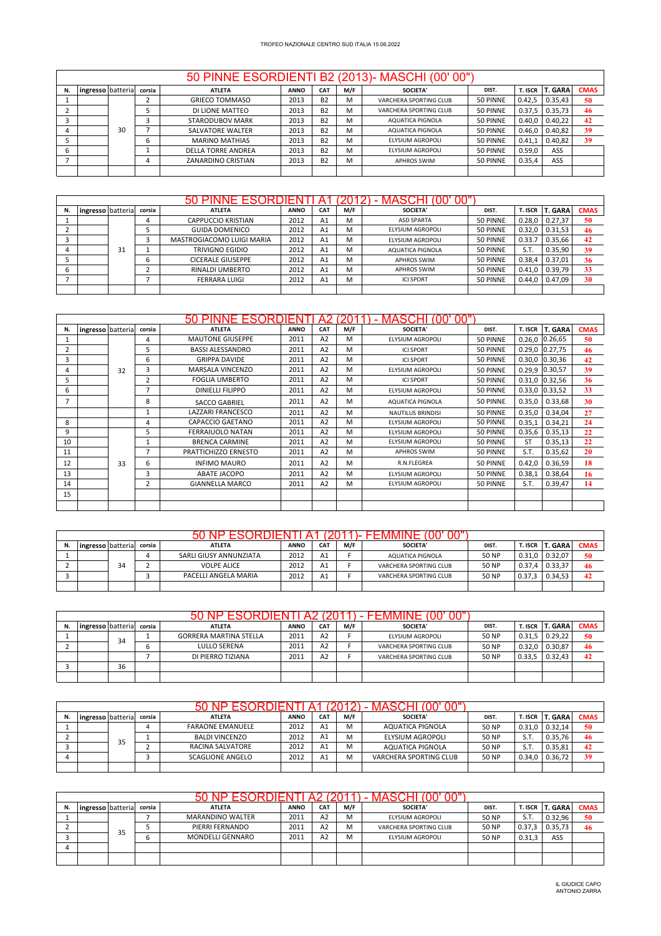## 50 PINNE ESORDIENTI B2 (2013)- MASCHI (00' 00")

 $\sqrt{ }$ 

|    |                    |    |        |                           |             |            |     | 50 PINNE ESORDIENTI B2 (2013)- MASCHI (00' 00") |          |         |                |             |
|----|--------------------|----|--------|---------------------------|-------------|------------|-----|-------------------------------------------------|----------|---------|----------------|-------------|
| N. | Ingresso batterial |    | corsia | <b>ATLETA</b>             | <b>ANNO</b> | <b>CAT</b> | M/F | SOCIETA'                                        | DIST.    | T. ISCR | <b>T. GARA</b> | <b>CMAS</b> |
|    |                    |    |        | <b>GRIECO TOMMASO</b>     | 2013        | <b>B2</b>  | M   | VARCHERA SPORTING CLUB                          | 50 PINNE | 0.42,5  | 0.35,43        | 50          |
|    |                    |    |        | DI LIONE MATTEO           | 2013        | <b>B2</b>  | м   | VARCHERA SPORTING CLUB                          | 50 PINNE | 0.37.5  | 0.35,73        | 46          |
|    |                    |    |        | STARODUBOV MARK           | 2013        | <b>B2</b>  | м   | AQUATICA PIGNOLA                                | 50 PINNE | 0.40.0  | 0.40,22        | 42          |
|    |                    | 30 |        | SALVATORE WALTER          | 2013        | <b>B2</b>  | M   | AQUATICA PIGNOLA                                | 50 PINNE | 0.46.0  | 0.40,82        | 39          |
|    |                    |    | b      | <b>MARINO MATHIAS</b>     | 2013        | <b>B2</b>  | M   | ELYSIUM AGROPOLI                                | 50 PINNE | 0.41.1  | 0.40.82        | 39          |
|    |                    |    |        | <b>DELLA TORRE ANDREA</b> | 2013        | <b>B2</b>  | м   | ELYSIUM AGROPOLI                                | 50 PINNE | 0.59.0  | ASS            |             |
|    |                    |    |        | <b>ZANARDINO CRISTIAN</b> | 2013        | <b>B2</b>  | м   | <b>APHROS SWIM</b>                              | 50 PINNE | 0.35,4  | ASS            |             |
|    |                    |    |        |                           |             |            |     |                                                 |          |         |                |             |

|    |                   |    |        |                           |             |                |     | MASCHI<br>oo       |          |                |                |             |
|----|-------------------|----|--------|---------------------------|-------------|----------------|-----|--------------------|----------|----------------|----------------|-------------|
| N. | ingresso batteria |    | corsia | <b>ATLETA</b>             | <b>ANNO</b> | CAT            | M/F | SOCIETA'           | DIST.    | <b>T. ISCR</b> | <b>T. GARA</b> | <b>CMAS</b> |
|    |                   |    |        | CAPPUCCIO KRISTIAN        | 2012        | A <sub>1</sub> | M   | <b>ASD SPARTA</b>  | 50 PINNE | 0.28,0         | 0.27.37        | 50          |
|    |                   |    |        | <b>GUIDA DOMENICO</b>     | 2012        | A <sub>1</sub> | M   | ELYSIUM AGROPOLI   | 50 PINNE | 0.32,0         | 0.31,53        | 46          |
|    |                   |    |        | MASTROGIACOMO LUIGI MARIA | 2012        | A <sub>1</sub> | M   | ELYSIUM AGROPOLI   | 50 PINNE | 0.33.7         | 0.35,66        | 42          |
|    |                   | 31 |        | <b>TRIVIGNO EGIDIO</b>    | 2012        | A <sub>1</sub> | M   | AQUATICA PIGNOLA   | 50 PINNE | S.T.           | 0.35.90        | 39          |
|    |                   |    | b      | <b>CICERALE GIUSEPPE</b>  | 2012        | A <sub>1</sub> | M   | <b>APHROS SWIM</b> | 50 PINNE | 0.38.4         | 0.37,01        | 36          |
|    |                   |    |        | RINALDI UMBERTO           | 2012        | A <sub>1</sub> | M   | <b>APHROS SWIM</b> | 50 PINNE | 0.41.0         | 0.39,79        | 33          |
|    |                   |    |        | <b>FERRARA LUIGI</b>      | 2012        | A <sub>1</sub> | M   | <b>ICI SPORT</b>   | 50 PINNE | 0.44.0         | 0.47,09        | 30          |
|    |                   |    |        |                           |             |                |     |                    |          |                |                |             |

|    |                   |    |                | 50                       | ⊢           |                |     |                          |          |           |                |             |
|----|-------------------|----|----------------|--------------------------|-------------|----------------|-----|--------------------------|----------|-----------|----------------|-------------|
| N. | ingresso batteria |    | corsia         | <b>ATLETA</b>            | <b>ANNO</b> | <b>CAT</b>     | M/F | <b>SOCIETA'</b>          | DIST.    | T. ISCR   | <b>T. GARA</b> | <b>CMAS</b> |
|    |                   |    | 4              | <b>MAUTONE GIUSEPPE</b>  | 2011        | A2             | M   | ELYSIUM AGROPOLI         | 50 PINNE | 0.26.0    | 0.26,65        | 50          |
|    |                   |    | 5              | <b>BASSI ALESSANDRO</b>  | 2011        | A2             | M   | <b>ICI SPORT</b>         | 50 PINNE | 0.29,0    | 0.27,75        | 46          |
|    |                   |    |                |                          |             |                |     | <b>ICLSPORT</b>          |          |           |                | 42          |
| 3  |                   |    | 6              | <b>GRIPPA DAVIDE</b>     | 2011        | A <sub>2</sub> | M   |                          | 50 PINNE | 0.30,0    | 0.30,36        |             |
| 4  |                   | 32 | 3              | MARSALA VINCENZO         | 2011        | A2             | м   | <b>ELYSIUM AGROPOLI</b>  | 50 PINNE | 0.29,9    | 0.30,57        | 39          |
| 5  |                   |    | $\overline{2}$ | <b>FOGLIA UMBERTO</b>    | 2011        | A <sub>2</sub> | M   | <b>ICI SPORT</b>         | 50 PINNE | 0.31,0    | 0.32,56        | 36          |
| 6  |                   |    |                | <b>DINIELLI FILIPPO</b>  | 2011        | A <sub>2</sub> | M   | ELYSIUM AGROPOLI         | 50 PINNE | 0.33,0    | 0.33,52        | 33          |
|    |                   |    | 8              | <b>SACCO GABRIEL</b>     | 2011        | A2             | M   | <b>AQUATICA PIGNOLA</b>  | 50 PINNE | 0.35,0    | 0.33,68        | 30          |
|    |                   |    |                | <b>LAZZARI FRANCESCO</b> | 2011        | A <sub>2</sub> | м   | <b>NAUTILUS BRINDISI</b> | 50 PINNE | 0.35,0    | 0.34,04        | 27          |
| 8  |                   |    | 4              | CAPACCIO GAETANO         | 2011        | A2             | M   | <b>ELYSIUM AGROPOLI</b>  | 50 PINNE | 0.35,1    | 0.34,21        | 24          |
| 9  |                   |    | 5              | <b>FERRAIUOLO NATAN</b>  | 2011        | A2             | M   | <b>ELYSIUM AGROPOLI</b>  | 50 PINNE | 0.35,6    | 0.35,13        | 22          |
| 10 |                   |    |                | <b>BRENCA CARMINE</b>    | 2011        | A2             | м   | <b>ELYSIUM AGROPOLI</b>  | 50 PINNE | <b>ST</b> | 0.35,13        | 22          |
| 11 |                   |    | 7              | PRATTICHIZZO ERNESTO     | 2011        | A <sub>2</sub> | м   | <b>APHROS SWIM</b>       | 50 PINNE | S.T.      | 0.35,62        | 20          |
| 12 |                   | 33 | 6              | <b>INFIMO MAURO</b>      | 2011        | A2             | M   | R.N.FLEGREA              | 50 PINNE | 0.42,0    | 0.36,59        | 18          |
| 13 |                   |    | 3              | <b>ABATE JACOPO</b>      | 2011        | A2             | м   | <b>ELYSIUM AGROPOLI</b>  | 50 PINNE | 0.38,1    | 0.38,64        | 16          |
| 14 |                   |    | $\overline{2}$ | <b>GIANNELLA MARCO</b>   | 2011        | A2             | м   | <b>ELYSIUM AGROPOLI</b>  | 50 PINNE | S.T.      | 0.39,47        | 14          |
| 15 |                   |    |                |                          |             |                |     |                          |          |           |                |             |
|    |                   |    |                |                          |             |                |     |                          |          |           |                |             |

|    |                          |    |   | ∸ ਮ≺⊟⊪N ⊨              |             |                |     | υυ<br>JΙ               |       |            |                   |             |
|----|--------------------------|----|---|------------------------|-------------|----------------|-----|------------------------|-------|------------|-------------------|-------------|
| N. | ingresso batteria corsia |    |   | <b>ATLETA</b>          | <b>ANNO</b> | CA1            | M/F | SOCIETA'               | DIST. |            | T. ISCR   T. GARA | <b>CMAS</b> |
|    |                          |    | 4 | SARLI GIUSY ANNUNZIATA | 2012        | A1             |     | AQUATICA PIGNOLA       | 50 NP | $0.31.0$ 1 | 0.32.07           | 50          |
|    |                          | 34 |   | <b>VOLPE ALICE</b>     | 2012        | A <sub>1</sub> |     | VARCHERA SPORTING CLUB | 50 NP | 0.37.4     | 0.33.37           | -46         |
|    |                          |    |   | PACELLI ANGELA MARIA   | 2012        | A <sub>1</sub> |     | VARCHERA SPORTING CLUB | 50 NP | 0.37.3     | 0.34.53           | 42          |
|    |                          |    |   |                        |             |                |     |                        |       |            |                   |             |

|    |                          |    |   | 50 NP ESORDIENTI              | A2          |                |     | UΟ<br>FEMMINE          |       |         |           |             |
|----|--------------------------|----|---|-------------------------------|-------------|----------------|-----|------------------------|-------|---------|-----------|-------------|
| N. | ingresso batteria corsia |    |   | <b>ATLETA</b>                 | <b>ANNO</b> | <b>CAT</b>     | M/F | <b>SOCIETA'</b>        | DIST. | T. ISCR | । T. GARA | <b>CMAS</b> |
|    |                          | 34 |   | <b>GORRERA MARTINA STELLA</b> | 2011        | A2             |     | ELYSIUM AGROPOLI       | 50 NP | 0.31.5  | 0.29.22   | 50          |
|    |                          |    | b | LULLO SERENA                  | 2011        | A2             |     | VARCHERA SPORTING CLUB | 50 NP | 0.32.0  | 0.30.87   | 46          |
|    |                          |    |   | DI PIERRO TIZIANA             | 2011        | A <sub>2</sub> |     | VARCHERA SPORTING CLUB | 50 NP | 0.33.5  | 0.32,43   | 42          |
|    |                          | 36 |   |                               |             |                |     |                        |       |         |           |             |
|    |                          |    |   |                               |             |                |     |                        |       |         |           |             |

|                   |    |        | <b>FSORDEN</b>          |             |                |     | MASCHI                  |              |        |                 |             |
|-------------------|----|--------|-------------------------|-------------|----------------|-----|-------------------------|--------------|--------|-----------------|-------------|
| ingresso batteria |    | corsia | <b>ATLETA</b>           | <b>ANNO</b> | CA1            | M/F | SOCIETA'                | DIST.        |        | T. ISCR T. GARA | <b>CMAS</b> |
|                   |    |        | <b>FARAONE EMANUELE</b> | 2012        | A <sub>1</sub> | м   | AQUATICA PIGNOLA        | <b>50 NP</b> | 0.31.0 | 0.32.14         | 50          |
|                   | 35 |        | <b>BALDI VINCENZO</b>   | 2012        | A <sub>1</sub> | м   | <b>ELYSIUM AGROPOLI</b> | 50 NP        | S.T    | 0.35.76         | 46          |
|                   |    |        | RACINA SALVATORE        | 2012        | A <sub>1</sub> | M   | AQUATICA PIGNOLA        | 50 NP        | S.T    | 0.35.81         | 42          |
|                   |    |        | <b>SCAGLIONE ANGELO</b> | 2012        | A <sub>1</sub> | M   | VARCHERA SPORTING CLUB  | <b>50 NP</b> | 0.34.0 | 0.36.72         | 39          |
|                   |    |        |                         |             |                |     |                         |              |        |                 |             |

|    |                   |    |        | $H$ $H$ $H$ $H$ $H$     |             |                |     | UO<br>MASCHI           |              |         |                |             |
|----|-------------------|----|--------|-------------------------|-------------|----------------|-----|------------------------|--------------|---------|----------------|-------------|
| N. | ingresso batteria |    | corsia | <b>ATLETA</b>           | <b>ANNO</b> | CAT            | M/F | <b>SOCIETA'</b>        | DIST.        | T. ISCR | <b>T. GARA</b> | <b>CMAS</b> |
|    |                   |    |        | <b>MARANDINO WALTER</b> | 2011        | A <sub>2</sub> | M   | ELYSIUM AGROPOLI       | <b>50 NP</b> | S.T     | 0.32,96        | 50          |
|    |                   | 35 |        | PIERRI FERNANDO         | 2011        | A <sub>2</sub> | M   | VARCHERA SPORTING CLUB | <b>50 NP</b> | 0.37,3  | 0.35.73        | -46         |
|    |                   |    |        | MONDELLI GENNARO        | 2011        | A <sub>2</sub> | M   | ELYSIUM AGROPOLI       | <b>50 NP</b> | 0.31,3  | ASS            |             |
| 4  |                   |    |        |                         |             |                |     |                        |              |         |                |             |
|    |                   |    |        |                         |             |                |     |                        |              |         |                |             |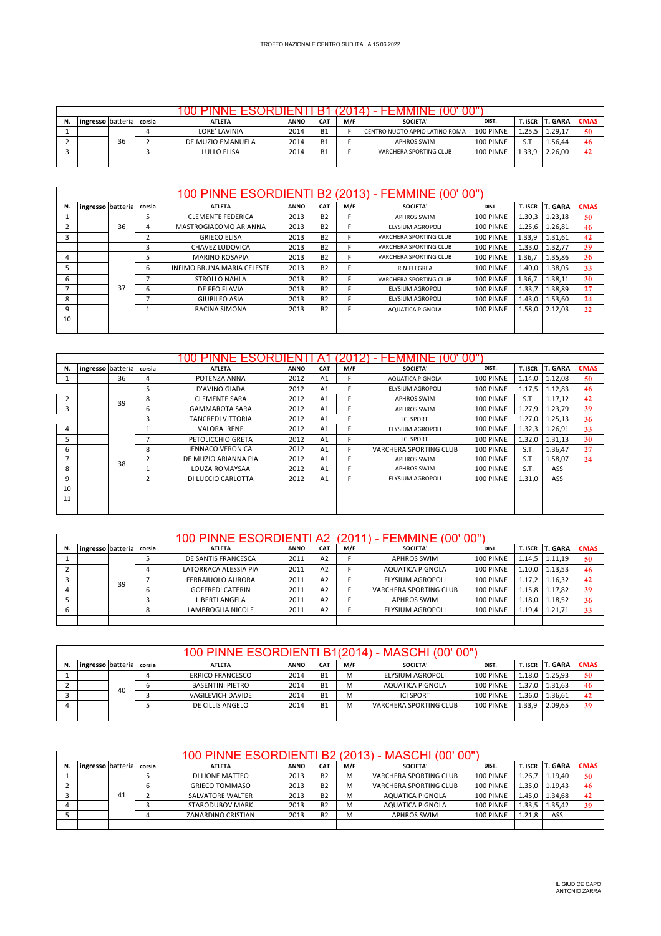|    |                    |    |        |                   |             |            |     | -10                            | υu        |         |                |             |
|----|--------------------|----|--------|-------------------|-------------|------------|-----|--------------------------------|-----------|---------|----------------|-------------|
| N. | ingresso batterial |    | corsia | <b>ATLETA</b>     | <b>ANNO</b> | <b>CAT</b> | M/F | <b>SOCIETA'</b>                | DIST.     | T. ISCR | <b>T. GARA</b> | <b>CMAS</b> |
|    |                    |    | 4      | LORE' LAVINIA     | 2014        | <b>B1</b>  |     | CENTRO NUOTO APPIO LATINO ROMA | 100 PINNE | 1.25.5  | 1.29,17        | 50          |
|    |                    | 36 |        | DE MUZIO EMANUELA | 2014        | <b>B1</b>  |     | <b>APHROS SWIM</b>             | 100 PINNE | S.T     | 1.56.44        | 46          |
|    |                    |    |        | LULLO ELISA       | 2014        | <b>B1</b>  |     | VARCHERA SPORTING CLUB         | 100 PINNE | 1.33.9  | 2.26.00        | 42          |
|    |                    |    |        |                   |             |            |     |                                |           |         |                |             |

|    |                   |    |        |                            |             |            |     | 100 PINNE ESORDIENTI B2 (2013) - FEMMINE (00' 00" |           |         |                |             |
|----|-------------------|----|--------|----------------------------|-------------|------------|-----|---------------------------------------------------|-----------|---------|----------------|-------------|
| N. | ingresso batteria |    | corsia | <b>ATLETA</b>              | <b>ANNO</b> | <b>CAT</b> | M/F | <b>SOCIETA'</b>                                   | DIST.     | T. ISCR | <b>T. GARA</b> | <b>CMAS</b> |
|    |                   |    |        | <b>CLEMENTE FEDERICA</b>   | 2013        | <b>B2</b>  |     | <b>APHROS SWIM</b>                                | 100 PINNE | 1.30,3  | 1.23.18        | 50          |
|    |                   | 36 | 4      | MASTROGIACOMO ARIANNA      | 2013        | <b>B2</b>  |     | <b>ELYSIUM AGROPOLI</b>                           | 100 PINNE | 1.25,6  | 1.26,81        | 46          |
|    |                   |    |        | <b>GRIECO ELISA</b>        | 2013        | <b>B2</b>  |     | VARCHERA SPORTING CLUB                            | 100 PINNE | 1.33,9  | 1.31,61        | 42          |
|    |                   |    |        | <b>CHAVEZ LUDOVICA</b>     | 2013        | <b>B2</b>  |     | VARCHERA SPORTING CLUB                            | 100 PINNE | 1.33,0  | 1.32.77        | 39          |
| 4  |                   |    | 5      | <b>MARINO ROSAPIA</b>      | 2013        | <b>B2</b>  |     | VARCHERA SPORTING CLUB                            | 100 PINNE | 1.36.7  | 1.35.86        | 36          |
|    |                   |    | 6      | INFIMO BRUNA MARIA CELESTE | 2013        | <b>B2</b>  |     | R.N.FLEGREA                                       | 100 PINNE | 1.40.0  | 1.38.05        | 33          |
| 6  |                   |    |        | STROLLO NAHLA              | 2013        | <b>B2</b>  |     | VARCHERA SPORTING CLUB                            | 100 PINNE | 1.36.7  | 1.38,11        | 30          |
|    |                   | 37 | 6      | DE FEO FLAVIA              | 2013        | <b>B2</b>  |     | ELYSIUM AGROPOLI                                  | 100 PINNE | 1.33,7  | 1.38,89        | 27          |
| 8  |                   |    |        | <b>GIUBILEO ASIA</b>       | 2013        | <b>B2</b>  |     | <b>ELYSIUM AGROPOLI</b>                           | 100 PINNE | 1.43,0  | 1.53,60        | 24          |
| 9  |                   |    |        | RACINA SIMONA              | 2013        | <b>B2</b>  |     | AQUATICA PIGNOLA                                  | 100 PINNE | 1.58,0  | 2.12.03        | 22          |
| 10 |                   |    |        |                            |             |            |     |                                                   |           |         |                |             |
|    |                   |    |        |                            |             |            |     |                                                   |           |         |                |             |

|                |                   |    |                | 100 PINNE ESORDIEI       |             |                |     | FEM<br>٠                | oo"       |         |                |             |
|----------------|-------------------|----|----------------|--------------------------|-------------|----------------|-----|-------------------------|-----------|---------|----------------|-------------|
| N.             | ingresso batteria |    | corsia         | <b>ATLETA</b>            | <b>ANNO</b> | <b>CAT</b>     | M/F | <b>SOCIETA'</b>         | DIST.     | T. ISCR | <b>T. GARA</b> | <b>CMAS</b> |
|                |                   | 36 | 4              | POTENZA ANNA             | 2012        | A <sub>1</sub> |     | AQUATICA PIGNOLA        | 100 PINNE | 1.14,0  | 1.12,08        | 50          |
|                |                   |    | 5              | D'AVINO GIADA            | 2012        | A <sub>1</sub> |     | <b>ELYSIUM AGROPOLI</b> | 100 PINNE | 1.17,5  | 1.12,83        | 46          |
| $\overline{2}$ |                   | 39 | 8              | <b>CLEMENTE SARA</b>     | 2012        | A <sub>1</sub> | F.  | <b>APHROS SWIM</b>      | 100 PINNE | S.T.    | 1.17,12        | 42          |
|                |                   |    | 6              | <b>GAMMAROTA SARA</b>    | 2012        | A <sub>1</sub> |     | <b>APHROS SWIM</b>      | 100 PINNE | 1.27,9  | 1.23,79        | 39          |
|                |                   |    | 3              | <b>TANCREDI VITTORIA</b> | 2012        | A <sub>1</sub> | F.  | <b>ICI SPORT</b>        | 100 PINNE | 1.27,0  | 1.25,13        | 36          |
| 4              |                   |    |                | <b>VALORA IRENE</b>      | 2012        | A <sub>1</sub> | E.  | ELYSIUM AGROPOLI        | 100 PINNE | 1.32,3  | 1.26,91        | 33          |
|                |                   |    |                | PETOLICCHIO GRETA        | 2012        | A <sub>1</sub> | F.  | <b>ICI SPORT</b>        | 100 PINNE | 1.32,0  | 1.31,13        | 30          |
| 6              |                   |    | 8              | <b>IENNACO VERONICA</b>  | 2012        | A <sub>1</sub> |     | VARCHERA SPORTING CLUB  | 100 PINNE | S.T.    | 1.36,47        | 27          |
|                |                   | 38 |                | DE MUZIO ARIANNA PIA     | 2012        | A <sub>1</sub> | E.  | <b>APHROS SWIM</b>      | 100 PINNE | S.T.    | 1.58,07        | 24          |
| 8              |                   |    |                | LOUZA ROMAYSAA           | 2012        | A1             |     | <b>APHROS SWIM</b>      | 100 PINNE | S.T.    | ASS            |             |
| 9              |                   |    | $\overline{2}$ | DI LUCCIO CARLOTTA       | 2012        | A <sub>1</sub> | F.  | ELYSIUM AGROPOLI        | 100 PINNE | 1.31,0  | ASS            |             |
| 10             |                   |    |                |                          |             |                |     |                         |           |         |                |             |
| 11             |                   |    |                |                          |             |                |     |                         |           |         |                |             |
|                |                   |    |                |                          |             |                |     |                         |           |         |                |             |

|    |                   |    |        |                          |             |                |     | <b>FEMMINE</b><br><b>TUU</b> | UU        |         |         |             |
|----|-------------------|----|--------|--------------------------|-------------|----------------|-----|------------------------------|-----------|---------|---------|-------------|
| N. | ingresso batteria |    | corsia | <b>ATLETA</b>            | <b>ANNO</b> | <b>CAT</b>     | M/F | <b>SOCIETA'</b>              | DIST.     | T. ISCR | T. GARA | <b>CMAS</b> |
|    |                   |    |        | DE SANTIS FRANCESCA      | 2011        | A <sub>2</sub> |     | <b>APHROS SWIM</b>           | 100 PINNE | 1.14.5  | 1.11.19 | 50          |
|    |                   |    |        | LATORRACA ALESSIA PIA    | 2011        | A <sub>2</sub> |     | <b>AQUATICA PIGNOLA</b>      | 100 PINNE | 1.10.0  | 1.13.53 | 46          |
|    |                   | 39 |        | <b>FERRAIUOLO AURORA</b> | 2011        | A <sub>2</sub> |     | ELYSIUM AGROPOLI             | 100 PINNE | 1.17.2  | 1.16,32 | 42          |
|    |                   |    |        | <b>GOFFREDI CATERIN</b>  | 2011        | A <sub>2</sub> |     | VARCHERA SPORTING CLUB       | 100 PINNE | 1.15.8  | 1.17,82 | 39          |
|    |                   |    |        | LIBERTI ANGELA           | 2011        | A <sub>2</sub> |     | <b>APHROS SWIM</b>           | 100 PINNE | 1.18.0  | 1.18,52 | 36          |
|    |                   |    | 8      | LAMBROGLIA NICOLE        | 2011        | A <sub>2</sub> |     | ELYSIUM AGROPOLI             | 100 PINNE | 1.19.4  | 1.21.71 | 33          |
|    |                   |    |        |                          |             |                |     |                              |           |         |         |             |

|                    |    |        |                         |             |                 |     | 100 PINNE ESORDIENTI B1(2014) - MASCHI (00'00") |           |        |                 |             |
|--------------------|----|--------|-------------------------|-------------|-----------------|-----|-------------------------------------------------|-----------|--------|-----------------|-------------|
| ingresso batterial |    | corsia | <b>ATLETA</b>           | <b>ANNO</b> | CA <sub>1</sub> | M/F | SOCIETA'                                        | DIST.     |        | T. ISCR T. GARA | <b>CMAS</b> |
|                    |    |        | <b>ERRICO FRANCESCO</b> | 2014        | <b>B1</b>       | M   | <b>ELYSIUM AGROPOLI</b>                         | 100 PINNE | 1.18.0 | 1.25.93         | 50          |
|                    | 40 |        | <b>BASENTINI PIETRO</b> | 2014        | <b>B1</b>       | M   | <b>AQUATICA PIGNOLA</b>                         | 100 PINNE | 1.37.0 | 1.31.63         | 46          |
|                    |    |        | VAGILEVICH DAVIDE       | 2014        | <b>B1</b>       | M   | <b>ICI SPORT</b>                                | 100 PINNE | 1.36.0 | 1.36.61         | 42          |
|                    |    |        | DE CILLIS ANGELO        | 2014        | <b>B1</b>       | M   | VARCHERA SPORTING CLUB                          | 100 PINNE | 1.33.9 | 2.09.65         | 39          |
|                    |    |        |                         |             |                 |     |                                                 |           |        |                 |             |

|    |                   |    |        |                       | אונואנ      |                 |     | MASCHI<br>oo           |           |                |         |             |
|----|-------------------|----|--------|-----------------------|-------------|-----------------|-----|------------------------|-----------|----------------|---------|-------------|
| N. | ingresso batteria |    | corsia | <b>ATLETA</b>         | <b>ANNO</b> | CA <sub>1</sub> | M/F | <b>SOCIETA'</b>        | DIST.     | <b>T. ISCR</b> | T. GARA | <b>CMAS</b> |
|    |                   |    |        | DI LIONE MATTEO       | 2013        | <b>B2</b>       | M   | VARCHERA SPORTING CLUB | 100 PINNE | 1.26,7         | 1.19.40 | 50          |
|    |                   |    |        | <b>GRIECO TOMMASO</b> | 2013        | <b>B2</b>       | M   | VARCHERA SPORTING CLUB | 100 PINNE | 1.35.0         | 1.19.43 | 46          |
|    |                   | 41 |        | SALVATORE WALTER      | 2013        | <b>B2</b>       | м   | AQUATICA PIGNOLA       | 100 PINNE | 1.45.0         | 1.34.68 | 42          |
|    |                   |    |        | STARODUBOV MARK       | 2013        | <b>B2</b>       | M   | AQUATICA PIGNOLA       | 100 PINNE | 1.33.5         | 1.35,42 | 39          |
|    |                   |    |        | ZANARDINO CRISTIAN    | 2013        | <b>B2</b>       | M   | <b>APHROS SWIM</b>     | 100 PINNE | 1.21.8         | ASS     |             |
|    |                   |    |        |                       |             |                 |     |                        |           |                |         |             |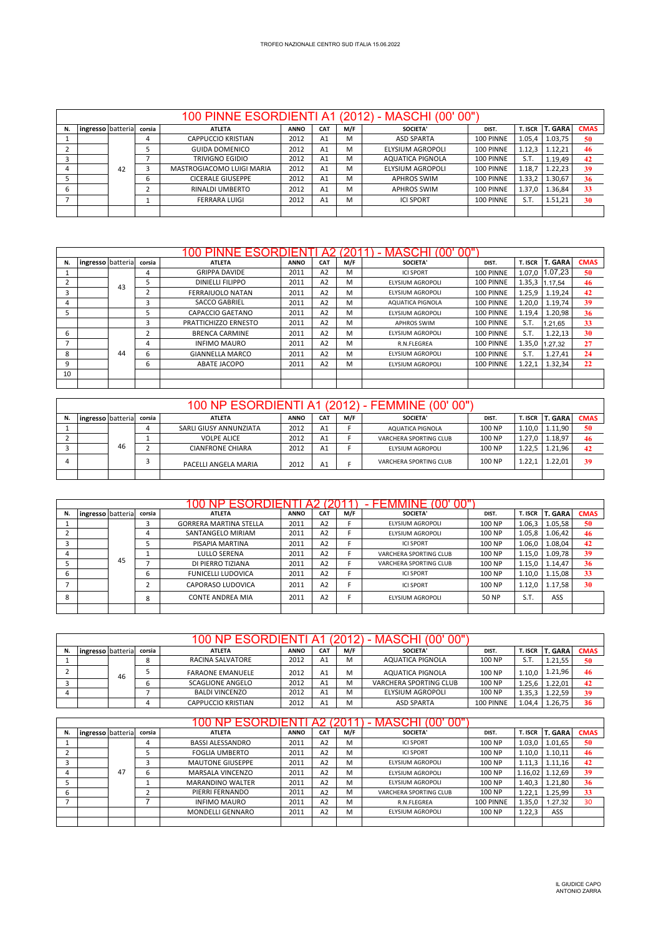|    |                   |    |        |                           |             |                |     | 100 PINNE ESORDIENTI A1 (2012) - MASCHI (00'00") |           |         |                |             |
|----|-------------------|----|--------|---------------------------|-------------|----------------|-----|--------------------------------------------------|-----------|---------|----------------|-------------|
| N. | ingresso batteria |    | corsia | <b>ATLETA</b>             | <b>ANNO</b> | <b>CAT</b>     | M/F | <b>SOCIETA'</b>                                  | DIST.     | T. ISCR | <b>T. GARA</b> | <b>CMAS</b> |
|    |                   |    | 4      | <b>CAPPUCCIO KRISTIAN</b> | 2012        | A <sub>1</sub> | м   | <b>ASD SPARTA</b>                                | 100 PINNE | 1.05,4  | 1.03,75        | 50          |
|    |                   |    |        | <b>GUIDA DOMENICO</b>     | 2012        | A <sub>1</sub> | м   | ELYSIUM AGROPOLI                                 | 100 PINNE | 1.12.3  | 1.12.21        | 46          |
|    |                   |    |        | TRIVIGNO EGIDIO           | 2012        | A <sub>1</sub> | м   | AQUATICA PIGNOLA                                 | 100 PINNE | S.T.    | 1.19,49        | 42          |
|    |                   | 42 |        | MASTROGIACOMO LUIGI MARIA | 2012        | A <sub>1</sub> | м   | <b>ELYSIUM AGROPOLI</b>                          | 100 PINNE | 1.18.7  | 1.22.23        | 39          |
|    |                   |    | 6      | <b>CICERALE GIUSEPPE</b>  | 2012        | A <sub>1</sub> | м   | APHROS SWIM                                      | 100 PINNE | 1.33,2  | 1.30,67        | 36          |
|    |                   |    |        | <b>RINALDI UMBERTO</b>    | 2012        | A <sub>1</sub> | M   | <b>APHROS SWIM</b>                               | 100 PINNE | 1.37.0  | 1.36,84        | 33          |
|    |                   |    |        | <b>FERRARA LUIGI</b>      | 2012        | A <sub>1</sub> | M   | <b>ICI SPORT</b>                                 | 100 PINNE | S.T.    | 1.51,21        | 30          |
|    |                   |    |        |                           |             |                |     |                                                  |           |         |                |             |

|    |                   |    |        | <b>ESORI</b><br>NH.     | ⊣ונ         |                |     | MASCHI                  |           |         |                |             |
|----|-------------------|----|--------|-------------------------|-------------|----------------|-----|-------------------------|-----------|---------|----------------|-------------|
| N. | ingresso batteria |    | corsia | <b>ATLETA</b>           | <b>ANNO</b> | <b>CAT</b>     | M/F | SOCIETA'                | DIST.     | T. ISCR | <b>T. GARA</b> | <b>CMAS</b> |
|    |                   |    | 4      | <b>GRIPPA DAVIDE</b>    | 2011        | A <sub>2</sub> | м   | <b>ICI SPORT</b>        | 100 PINNE | 1.07.0  | 1.07,23        | 50          |
|    |                   | 43 | 5      | <b>DINIELLI FILIPPO</b> | 2011        | A <sub>2</sub> | м   | <b>ELYSIUM AGROPOLI</b> | 100 PINNE | 1.35,3  | 1.17.54        | 46          |
|    |                   |    | ∠      | <b>FERRAIUOLO NATAN</b> | 2011        | A <sub>2</sub> | м   | <b>ELYSIUM AGROPOLI</b> | 100 PINNE | 1.25,9  | 1.19,24        | 42          |
|    |                   |    | 3      | <b>SACCO GABRIEL</b>    | 2011        | A2             | м   | AQUATICA PIGNOLA        | 100 PINNE | 1.20,0  | 1.19,74        | 39          |
|    |                   |    | 5      | CAPACCIO GAETANO        | 2011        | A2             | м   | <b>ELYSIUM AGROPOLI</b> | 100 PINNE | 1.19,4  | 1.20,98        | 36          |
|    |                   |    | 3      | PRATTICHIZZO ERNESTO    | 2011        | A <sub>2</sub> | м   | <b>APHROS SWIM</b>      | 100 PINNE | S.T.    | 1.21.65        | 33          |
| 6  |                   |    |        | <b>BRENCA CARMINE</b>   | 2011        | A2             | м   | <b>ELYSIUM AGROPOLI</b> | 100 PINNE | S.T.    | 1.22,13        | 30          |
|    |                   |    | 4      | <b>INFIMO MAURO</b>     | 2011        | A2             | м   | R.N.FLEGREA             | 100 PINNE | 1.35,0  | 1.27.32        | 27          |
| 8  |                   | 44 | 6      | <b>GIANNELLA MARCO</b>  | 2011        | A <sub>2</sub> | м   | <b>ELYSIUM AGROPOLI</b> | 100 PINNE | S.T.    | 1.27,41        | 24          |
| 9  |                   |    | 6      | ABATE JACOPO            | 2011        | A <sub>2</sub> | м   | <b>ELYSIUM AGROPOLI</b> | 100 PINNE | 1.22,1  | 1.32,34        | 22          |
| 10 |                   |    |        |                         |             |                |     |                         |           |         |                |             |
|    |                   |    |        |                         |             |                |     |                         |           |         |                |             |

|    |                   |    |        |                         |             |                |     | 100 NP ESORDIENTI A1 (2012) - FEMMINE (00' 00") |        |        |                 |             |
|----|-------------------|----|--------|-------------------------|-------------|----------------|-----|-------------------------------------------------|--------|--------|-----------------|-------------|
| N. | ingresso batteria |    | corsia | <b>ATLETA</b>           | <b>ANNO</b> | <b>CAT</b>     | M/F | SOCIETA'                                        | DIST.  |        | T. ISCR T. GARA | <b>CMAS</b> |
|    |                   |    |        | SARLI GIUSY ANNUNZIATA  | 2012        | A <sub>1</sub> |     | AQUATICA PIGNOLA                                | 100 NP | 1.10.0 | 1.11.90         | 50          |
|    |                   |    |        | <b>VOLPE ALICE</b>      | 2012        | A <sub>1</sub> |     | VARCHERA SPORTING CLUB                          | 100 NP | 1.27.0 | 1.18.97         | 46          |
|    |                   | 46 |        | <b>CIANFRONE CHIARA</b> | 2012        | A <sub>1</sub> |     | ELYSIUM AGROPOLI                                | 100 NP | 1.22.5 | 1.21.96         | 42          |
|    |                   |    |        | PACELLI ANGELA MARIA    | 2012        | A1             |     | VARCHERA SPORTING CLUB                          | 100 NP |        | 1.22.01         | 39          |
|    |                   |    |        |                         |             |                |     |                                                 |        |        |                 |             |

|    |                   |    |        | <b>ESORDIEI</b>               |             |                |     |                        |        |                |                |             |
|----|-------------------|----|--------|-------------------------------|-------------|----------------|-----|------------------------|--------|----------------|----------------|-------------|
| N. | ingresso batteria |    | corsia | <b>ATLETA</b>                 | <b>ANNO</b> | <b>CAT</b>     | M/F | <b>SOCIETA'</b>        | DIST.  | <b>T. ISCR</b> | <b>T. GARA</b> | <b>CMAS</b> |
|    |                   |    |        | <b>GORRERA MARTINA STELLA</b> | 2011        | A <sub>2</sub> |     | ELYSIUM AGROPOLI       | 100 NP | 1.06,3         | 1.05,58        | 50          |
|    |                   |    |        | SANTANGELO MIRIAM             | 2011        | A <sub>2</sub> |     | ELYSIUM AGROPOLI       | 100 NP | 1.05,8         | 1.06.42        | 46          |
|    |                   |    |        | PISAPIA MARTINA               | 2011        | A <sub>2</sub> |     | <b>ICI SPORT</b>       | 100 NP | 1.06.0         | 1.08.04        | 42          |
| 4  |                   |    |        | LULLO SERENA                  | 2011        | A <sub>2</sub> |     | VARCHERA SPORTING CLUB | 100 NP | 1.15.0         | 1.09,78        | 39          |
|    |                   | 45 |        | DI PIERRO TIZIANA             | 2011        | A <sub>2</sub> |     | VARCHERA SPORTING CLUB | 100 NP | 1.15.0         | 1.14.47        | 36          |
| b  |                   |    | ь      | <b>FUNICELLI LUDOVICA</b>     | 2011        | A <sub>2</sub> |     | <b>ICI SPORT</b>       | 100 NP | 1.10.0         | 1.15.08        | 33          |
|    |                   |    |        | CAPORASO LUDOVICA             | 2011        | A <sub>2</sub> |     | <b>ICI SPORT</b>       | 100 NP | 1.12.0         | 1.17.58        | 30          |
| 8  |                   |    | 8      | <b>CONTE ANDREA MIA</b>       | 2011        | A <sub>2</sub> |     | ELYSIUM AGROPOLI       | 50 NP  | S.T.           | ASS            |             |
|    |                   |    |        |                               |             |                |     |                        |        |                |                |             |

|                          |    |        | 100 NP ESORDIENTI A1      |             |                |     | 00"<br>(2012) - MASCHI (00' |           |         |                |             |
|--------------------------|----|--------|---------------------------|-------------|----------------|-----|-----------------------------|-----------|---------|----------------|-------------|
| <b>ingresso</b> batteria |    | corsia | <b>ATLETA</b>             | <b>ANNO</b> | <b>CAT</b>     | M/F | <b>SOCIETA'</b>             | DIST.     | T. ISCR | <b>T. GARA</b> | <b>CMAS</b> |
|                          |    | o      | RACINA SALVATORE          | 2012        | A <sub>1</sub> | м   | AQUATICA PIGNOLA            | 100 NP    | S.T     | 1.21.55        | 50          |
|                          | 46 |        | <b>FARAONE EMANUELE</b>   | 2012        | A <sub>1</sub> | M   | AQUATICA PIGNOLA            | 100 NP    | 1.10.0  | 1.21,96        | 46          |
|                          |    |        | <b>SCAGLIONE ANGELO</b>   | 2012        | A <sub>1</sub> | M   | VARCHERA SPORTING CLUB      | 100 NP    | 1.25.6  | 1.22,01        | 42          |
|                          |    |        | <b>BALDI VINCENZO</b>     | 2012        | A <sub>1</sub> | м   | ELYSIUM AGROPOLI            | 100 NP    | 1.35,3  | 1.22.59        | 39          |
|                          |    |        | <b>CAPPUCCIO KRISTIAN</b> | 2012        | A <sub>1</sub> | M   | <b>ASD SPARTA</b>           | 100 PINNE | 1.04,4  | 1.26,75        | 36          |

|    |                   |    |        |                         |             |                |     | <b>MASCHI</b><br>აი"   |           |                |                |             |
|----|-------------------|----|--------|-------------------------|-------------|----------------|-----|------------------------|-----------|----------------|----------------|-------------|
| N. | ingresso batteria |    | corsia | <b>ATLETA</b>           | <b>ANNO</b> | <b>CAT</b>     | M/F | <b>SOCIETA'</b>        | DIST.     | <b>T. ISCR</b> | <b>T. GARA</b> | <b>CMAS</b> |
|    |                   |    | 4      | <b>BASSI ALESSANDRO</b> | 2011        | A <sub>2</sub> | м   | <b>ICI SPORT</b>       | 100 NP    | 1.03.0         | 1.01,65        | 50          |
|    |                   |    |        | <b>FOGLIA UMBERTO</b>   | 2011        | A <sub>2</sub> | м   | <b>ICI SPORT</b>       | 100 NP    | 1.10,0         | 1.10,11        | 46          |
|    |                   |    |        | <b>MAUTONE GIUSEPPE</b> | 2011        | A <sub>2</sub> | M   | ELYSIUM AGROPOLI       | 100 NP    | 1.11,3         | 1.11,16        | 42          |
|    |                   | 47 | ь      | MARSALA VINCENZO        | 2011        | A <sub>2</sub> | м   | ELYSIUM AGROPOLI       | 100 NP    | 1.16,02        | 1.12,69        | 39          |
|    |                   |    |        | <b>MARANDINO WALTER</b> | 2011        | A <sub>2</sub> | M   | ELYSIUM AGROPOLI       | 100 NP    | 1.40,3         | 1.21,80        | 36          |
| ь  |                   |    |        | PIERRI FERNANDO         | 2011        | A2             | M   | VARCHERA SPORTING CLUB | 100 NP    | 1.22.1         | 1.25,99        | 33          |
|    |                   |    |        | <b>INFIMO MAURO</b>     | 2011        | A <sub>2</sub> | M   | R.N.FLEGREA            | 100 PINNE | 1.35,0         | 1.27.32        | 30          |
|    |                   |    |        | MONDELLI GENNARO        | 2011        | A <sub>2</sub> | M   | ELYSIUM AGROPOLI       | 100 NP    | 1.22,3         | ASS            |             |
|    |                   |    |        |                         |             |                |     |                        |           |                |                |             |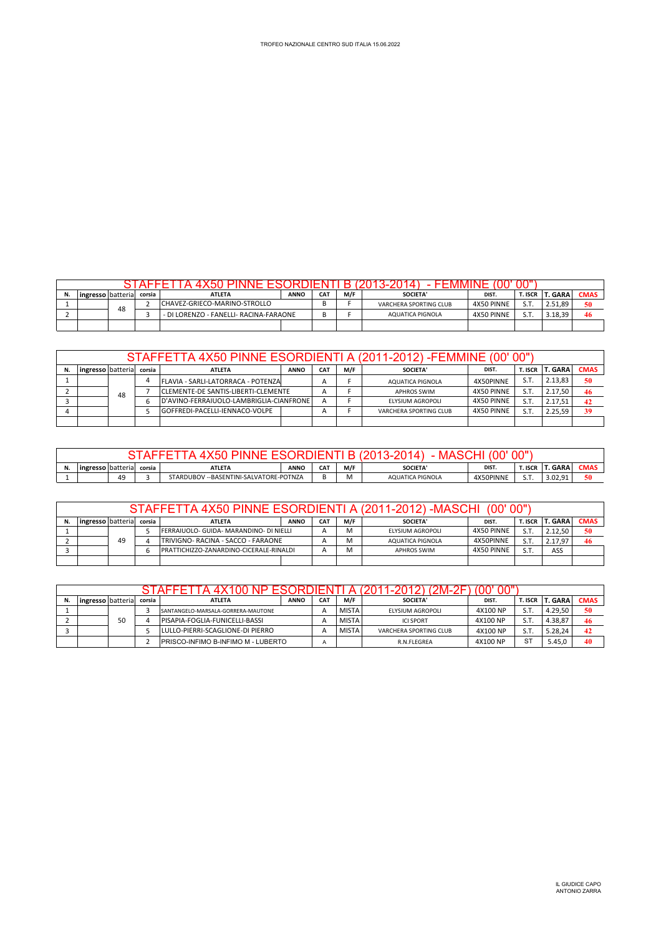| lingresso I batterial |                                                                               | corsia | <b>ATLETA</b> | <b>ANNO</b> | CA <sub>1</sub> | M/F                    | <b>SOCIETA'</b> | DIST. | r. ISCR | <b>T. GARA</b> | <b>CMAS</b> |
|-----------------------|-------------------------------------------------------------------------------|--------|---------------|-------------|-----------------|------------------------|-----------------|-------|---------|----------------|-------------|
|                       | ICHAVEZ-GRIECO-MARINO-STROLLO<br>48<br>- DI LORENZO - FANELLI- RACINA-FARAONE |        |               |             |                 | VARCHERA SPORTING CLUB | 4X50 PINNE      | S.T   | 2.51.89 | 50             |             |
|                       |                                                                               |        |               | D<br>Þ      |                 | AQUATICA PIGNOLA       | 4X50 PINNE      | S.T   | 3.18.39 | 46             |             |
|                       |                                                                               |        |               |             |                 |                        |                 |       |         |                |             |

|    |                   |    |        | STAFFETTA 4X50 PINNE ESORDIENTI A (2011-2012) -FEMMINE (00' 00") |             |                 |     |                        |            |           |                |             |
|----|-------------------|----|--------|------------------------------------------------------------------|-------------|-----------------|-----|------------------------|------------|-----------|----------------|-------------|
| N. | ingresso batteria |    | corsia | <b>ATLETA</b>                                                    | <b>ANNO</b> | CA <sub>1</sub> | M/F | SOCIETA'               | DIST.      | T. ISCR I | <b>T. GARA</b> | <b>CMAS</b> |
|    |                   |    |        | FLAVIA - SARLI-LATORRACA - POTENZA                               |             |                 |     | AQUATICA PIGNOLA       | 4X50PINNE  | S.T.      | 2.13.83        | 50          |
|    |                   | 48 |        | <b>CLEMENTE-DE SANTIS-LIBERTI-CLEMENTE</b>                       |             | А               |     | <b>APHROS SWIM</b>     | 4X50 PINNE | S.T       | 2.17.50        | 46          |
|    |                   |    |        | D'AVINO-FERRAIUOLO-LAMBRIGLIA-CIANFRONE                          |             | $\mathsf{A}$    |     | ELYSIUM AGROPOLI       | 4X50 PINNE | S.T       | 2.17.51        | 42          |
|    |                   |    |        | GOFFREDI-PACELLI-IENNACO-VOLPE                                   |             |                 |     | VARCHERA SPORTING CLUB | 4X50 PINNE | S.T.      | 2.25.59        | 39          |
|    |                   |    |        |                                                                  |             |                 |     |                        |            |           |                |             |

|                                                                                                                 |                            |  |        |               |             |            |     | . WI+          |       | 00"'    |         |             |
|-----------------------------------------------------------------------------------------------------------------|----------------------------|--|--------|---------------|-------------|------------|-----|----------------|-------|---------|---------|-------------|
|                                                                                                                 | <b>lingresso</b> batterial |  | corsia | <b>ATLETA</b> | <b>ANNO</b> | <b>CAT</b> | M/F | <b>SOCIETA</b> | DIST. | T. ISCR | T. GARA | <b>CMAS</b> |
| S.T<br>49<br>3.02.91<br>/ --BASENTINI-SALVATORE-POTNZA<br>4X50PINNE<br>STARDUBOV<br>AQUATICA PIGNOLA<br><br>י י |                            |  |        |               |             |            |     | 50             |       |         |         |             |

|    |                                                              |    |  | STAFFETTA 4X50 PINNE ESORDIENTI A (2011-2012) -MASCHI (00'00") |  |                |     |                    |            |         |                 |             |
|----|--------------------------------------------------------------|----|--|----------------------------------------------------------------|--|----------------|-----|--------------------|------------|---------|-----------------|-------------|
| N. | <b>ANNO</b><br><b>ATLETA</b><br>corsia<br>ingresso batterial |    |  |                                                                |  | CA1            | M/F | SOCIETA'           | DIST.      | T. ISCR | <b>IT. GARA</b> | <b>CMAS</b> |
|    |                                                              |    |  | FERRAIUOLO- GUIDA- MARANDINO- DI NIELLI                        |  |                | м   | ELYSIUM AGROPOLI   | 4X50 PINNE | S.T     | 2.12.50         | 50          |
|    |                                                              | 49 |  | TRIVIGNO- RACINA - SACCO - FARAONE                             |  |                | м   | AQUATICA PIGNOLA   | 4X50PINNE  | S.T     | 2.17.97         | 46          |
|    |                                                              |    |  | PRATTICHIZZO-ZANARDINO-CICERALE-RINALDI                        |  | $\overline{A}$ | м   | <b>APHROS SWIM</b> | 4X50 PINNE | S.T     | ASS             |             |
|    |                                                              |    |  |                                                                |  |                |     |                    |            |         |                 |             |

|                   |    |        |                                            |             |                 |              | 1-2012) (ZM-ZF)        | υυ<br><b>TUU</b> |         |         |             |
|-------------------|----|--------|--------------------------------------------|-------------|-----------------|--------------|------------------------|------------------|---------|---------|-------------|
| ingresso batteria |    | corsia | <b>ATLETA</b>                              | <b>ANNO</b> | CA <sub>1</sub> | M/F          | <b>SOCIETA'</b>        | DIST.            | T. ISCR | . GARA  | <b>CMAS</b> |
|                   |    |        | SANTANGELO-MARSALA-GORRERA-MAUTONE         |             |                 | <b>MISTA</b> | ELYSIUM AGROPOLI       | 4X100 NP         | S.T     | 4.29.50 | 50          |
|                   | 50 |        | PISAPIA-FOGLIA-FUNICELLI-BASSI             |             |                 | <b>MISTA</b> | <b>ICI SPORT</b>       | 4X100 NP         | S.T     | 4.38.87 | 46          |
|                   |    |        | LULLO-PIERRI-SCAGLIONE-DI PIERRO           |             |                 | <b>MISTA</b> | VARCHERA SPORTING CLUB | 4X100 NP         | S.T     | 5.28.24 | 42          |
|                   |    |        | <b>IPRISCO-INFIMO B-INFIMO M - LUBERTO</b> |             |                 |              | R.N.FLEGREA            | 4X100 NP         | ST      | 5.45.0  | 40          |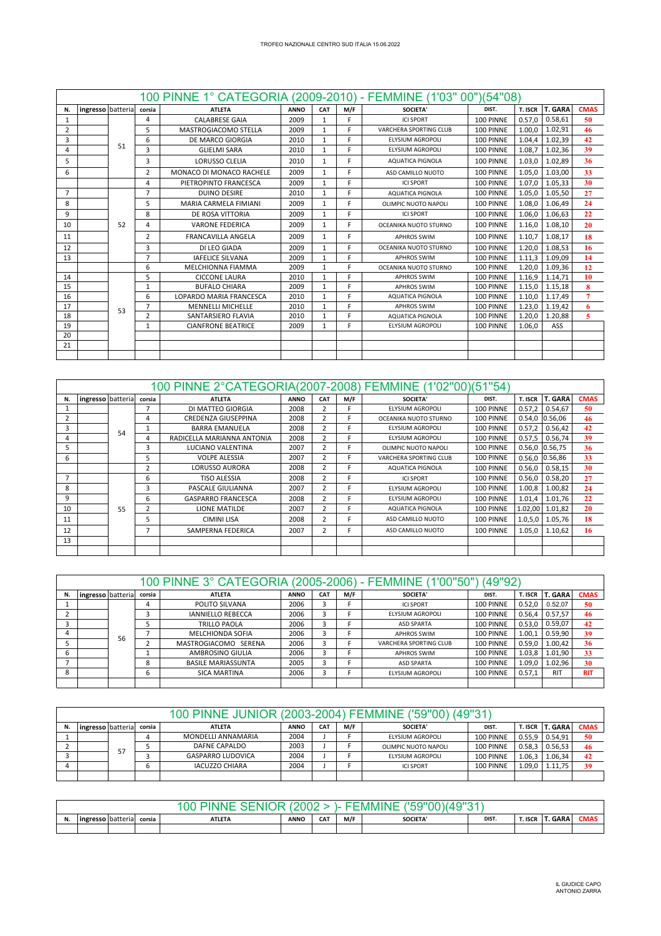|                |                   |    |                | 100 PINNE 1° CATEGORIA (2009-2010) - FEMMINE (1'03" 00")(54"08) |             |              |     |                               |           |         |                |             |
|----------------|-------------------|----|----------------|-----------------------------------------------------------------|-------------|--------------|-----|-------------------------------|-----------|---------|----------------|-------------|
| N.             | ingresso batteria |    | corsia         | <b>ATLETA</b>                                                   | <b>ANNO</b> | CAT          | M/F | <b>SOCIETA'</b>               | DIST.     | T. ISCR | <b>T. GARA</b> | <b>CMAS</b> |
| $\mathbf{1}$   |                   |    | $\overline{4}$ | <b>CALABRESE GAIA</b>                                           | 2009        | $\mathbf{1}$ | E.  | <b>ICLSPORT</b>               | 100 PINNE | 0.57.0  | 0.58.61        | 50          |
| 2              |                   |    | 5              | MASTROGIACOMO STELLA                                            | 2009        | 1            | F.  | <b>VARCHERA SPORTING CLUB</b> | 100 PINNE | 1.00.0  | 1.02,91        | 46          |
| 3              |                   |    | 6              | <b>DE MARCO GIORGIA</b>                                         | 2010        | 1            | E.  | <b>ELYSIUM AGROPOLI</b>       | 100 PINNE | 1.04,4  | 1.02.39        | 42          |
|                |                   | 51 | 3              | <b>GLIELMI SARA</b>                                             | 2010        | 1            | E.  | <b>ELYSIUM AGROPOLI</b>       | 100 PINNE | 1.08,7  | 1.02,36        | 39          |
| 5              |                   |    | 3              | <b>LORUSSO CLELIA</b>                                           | 2010        | $\mathbf{1}$ | F.  | <b>AQUATICA PIGNOLA</b>       | 100 PINNE | 1.03.0  | 1.02.89        | 36          |
| 6              |                   |    | $\overline{2}$ | MONACO DI MONACO RACHELE                                        | 2009        | 1            | E   | ASD CAMILLO NUOTO             | 100 PINNE | 1.05.0  | 1.03,00        | 33          |
|                |                   |    | 4              | PIETROPINTO FRANCESCA                                           | 2009        | $\mathbf{1}$ | F   | <b>ICLSPORT</b>               | 100 PINNE | 1.07.0  | 1.05,33        | 30          |
| $\overline{7}$ |                   |    | $\overline{7}$ | <b>DUINO DESIRE</b>                                             | 2010        | 1            | F.  | <b>AQUATICA PIGNOLA</b>       | 100 PINNE | 1.05,0  | 1.05,50        | 27          |
| 8              |                   |    | 5              | MARIA CARMELA FIMIANI                                           | 2009        | $\mathbf{1}$ | F   | OLIMPIC NUOTO NAPOLI          | 100 PINNE | 1.08.0  | 1.06.49        | 24          |
| 9              |                   |    | 8              | DE ROSA VITTORIA                                                | 2009        | 1            | E.  | <b>ICI SPORT</b>              | 100 PINNE | 1.06.0  | 1.06,63        | 22          |
| 10             |                   | 52 | 4              | <b>VARONE FEDERICA</b>                                          | 2009        | 1            | F.  | OCEANIKA NUOTO STURNO         | 100 PINNE | 1.16.0  | 1.08,10        | 20          |
| 11             |                   |    | 2              | <b>FRANCAVILLA ANGELA</b>                                       | 2009        | 1            | F   | <b>APHROS SWIM</b>            | 100 PINNE | 1.10.7  | 1.08.17        | 18          |
| 12             |                   |    | 3              | DI LEO GIADA                                                    | 2009        | 1            | с   | OCEANIKA NUOTO STURNO         | 100 PINNE | 1.20.0  | 1.08,53        | 16          |
| 13             |                   |    | $\overline{7}$ | <b>IAFELICE SILVANA</b>                                         | 2009        | 1            | E.  | <b>APHROS SWIM</b>            | 100 PINNE | 1.11.3  | 1.09.09        | 14          |
|                |                   |    | 6              | MELCHIONNA FIAMMA                                               | 2009        | $\mathbf{1}$ | F   | OCEANIKA NUOTO STURNO         | 100 PINNE | 1.20,0  | 1.09,36        | 12          |
| 14             |                   |    | 5              | <b>CICCONE LAURA</b>                                            | 2010        | $\mathbf{1}$ | F   | <b>APHROS SWIM</b>            | 100 PINNE | 1.16.9  | 1.14,71        | 10          |
| 15             |                   |    | $\mathbf{1}$   | <b>BUFALO CHIARA</b>                                            | 2009        | $\mathbf{1}$ | F   | <b>APHROS SWIM</b>            | 100 PINNE | 1.15.0  | 1.15.18        | 8           |
| 16             |                   |    | 6              | LOPARDO MARIA FRANCESCA                                         | 2010        | 1            | Е   | <b>AQUATICA PIGNOLA</b>       | 100 PINNE | 1.10,0  | 1.17,49        |             |
| 17             |                   | 53 | $\overline{7}$ | <b>MENNELLI MICHELLE</b>                                        | 2010        | 1            | F   | <b>APHROS SWIM</b>            | 100 PINNE | 1.23,0  | 1.19,42        | 6           |
| 18             |                   |    | $\overline{2}$ | SANTARSIERO FLAVIA                                              | 2010        | $\mathbf{1}$ | F   | <b>AQUATICA PIGNOLA</b>       | 100 PINNE | 1.20,0  | 1.20,88        | 5           |
| 19             |                   |    | $\mathbf{1}$   | <b>CIANFRONE BEATRICE</b>                                       | 2009        | $\mathbf{1}$ | F.  | <b>ELYSIUM AGROPOLI</b>       | 100 PINNE | 1.06.0  | ASS            |             |
| 20             |                   |    |                |                                                                 |             |              |     |                               |           |         |                |             |
| 21             |                   |    |                |                                                                 |             |              |     |                               |           |         |                |             |
|                |                   |    |                |                                                                 |             |              |     |                               |           |         |                |             |

|    |                   |    |                | 100 PINNE 2°CATEGORIA(2007-2008) FEMMINE (1'02"00)(51"54) |             |                         |     |                         |           |           |                   |             |
|----|-------------------|----|----------------|-----------------------------------------------------------|-------------|-------------------------|-----|-------------------------|-----------|-----------|-------------------|-------------|
| N. | ingresso batteria |    | corsia         | <b>ATLETA</b>                                             | <b>ANNO</b> | CAT                     | M/F | <b>SOCIETA'</b>         | DIST.     | T. ISCR   | <b>T. GARA</b>    | <b>CMAS</b> |
|    |                   |    |                | DI MATTEO GIORGIA                                         | 2008        |                         |     | ELYSIUM AGROPOLI        | 100 PINNE | 0.57.2    | 0.54.67           | 50          |
|    |                   |    | 4              | CREDENZA GIUSEPPINA                                       | 2008        | $\overline{2}$          |     | OCEANIKA NUOTO STURNO   | 100 PINNE | 0.54,0    | 0.56,06           | 46          |
| 3  |                   | 54 |                | <b>BARRA EMANUELA</b>                                     | 2008        | $\overline{2}$          |     | ELYSIUM AGROPOLI        | 100 PINNE | 0.57,2    | 0.56,42           | 42          |
| 4  |                   |    | 4              | RADICELLA MARIANNA ANTONIA                                | 2008        | $\overline{\mathbf{c}}$ |     | ELYSIUM AGROPOLI        | 100 PINNE | 0.57,5    | 0.56,74           | 39          |
| 5. |                   |    | 3              | LUCIANO VALENTINA                                         | 2007        | 2                       |     | OLIMPIC NUOTO NAPOLI    | 100 PINNE |           | 0.56,0 0.56,75    | 36          |
| 6  |                   |    | 5              | <b>VOLPE ALESSIA</b>                                      | 2007        | $\overline{2}$          |     | VARCHERA SPORTING CLUB  | 100 PINNE |           | $0.56, 0$ 0.56,86 | 33          |
|    |                   |    | $\overline{2}$ | <b>LORUSSO AURORA</b>                                     | 2008        | $\overline{2}$          |     | <b>AQUATICA PIGNOLA</b> | 100 PINNE | 0.56,0    | 0.58,15           | 30          |
|    |                   |    | 6              | <b>TISO ALESSIA</b>                                       | 2008        | $\overline{2}$          |     | <b>ICI SPORT</b>        | 100 PINNE | 0.56,0    | 0.58,20           | 27          |
| 8  |                   |    | 3              | PASCALE GIULIANNA                                         | 2007        | $\overline{2}$          |     | ELYSIUM AGROPOLI        | 100 PINNE | 1.00,8    | 1.00,82           | 24          |
| 9  |                   |    | 6              | <b>GASPARRO FRANCESCA</b>                                 | 2008        | $\overline{2}$          |     | ELYSIUM AGROPOLI        | 100 PINNE | 1.01,4    | 1.01,76           | 22          |
| 10 |                   | 55 |                | <b>LIONE MATILDE</b>                                      | 2007        | $\overline{2}$          |     | AQUATICA PIGNOLA        | 100 PINNE | 1.02,00   | 1.01,82           | 20          |
| 11 |                   |    | 5              | <b>CIMINI LISA</b>                                        | 2008        | $\overline{2}$          |     | ASD CAMILLO NUOTO       | 100 PINNE | 1.0, 5, 0 | 1.05,76           | 18          |
| 12 |                   |    | 7              | SAMPERNA FEDERICA                                         | 2007        | $\overline{2}$          |     | ASD CAMILLO NUOTO       | 100 PINNE | 1.05,0    | 1.10,62           | 16          |
| 13 |                   |    |                |                                                           |             |                         |     |                         |           |           |                   |             |
|    |                   |    |                |                                                           |             |                         |     |                         |           |           |                   |             |

|    |                   |    |        | 100 PINNE 3° CATEGORIA (2005-2006) - FEMMINE (1'00"50") |             |            |     |                        | (49"92)   |         |                |             |
|----|-------------------|----|--------|---------------------------------------------------------|-------------|------------|-----|------------------------|-----------|---------|----------------|-------------|
| N. | ingresso batteria |    | corsia | <b>ATLETA</b>                                           | <b>ANNO</b> | <b>CAT</b> | M/F | <b>SOCIETA'</b>        | DIST.     | T. ISCR | <b>T. GARA</b> | <b>CMAS</b> |
|    |                   |    | 4      | POLITO SILVANA                                          | 2006        |            |     | <b>ICI SPORT</b>       | 100 PINNE | 0.52.0  | 0.52.07        | 50          |
|    |                   |    | 3      | <b>IANNIELLO REBECCA</b>                                | 2006        |            |     | ELYSIUM AGROPOLI       | 100 PINNE | 0.56.4  | 0.57,57        | 46          |
|    |                   |    |        | TRILLO PAOLA                                            | 2006        | 3          |     | <b>ASD SPARTA</b>      | 100 PINNE | 0.53.0  | 0.59,07        | 42          |
| 4  |                   | 56 |        | <b>MELCHIONDA SOFIA</b>                                 | 2006        |            |     | <b>APHROS SWIM</b>     | 100 PINNE | 1.00,1  | 0.59,90        | 39          |
|    |                   |    |        | MASTROGIACOMO SERENA                                    | 2006        |            |     | VARCHERA SPORTING CLUB | 100 PINNE | 0.59.0  | 1.00,42        | 36          |
| b  |                   |    |        | AMBROSINO GIULIA                                        | 2006        | 3          |     | <b>APHROS SWIM</b>     | 100 PINNE | 1.03.8  | 1.01,90        | 33          |
|    |                   |    | 8      | <b>BASILE MARIASSUNTA</b>                               | 2005        | 3          |     | <b>ASD SPARTA</b>      | 100 PINNE | 1.09,0  | 1.02,96        | 30          |
| 8  |                   |    | 6      | SICA MARTINA                                            | 2006        |            |     | ELYSIUM AGROPOLI       | 100 PINNE | 0.57.1  | <b>RIT</b>     | <b>RIT</b>  |
|    |                   |    |        |                                                         |             |            |     |                        |           |         |                |             |

|    |                   |    |        | 100 PINNE JUNIOR (2003-2004) FEMMINE ('59"00) (49"31 |             |                 |     |                      |           |                |                |             |
|----|-------------------|----|--------|------------------------------------------------------|-------------|-----------------|-----|----------------------|-----------|----------------|----------------|-------------|
| N. | ingresso batteria |    | corsia | <b>ATLETA</b>                                        | <b>ANNO</b> | CA <sub>1</sub> | M/F | <b>SOCIETA'</b>      | DIST.     | <b>T. ISCR</b> | <b>T. GARA</b> | <b>CMAS</b> |
|    |                   |    |        | MONDELLI ANNAMARIA                                   | 2004        |                 |     | ELYSIUM AGROPOLI     | 100 PINNE | 0.55.9         | 0.54.91        | 50          |
|    |                   | 57 |        | DAFNE CAPALDO                                        | 2003        |                 |     | OLIMPIC NUOTO NAPOLI | 100 PINNE | 0.58.3         | 0.56.53        | 46          |
|    |                   |    |        | <b>GASPARRO LUDOVICA</b>                             | 2004        |                 |     | ELYSIUM AGROPOLI     | 100 PINNE | 1.06.3         | 1.06.34        | 42          |
|    |                   |    |        | <b>IACUZZO CHIARA</b>                                | 2004        |                 |     | <b>ICI SPORT</b>     | 100 PINNE | 1.09.0         | 1.11.75        | 39          |
|    |                   |    |        |                                                      |             |                 |     |                      |           |                |                |             |

|    |                                                                                                                                           |  |  | 00<br>NIN | τи |  |  | AOMOAP<br>· IVINI |  |  |  |  |  |
|----|-------------------------------------------------------------------------------------------------------------------------------------------|--|--|-----------|----|--|--|-------------------|--|--|--|--|--|
| N. | T. GARA<br>ingresso batteria<br>M/F<br>CMAS<br>T. ISCR<br><b>CAT</b><br><b>SOCIETA</b><br>DIST.<br><b>ANNO</b><br><b>ATLETA</b><br>corsia |  |  |           |    |  |  |                   |  |  |  |  |  |
|    |                                                                                                                                           |  |  |           |    |  |  |                   |  |  |  |  |  |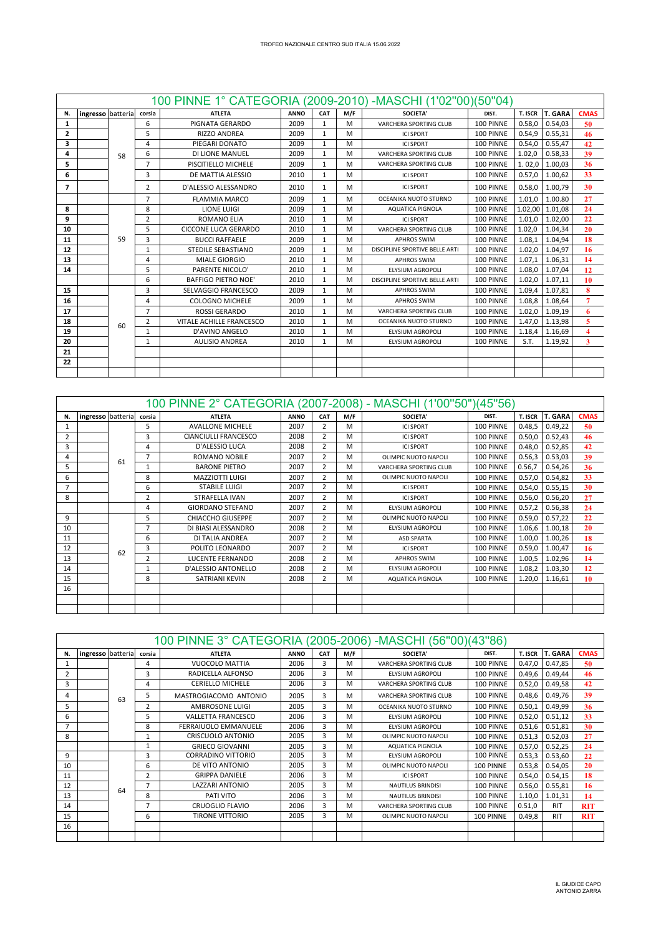|                |                   |    |                | 100 PINNE 1° CATEGORIA (2009-2010) - MASCHI (1'02"00) (50"04) |             |              |     |                                |           |         |                |                         |
|----------------|-------------------|----|----------------|---------------------------------------------------------------|-------------|--------------|-----|--------------------------------|-----------|---------|----------------|-------------------------|
| N.             | ingresso batteria |    | corsia         | <b>ATLETA</b>                                                 | <b>ANNO</b> | CAT          | M/F | <b>SOCIETA'</b>                | DIST.     | T. ISCR | <b>T. GARA</b> | <b>CMAS</b>             |
| $\mathbf{1}$   |                   |    | 6              | PIGNATA GERARDO                                               | 2009        | $\mathbf{1}$ | M   | VARCHERA SPORTING CLUB         | 100 PINNE | 0.58,0  | 0.54.03        | 50                      |
| $\overline{2}$ |                   |    | 5              | <b>RIZZO ANDREA</b>                                           | 2009        | $\mathbf{1}$ | M   | <b>ICI SPORT</b>               | 100 PINNE | 0.54.9  | 0.55.31        | 46                      |
| 3              |                   |    | 4              | PIEGARI DONATO                                                | 2009        | $\mathbf{1}$ | M   | <b>ICI SPORT</b>               | 100 PINNE | 0.54.0  | 0.55.47        | 42                      |
| 4              |                   | 58 | 6              | DI LIONE MANUEL                                               | 2009        | $\mathbf{1}$ | M   | <b>VARCHERA SPORTING CLUB</b>  | 100 PINNE | 1.02,0  | 0.58.33        | 39                      |
| 5              |                   |    | $\overline{7}$ | PISCITIELLO MICHELE                                           | 2009        | $\mathbf{1}$ | M   | VARCHERA SPORTING CLUB         | 100 PINNE | 1.02,0  | 1.00,03        | 36                      |
| 6              |                   |    | 3              | DE MATTIA ALESSIO                                             | 2010        | $\mathbf{1}$ | M   | <b>ICI SPORT</b>               | 100 PINNE | 0.57.0  | 1.00.62        | 33                      |
| 7              |                   |    | 2              | D'ALESSIO ALESSANDRO                                          | 2010        | 1            | M   | <b>ICI SPORT</b>               | 100 PINNE | 0.58.0  | 1.00.79        | 30                      |
|                |                   |    | $\overline{7}$ | <b>FLAMMIA MARCO</b>                                          | 2009        | $\mathbf{1}$ | M   | OCEANIKA NUOTO STURNO          | 100 PINNE | 1.01.0  | 1.00.80        | 27                      |
| 8              |                   |    | 8              | <b>LIONE LUIGI</b>                                            | 2009        | $\mathbf{1}$ | M   | AQUATICA PIGNOLA               | 100 PINNE | 1.02,00 | 1.01,08        | 24                      |
| 9              |                   |    | 2              | <b>ROMANO ELIA</b>                                            | 2010        | 1            | M   | <b>ICI SPORT</b>               | 100 PINNE | 1.01,0  | 1.02,00        | 22                      |
| 10             |                   |    | 5              | <b>CICCONE LUCA GERARDO</b>                                   | 2010        | 1            | M   | VARCHERA SPORTING CLUB         | 100 PINNE | 1.02.0  | 1.04.34        | 20                      |
| 11             |                   | 59 | 3              | <b>BUCCI RAFFAELE</b>                                         | 2009        | $\mathbf{1}$ | M   | <b>APHROS SWIM</b>             | 100 PINNE | 1.08,1  | 1.04.94        | 18                      |
| 12             |                   |    | $\mathbf{1}$   | STEDILE SEBASTIANO                                            | 2009        | $\mathbf{1}$ | M   | DISCIPLINE SPORTIVE BELLE ARTI | 100 PINNE | 1.02,0  | 1.04,97        | 16                      |
| 13             |                   |    | 4              | <b>MIALE GIORGIO</b>                                          | 2010        | 1            | M   | <b>APHROS SWIM</b>             | 100 PINNE | 1.07.1  | 1.06.31        | 14                      |
| 14             |                   |    | 5              | PARENTE NICOLO'                                               | 2010        | $\mathbf{1}$ | M   | <b>ELYSIUM AGROPOLI</b>        | 100 PINNE | 1.08.0  | 1.07.04        | 12                      |
|                |                   |    | 6              | <b>BAFFIGO PIETRO NOE'</b>                                    | 2010        | $\mathbf{1}$ | M   | DISCIPLINE SPORTIVE BELLE ARTI | 100 PINNE | 1.02,0  | 1.07,11        | 10                      |
| 15             |                   |    | 3              | SELVAGGIO FRANCESCO                                           | 2009        | 1            | M   | <b>APHROS SWIM</b>             | 100 PINNE | 1.09.4  | 1.07.81        | 8                       |
| 16             |                   |    | 4              | COLOGNO MICHELE                                               | 2009        | $\mathbf{1}$ | M   | <b>APHROS SWIM</b>             | 100 PINNE | 1.08,8  | 1.08,64        | $\overline{7}$          |
| 17             |                   |    | $\overline{7}$ | <b>ROSSI GERARDO</b>                                          | 2010        | $\mathbf{1}$ | M   | <b>VARCHERA SPORTING CLUB</b>  | 100 PINNE | 1.02,0  | 1.09,19        | 6                       |
| 18             |                   | 60 | 2              | VITALE ACHILLE FRANCESCO                                      | 2010        | $\mathbf{1}$ | M   | OCEANIKA NUOTO STURNO          | 100 PINNE | 1.47.0  | 1.13.98        | 5                       |
| 19             |                   |    | $\mathbf{1}$   | D'AVINO ANGELO                                                | 2010        | $\mathbf{1}$ | M   | <b>ELYSIUM AGROPOLI</b>        | 100 PINNE | 1.18,4  | 1.16,69        | $\overline{\mathbf{4}}$ |
| 20             |                   |    | 1              | <b>AULISIO ANDREA</b>                                         | 2010        | 1            | M   | <b>ELYSIUM AGROPOLI</b>        | 100 PINNE | S.T.    | 1.19,92        | 3                       |
| 21             |                   |    |                |                                                               |             |              |     |                                |           |         |                |                         |
| 22             |                   |    |                |                                                               |             |              |     |                                |           |         |                |                         |
|                |                   |    |                |                                                               |             |              |     |                                |           |         |                |                         |

|    |                   |    |                | 100 PINNE 2° CATEGORIA (2007-2008) - MASCHI (1'00"50")(45"56) |             |                |     |                         |           |                |         |             |
|----|-------------------|----|----------------|---------------------------------------------------------------|-------------|----------------|-----|-------------------------|-----------|----------------|---------|-------------|
| N. | ingresso batteria |    | corsia         | <b>ATLETA</b>                                                 | <b>ANNO</b> | <b>CAT</b>     | M/F | SOCIETA'                | DIST.     | <b>T. ISCR</b> | T. GARA | <b>CMAS</b> |
|    |                   |    | 5              | <b>AVALLONE MICHELE</b>                                       | 2007        | 2              | м   | <b>ICI SPORT</b>        | 100 PINNE | 0.48,5         | 0.49,22 | 50          |
|    |                   |    | 3              | CIANCIULLI FRANCESCO                                          | 2008        | $\overline{2}$ | м   | <b>ICI SPORT</b>        | 100 PINNE | 0.50,0         | 0.52,43 | 46          |
| 3  |                   |    | 4              | D'ALESSIO LUCA                                                | 2008        | $\overline{2}$ | м   | <b>ICI SPORT</b>        | 100 PINNE | 0.48,0         | 0.52,85 | 42          |
| 4  |                   | 61 | 7              | <b>ROMANO NOBILE</b>                                          | 2007        | $\overline{2}$ | м   | OLIMPIC NUOTO NAPOLI    | 100 PINNE | 0.56,3         | 0.53,03 | 39          |
| 5  |                   |    |                | <b>BARONE PIETRO</b>                                          | 2007        | $\overline{2}$ | м   | VARCHERA SPORTING CLUB  | 100 PINNE | 0.56,7         | 0.54,26 | 36          |
| 6  |                   |    | 8              | MAZZIOTTI LUIGI                                               | 2007        | $\overline{2}$ | м   | OLIMPIC NUOTO NAPOLI    | 100 PINNE | 0.57,0         | 0.54,82 | 33          |
|    |                   |    | 6              | <b>STABILE LUIGI</b>                                          | 2007        | 2              | м   | <b>ICI SPORT</b>        | 100 PINNE | 0.54,0         | 0.55,15 | 30          |
| 8  |                   |    | $\overline{2}$ | <b>STRAFELLA IVAN</b>                                         | 2007        | $\overline{2}$ | м   | <b>ICLSPORT</b>         | 100 PINNE | 0.56,0         | 0.56,20 | 27          |
|    |                   |    | 4              | <b>GIORDANO STEFANO</b>                                       | 2007        | $\overline{2}$ | м   | ELYSIUM AGROPOLI        | 100 PINNE | 0.57,2         | 0.56,38 | 24          |
| 9  |                   |    | 5              | CHIACCHO GIUSEPPE                                             | 2007        | $\overline{2}$ | M   | OLIMPIC NUOTO NAPOLI    | 100 PINNE | 0.59,0         | 0.57,22 | 22          |
| 10 |                   |    | $\overline{ }$ | DI BIASI ALESSANDRO                                           | 2008        | $\overline{2}$ | м   | <b>ELYSIUM AGROPOLI</b> | 100 PINNE | 1.06,6         | 1.00,18 | 20          |
| 11 |                   |    | 6              | DI TALIA ANDREA                                               | 2007        | $\overline{2}$ | м   | <b>ASD SPARTA</b>       | 100 PINNE | 1.00,0         | 1.00,26 | 18          |
| 12 |                   | 62 | 3              | POLITO LEONARDO                                               | 2007        | $\overline{2}$ | м   | <b>ICI SPORT</b>        | 100 PINNE | 0.59,0         | 1.00,47 | 16          |
| 13 |                   |    | $\overline{2}$ | LUCENTE FERNANDO                                              | 2008        | $\overline{2}$ | м   | <b>APHROS SWIM</b>      | 100 PINNE | 1.00,5         | 1.02,96 | 14          |
| 14 |                   |    |                | D'ALESSIO ANTONELLO                                           | 2008        | $\overline{2}$ | M   | ELYSIUM AGROPOLI        | 100 PINNE | 1.08,2         | 1.03,30 | 12          |
| 15 |                   |    | 8              | SATRIANI KEVIN                                                | 2008        | $\overline{2}$ | м   | <b>AQUATICA PIGNOLA</b> | 100 PINNE | 1.20,0         | 1.16,61 | 10          |
| 16 |                   |    |                |                                                               |             |                |     |                         |           |                |         |             |
|    |                   |    |                |                                                               |             |                |     |                         |           |                |         |             |
|    |                   |    |                |                                                               |             |                |     |                         |           |                |         |             |

|                |                   |    |                | 100 PINNE 3° CATEGORIA (2005-2006) -MASCHI (56"00)(43"86) |             |            |     |                          |           |         |                |             |
|----------------|-------------------|----|----------------|-----------------------------------------------------------|-------------|------------|-----|--------------------------|-----------|---------|----------------|-------------|
| N.             | ingresso batteria |    | corsia         | <b>ATLETA</b>                                             | <b>ANNO</b> | <b>CAT</b> | M/F | <b>SOCIETA'</b>          | DIST.     | T. ISCR | <b>T. GARA</b> | <b>CMAS</b> |
|                |                   |    | 4              | <b>VUOCOLO MATTIA</b>                                     | 2006        | 3          | M   | VARCHERA SPORTING CLUB   | 100 PINNE | 0.47,0  | 0.47.85        | 50          |
| $\overline{2}$ |                   |    | 3              | RADICELLA ALFONSO                                         | 2006        | 3          | M   | <b>ELYSIUM AGROPOLI</b>  | 100 PINNE | 0.49,6  | 0.49,44        | 46          |
| 3              |                   |    | 4              | <b>CERIELLO MICHELE</b>                                   | 2006        | 3          | M   | VARCHERA SPORTING CLUB   | 100 PINNE | 0.52,0  | 0.49,58        | 42          |
| 4              |                   | 63 | 5              | MASTROGIACOMO ANTONIO                                     | 2005        | 3          | M   | VARCHERA SPORTING CLUB   | 100 PINNE | 0.48, 6 | 0.49,76        | 39          |
| 5              |                   |    | $\overline{2}$ | AMBROSONE LUIGI                                           | 2005        | 3          | M   | OCEANIKA NUOTO STURNO    | 100 PINNE | 0.50.1  | 0.49,99        | 36          |
| 6              |                   |    | 5              | <b>VALLETTA FRANCESCO</b>                                 | 2006        | 3          | M   | <b>ELYSIUM AGROPOLI</b>  | 100 PINNE | 0.52,0  | 0.51,12        | 33          |
|                |                   |    | 8              | FERRAIUOLO EMMANUELE                                      | 2006        | 3          | M   | <b>ELYSIUM AGROPOLI</b>  | 100 PINNE | 0.51,6  | 0.51,81        | 30          |
| 8              |                   |    |                | <b>CRISCUOLO ANTONIO</b>                                  | 2005        | 3          | м   | OLIMPIC NUOTO NAPOLI     | 100 PINNE | 0.51,3  | 0.52,03        | 27          |
|                |                   |    |                | <b>GRIECO GIOVANNI</b>                                    | 2005        | 3          | M   | <b>AQUATICA PIGNOLA</b>  | 100 PINNE | 0.57.0  | 0.52,25        | 24          |
| 9              |                   |    | 3              | <b>CORRADINO VITTORIO</b>                                 | 2005        | 3          | M   | <b>ELYSIUM AGROPOLI</b>  | 100 PINNE | 0.53,3  | 0.53,60        | 22          |
| 10             |                   |    | 6              | DE VITO ANTONIO                                           | 2005        | 3          | M   | OLIMPIC NUOTO NAPOLI     | 100 PINNE | 0.53,8  | 0.54,05        | 20          |
| 11             |                   |    | $\overline{2}$ | <b>GRIPPA DANIELE</b>                                     | 2006        | 3          | M   | <b>ICI SPORT</b>         | 100 PINNE | 0.54,0  | 0.54,15        | 18          |
| 12             |                   | 64 | 7              | LAZZARI ANTONIO                                           | 2005        | 3          | M   | <b>NAUTILUS BRINDISI</b> | 100 PINNE | 0.56,0  | 0.55,81        | 16          |
| 13             |                   |    | 8              | PATI VITO                                                 | 2006        | 3          | М   | <b>NAUTILUS BRINDISI</b> | 100 PINNE | 1.10,0  | 1.01,31        | 14          |
| 14             |                   |    |                | <b>CRUOGLIO FLAVIO</b>                                    | 2006        | 3          | M   | VARCHERA SPORTING CLUB   | 100 PINNE | 0.51,0  | <b>RIT</b>     | <b>RIT</b>  |
| 15             |                   |    | 6              | <b>TIRONE VITTORIO</b>                                    | 2005        | 3          | M   | OLIMPIC NUOTO NAPOLI     | 100 PINNE | 0.49,8  | <b>RIT</b>     | <b>RIT</b>  |
| 16             |                   |    |                |                                                           |             |            |     |                          |           |         |                |             |
|                |                   |    |                |                                                           |             |            |     |                          |           |         |                |             |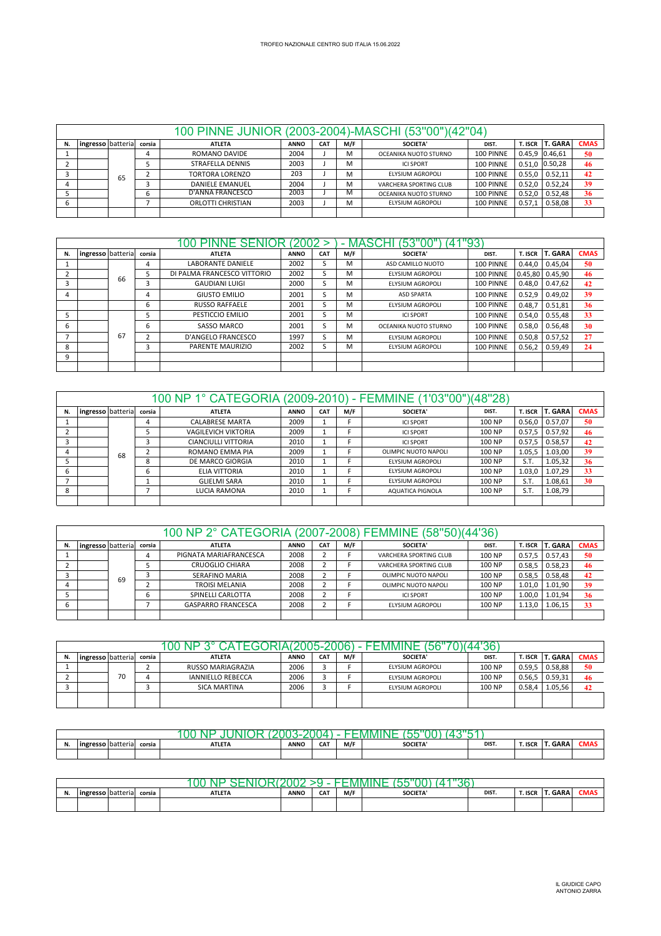|    |                                                                                                                                                       |    |  | 100 PINNE JUNIOR (2003-2004)-MASCHI (53"00")(42"04) |      |  |   |                        |           |        |                  |    |  |
|----|-------------------------------------------------------------------------------------------------------------------------------------------------------|----|--|-----------------------------------------------------|------|--|---|------------------------|-----------|--------|------------------|----|--|
| N. | <b>T. ISCR T. GARA</b><br><b>CMAS</b><br>DIST.<br>ingresso batteria<br>M/F<br><b>CAT</b><br><b>SOCIETA'</b><br><b>ATLETA</b><br><b>ANNO</b><br>corsia |    |  |                                                     |      |  |   |                        |           |        |                  |    |  |
|    |                                                                                                                                                       |    |  | ROMANO DAVIDE                                       | 2004 |  | M | OCEANIKA NUOTO STURNO  | 100 PINNE |        | 0.45,9 0.46,61   | 50 |  |
|    |                                                                                                                                                       |    |  | <b>STRAFELLA DENNIS</b>                             | 2003 |  | м | <b>ICI SPORT</b>       | 100 PINNE |        | 0.51.0 0.50,28   | 46 |  |
|    |                                                                                                                                                       | 65 |  | TORTORA LORENZO                                     | 203  |  | м | ELYSIUM AGROPOLI       | 100 PINNE | 0.55.0 | 0.52,11          | 42 |  |
|    |                                                                                                                                                       |    |  | <b>DANIELE EMANUEL</b>                              | 2004 |  | м | VARCHERA SPORTING CLUB | 100 PINNE | 0.52.0 | 0.52.24          | 39 |  |
|    |                                                                                                                                                       |    |  | D'ANNA FRANCESCO                                    | 2003 |  | м | OCEANIKA NUOTO STURNO  | 100 PINNE |        | $0.52,0$ 0.52,48 | 36 |  |
|    |                                                                                                                                                       |    |  | <b>ORLOTTI CHRISTIAN</b>                            | 2003 |  | M | ELYSIUM AGROPOLI       | 100 PINNE | 0.57.1 | $\sqrt{0.58,08}$ | 33 |  |
|    |                                                                                                                                                       |    |  |                                                     |      |  |   |                        |           |        |                  |    |  |

|    |                   |    |                | 100 PINNE SENIOR (2002      |             |            | ۰   | <b>MASCHI (53"00"</b>   | '93       |         |                   |             |
|----|-------------------|----|----------------|-----------------------------|-------------|------------|-----|-------------------------|-----------|---------|-------------------|-------------|
| N. | ingresso batteria |    | corsia         | <b>ATLETA</b>               | <b>ANNO</b> | <b>CAT</b> | M/F | <b>SOCIETA'</b>         | DIST.     | T. ISCR | <b>T. GARA</b>    | <b>CMAS</b> |
|    |                   |    | $\overline{a}$ | <b>LABORANTE DANIELE</b>    | 2002        | S          | м   | ASD CAMILLO NUOTO       | 100 PINNE | 0.44.0  | 0.45,04           | 50          |
|    |                   |    | 5              | DI PALMA FRANCESCO VITTORIO | 2002        |            | м   | <b>ELYSIUM AGROPOLI</b> | 100 PINNE |         | $0.45,80$ 0.45,90 | 46          |
|    |                   | 66 | 3              | <b>GAUDIANI LUIGI</b>       | 2000        |            | M   | ELYSIUM AGROPOLI        | 100 PINNE | 0.48.0  | 0.47,62           | 42          |
|    |                   |    | 4              | <b>GIUSTO EMILIO</b>        | 2001        | S          | м   | <b>ASD SPARTA</b>       | 100 PINNE | 0.52.9  | 0.49.02           | 39          |
|    |                   |    | 6              | <b>RUSSO RAFFAELE</b>       | 2001        | ć          | м   | ELYSIUM AGROPOLI        | 100 PINNE | 0.48.7  | 0.51,81           | 36          |
|    |                   |    |                | PESTICCIO EMILIO            | 2001        | S          | м   | <b>ICI SPORT</b>        | 100 PINNE | 0.54.0  | 0.55.48           | 33          |
| ь  |                   |    | 6              | <b>SASSO MARCO</b>          | 2001        | S          | м   | OCEANIKA NUOTO STURNO   | 100 PINNE | 0.58,0  | 0.56.48           | 30          |
|    |                   | 67 |                | <b>D'ANGELO FRANCESCO</b>   | 1997        | S          | М   | ELYSIUM AGROPOLI        | 100 PINNE | 0.50.8  | 0.57.52           | 27          |
| 8  |                   |    | 3              | PARENTE MAURIZIO            | 2002        | ∍          | м   | ELYSIUM AGROPOLI        | 100 PINNE | 0.56,2  | 0.59,49           | 24          |
| 9  |                   |    |                |                             |             |            |     |                         |           |         |                   |             |
|    |                   |    |                |                             |             |            |     |                         |           |         |                   |             |

|    |                   |    |        | 100 NP 1° CATEGORIA (2009-2010) - FEMMINE (1'03"00")(48"28) |             |            |     |                      |        |           |                |             |
|----|-------------------|----|--------|-------------------------------------------------------------|-------------|------------|-----|----------------------|--------|-----------|----------------|-------------|
| N. | ingresso batteria |    | corsia | <b>ATLETA</b>                                               | <b>ANNO</b> | <b>CAT</b> | M/F | SOCIETA'             | DIST.  | T. ISCR I | <b>T. GARA</b> | <b>CMAS</b> |
|    |                   |    |        | <b>CALABRESE MARTA</b>                                      | 2009        |            |     | <b>ICI SPORT</b>     | 100 NP | 0.56,0    | 0.57,07        | 50          |
|    |                   |    |        | <b>VAGILEVICH VIKTORIA</b>                                  | 2009        |            |     | <b>ICI SPORT</b>     | 100 NP | 0.57.5    | 0.57,92        | 46          |
|    |                   |    |        | <b>CIANCIULLI VITTORIA</b>                                  | 2010        |            |     | <b>ICI SPORT</b>     | 100 NP | 0.57.5    | 0.58,57        | 42          |
|    |                   | 68 |        | ROMANO EMMA PIA                                             | 2009        |            |     | OLIMPIC NUOTO NAPOLI | 100 NP | 1.05,5    | 1.03,00        | 39          |
|    |                   |    | 8      | DE MARCO GIORGIA                                            | 2010        |            |     | ELYSIUM AGROPOLI     | 100 NP | S.T.      | 1.05,32        | 36          |
| ь  |                   |    | ь      | ELIA VITTORIA                                               | 2010        |            |     | ELYSIUM AGROPOLI     | 100 NP | 1.03,0    | 1.07,29        | 33          |
|    |                   |    |        | <b>GLIELMI SARA</b>                                         | 2010        |            |     | ELYSIUM AGROPOLI     | 100 NP | S.T.      | 1.08.61        | 30          |
|    |                   |    |        | LUCIA RAMONA                                                | 2010        |            |     | AQUATICA PIGNOLA     | 100 NP | S.T.      | 1.08,79        |             |
|    |                   |    |        |                                                             |             |            |     |                      |        |           |                |             |

|    |                                                                                                                                                   |    |   | 100 NP 2° CATEGORIA (2007-2008) FEMMINE (58"50)(44'36) |      |   |  |                        |        |        |         |    |  |  |
|----|---------------------------------------------------------------------------------------------------------------------------------------------------|----|---|--------------------------------------------------------|------|---|--|------------------------|--------|--------|---------|----|--|--|
| N. | <b>CMAS</b><br><b>T. GARA</b><br>ingresso batteria<br>M/F<br><b>CAT</b><br><b>ATLETA</b><br><b>ANNO</b><br>SOCIETA'<br>T. ISCR<br>corsia<br>DIST. |    |   |                                                        |      |   |  |                        |        |        |         |    |  |  |
|    |                                                                                                                                                   |    | 4 | PIGNATA MARIAFRANCESCA                                 | 2008 |   |  | VARCHERA SPORTING CLUB | 100 NP | 0.57.5 | 0.57.43 | 50 |  |  |
|    |                                                                                                                                                   |    |   | CRUOGLIO CHIARA                                        | 2008 |   |  | VARCHERA SPORTING CLUB | 100 NP | 0.58.5 | 0.58.23 | 46 |  |  |
|    |                                                                                                                                                   | 69 |   | <b>SERAFINO MARIA</b>                                  | 2008 |   |  | OLIMPIC NUOTO NAPOLI   | 100 NP | 0.58.5 | 0.58,48 | 42 |  |  |
|    |                                                                                                                                                   |    |   | TROISI MELANIA                                         | 2008 |   |  | OLIMPIC NUOTO NAPOLI   | 100 NP | 1.01.0 | 1.01,90 | 39 |  |  |
|    |                                                                                                                                                   |    | ь | SPINELLI CARLOTTA                                      | 2008 | { |  | <b>ICI SPORT</b>       | 100 NP | 1.00.0 | 1.01.94 | 36 |  |  |
|    |                                                                                                                                                   |    |   | <b>GASPARRO FRANCESCA</b>                              | 2008 |   |  | ELYSIUM AGROPOLI       | 100 NP | 1.13,0 | 1.06.15 | 33 |  |  |
|    |                                                                                                                                                   |    |   |                                                        |      |   |  |                        |        |        |         |    |  |  |

| N. | ingresso batteria |    | corsia | <b>ATLETA</b>            | <b>ANNO</b> | <b>CAT</b> | M/F | <b>SOCIETA'</b>  | DIST.  | T. ISCR | <b>IT. GARA</b> | <b>CMAS</b> |  |  |
|----|-------------------|----|--------|--------------------------|-------------|------------|-----|------------------|--------|---------|-----------------|-------------|--|--|
|    |                   |    |        | RUSSO MARIAGRAZIA        | 2006        |            |     | ELYSIUM AGROPOLI | 100 NP | 0.59.5  | 0.58.88         | 50          |  |  |
|    |                   | 70 |        | <b>IANNIELLO REBECCA</b> | 2006        |            |     | ELYSIUM AGROPOLI | 100 NP | 0.56.5  | 0.59,31         | 46          |  |  |
|    |                   |    |        | <b>SICA MARTINA</b>      | 2006        |            |     | ELYSIUM AGROPOLI | 100 NP | 0.58,4  | 1.05.56         |             |  |  |
|    |                   |    |        |                          |             |            |     |                  |        |         |                 |             |  |  |

|    |        |           |        | н<br>M        |             |     |     |                |       |         |             |      |
|----|--------|-----------|--------|---------------|-------------|-----|-----|----------------|-------|---------|-------------|------|
| N. | . Ingr | -gauerial | corsia | <b>ATLETA</b> | <b>ANNO</b> | CAT | M/F | <b>SOCIETA</b> | DIST. | T. ISCF | <b>GARA</b> | .MA: |
|    |        |           |        |               |             |     |     |                |       |         |             |      |

| . | <b>Ing</b> | ·· wauciid - | corsia | <b>ATLETA</b> | <b>ANNO</b> | CAT | M/F | <b>SOCIETA</b> | DIST. | T. ISCR | <b>GARA</b> | JMA: |
|---|------------|--------------|--------|---------------|-------------|-----|-----|----------------|-------|---------|-------------|------|
|   |            |              |        |               |             |     |     |                |       |         |             |      |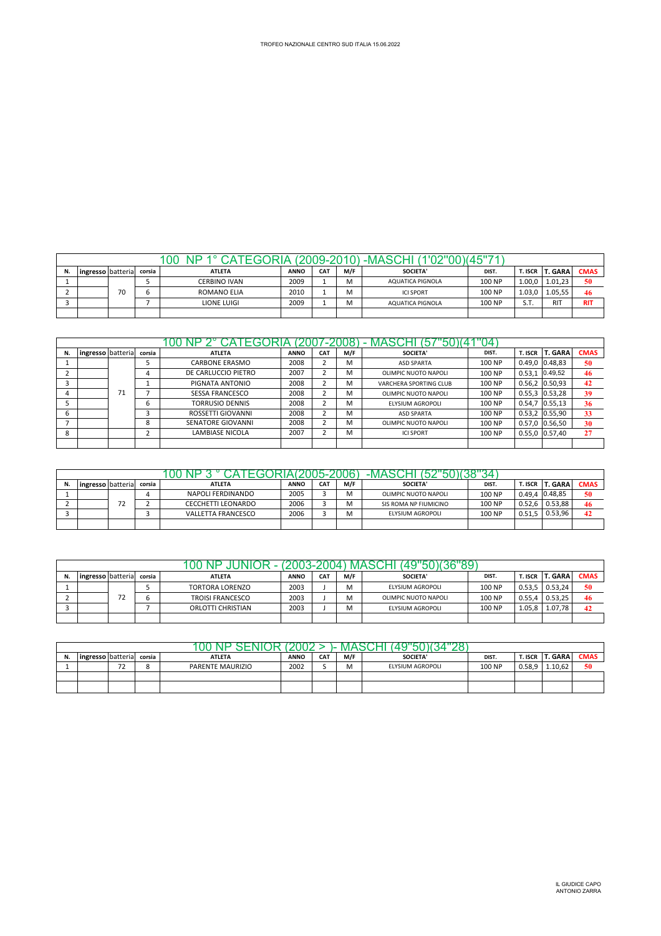|                                                                                                                                              |  |    |   | ЭC                  |      |  | $(2009 - 2010)$ | 1'02"00)(45"71′<br>-MASCHI |        |        |            |             |
|----------------------------------------------------------------------------------------------------------------------------------------------|--|----|---|---------------------|------|--|-----------------|----------------------------|--------|--------|------------|-------------|
| <b>T. GARA</b><br>M/F<br><b>CAT</b><br><b>SOCIETA'</b><br>DIST.<br>T. ISCR<br><b>ANNO</b><br><b>ATLETA</b><br>ingresso batteria corsia<br>N. |  |    |   |                     |      |  |                 |                            |        |        |            | <b>CMAS</b> |
|                                                                                                                                              |  |    |   | <b>CERBINO IVAN</b> | 2009 |  | M               | AQUATICA PIGNOLA           | 100 NP | 1.00.0 | 1.01.23    | 50          |
|                                                                                                                                              |  | 70 | b | <b>ROMANO ELIA</b>  | 2010 |  | M               | <b>ICI SPORT</b>           | 100 NP | 1.03.0 | 1.05,55    | 46          |
|                                                                                                                                              |  |    |   | <b>LIONE LUIGI</b>  | 2009 |  | M               | AQUATICA PIGNOLA           | 100 NP | S.T.   | <b>RIT</b> | <b>RIT</b>  |
|                                                                                                                                              |  |    |   |                     |      |  |                 |                            |        |        |            |             |

|    |                   |    |        | GORIA                  |             | 2007-2008  |     | MASCHI (57             | 14     |         |                   |             |
|----|-------------------|----|--------|------------------------|-------------|------------|-----|------------------------|--------|---------|-------------------|-------------|
| N. | ingresso batteria |    | corsia | <b>ATLETA</b>          | <b>ANNO</b> | <b>CAT</b> | M/F | <b>SOCIETA'</b>        | DIST.  | T. ISCR | <b>T. GARA</b>    | <b>CMAS</b> |
|    |                   |    |        | <b>CARBONE ERASMO</b>  | 2008        | ୵          | M   | <b>ASD SPARTA</b>      | 100 NP |         | $0.49,0$ 0.48,83  | 50          |
|    |                   |    |        | DE CARLUCCIO PIETRO    | 2007        |            | M   | OLIMPIC NUOTO NAPOLI   | 100 NP | 0.53.1  | 0.49,52           | 46          |
|    |                   |    |        | PIGNATA ANTONIO        | 2008        |            | M   | VARCHERA SPORTING CLUB | 100 NP |         | $0.56,2$ 0.50,93  | 42          |
| 4  |                   | 71 |        | <b>SESSA FRANCESCO</b> | 2008        |            | M   | OLIMPIC NUOTO NAPOLI   | 100 NP |         | $0.55,3$ 0.53,28  | 39          |
|    |                   |    | b      | <b>TORRUSIO DENNIS</b> | 2008        |            | M   | ELYSIUM AGROPOLI       | 100 NP |         | $0.54,7$ 0.55,13  | 36          |
| h  |                   |    |        | ROSSETTI GIOVANNI      | 2008        |            | M   | <b>ASD SPARTA</b>      | 100 NP |         | $0.53,2$ 0.55,90  | 33          |
|    |                   |    | 8      | SENATORE GIOVANNI      | 2008        |            | M   | OLIMPIC NUOTO NAPOLI   | 100 NP |         | 0.57,0 0.56,50    | 30          |
| 8  |                   |    |        | <b>LAMBIASE NICOLA</b> | 2007        |            | M   | <b>ICI SPORT</b>       | 100 NP |         | $0.55, 0$ 0.57,40 | 27          |
|    |                   |    |        |                        |             |            |     |                        |        |         |                   |             |

| N. | ingresso I batteria |                          | corsia | <b>ATLETA</b>             | <b>ANNO</b> | CA <sub>1</sub> | M/F | <b>SOCIETA'</b>       | DIST.  | T. ISCR | <b>T. GARA</b> | <b>CMAS</b> |
|----|---------------------|--------------------------|--------|---------------------------|-------------|-----------------|-----|-----------------------|--------|---------|----------------|-------------|
|    |                     |                          |        | NAPOLI FERDINANDO         | 2005        |                 | м   | OLIMPIC NUOTO NAPOLI  | 100 NP | 0.49.4  | 0.48.85        | 50          |
|    |                     | $\overline{\phantom{a}}$ |        | <b>CECCHETTI LEONARDO</b> | 2006        |                 | M   | SIS ROMA NP FIUMICINO | 100 NP | 0.52.6  | 0.53.88        | 46          |
|    |                     |                          |        | <b>VALLETTA FRANCESCO</b> | 2006        |                 | M   | ELYSIUM AGROPOLI      | 100 NP | 0.51.5  | 0.53.96        | 42          |
|    |                     |                          |        |                           |             |                 |     |                       |        |         |                |             |

| N. | ingresso batteria |         | corsia | <b>ATLETA</b>           | <b>ANNO</b> | CA <sub>1</sub> | M/F | SOCIETA'             | DIST.  | <b>T. ISCR</b> | <b>T. GARA</b> | <b>CMAS</b> |
|----|-------------------|---------|--------|-------------------------|-------------|-----------------|-----|----------------------|--------|----------------|----------------|-------------|
|    |                   |         |        | <b>TORTORA LORENZO</b>  | 2003        |                 | M   | ELYSIUM AGROPOLI     | 100 NP | 0.53.5         | 0.53.24        | 50          |
|    |                   | 70<br>້ |        | <b>TROISI FRANCESCO</b> | 2003        |                 | м   | OLIMPIC NUOTO NAPOLI | 100 NP | 0.55.4         | 0.53.25        | 46          |
|    |                   |         |        | ORLOTTI CHRISTIAN       | 2003        |                 | м   | ELYSIUM AGROPOLI     | 100 NP | 1.05.8         | 1.07.78        | 42          |
|    |                   |         |        |                         |             |                 |     |                      |        |                |                |             |

| lingresso batteria |                                        | corsia | <b>ATLETA</b>    | <b>ANNO</b> | CAT | M/F               | SOCIETA'         | DIST.  | T. ISCR | <b>T. GARA</b> | <b>CMAS</b> |
|--------------------|----------------------------------------|--------|------------------|-------------|-----|-------------------|------------------|--------|---------|----------------|-------------|
|                    | $\overline{\phantom{a}}$<br>$\epsilon$ | ິ      | PARENTE MAURIZIO | 2002        |     | <b>. .</b><br>IVI | ELYSIUM AGROPOLI | 100 NP | 0.58.9  | 1.10.62        | 50          |
|                    |                                        |        |                  |             |     |                   |                  |        |         |                |             |
|                    |                                        |        |                  |             |     |                   |                  |        |         |                |             |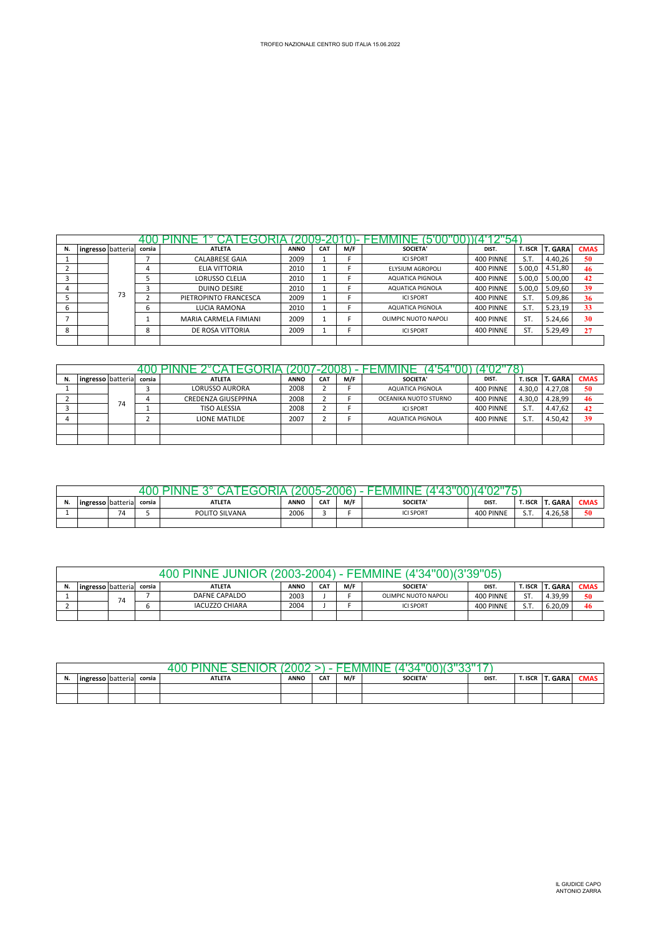|    |                   |    |        | ۰                     |             |            |     |                      |           |         |                |             |
|----|-------------------|----|--------|-----------------------|-------------|------------|-----|----------------------|-----------|---------|----------------|-------------|
| N. | ingresso batteria |    | corsia | <b>ATLETA</b>         | <b>ANNO</b> | <b>CAT</b> | M/F | <b>SOCIETA'</b>      | DIST.     | T. ISCR | <b>T. GARA</b> | <b>CMAS</b> |
|    |                   |    |        | <b>CALABRESE GAIA</b> | 2009        |            |     | <b>ICI SPORT</b>     | 400 PINNE | S.T.    | 4.40,26        | 50          |
|    |                   |    |        | ELIA VITTORIA         | 2010        |            |     | ELYSIUM AGROPOLI     | 400 PINNE | 5.00.0  | 4.51,80        | 46          |
|    |                   |    |        | <b>LORUSSO CLELIA</b> | 2010        |            |     | AQUATICA PIGNOLA     | 400 PINNE | 5.00.0  | 5.00,00        | 42          |
|    |                   |    |        | <b>DUINO DESIRE</b>   | 2010        |            |     | AQUATICA PIGNOLA     | 400 PINNE | 5.00.0  | 5.09,60        | 39          |
|    |                   | 73 |        | PIETROPINTO FRANCESCA | 2009        |            |     | <b>ICI SPORT</b>     | 400 PINNE | S.T.    | 5.09,86        | 36          |
| ь  |                   |    | h      | LUCIA RAMONA          | 2010        |            |     | AQUATICA PIGNOLA     | 400 PINNE | S.T.    | 5.23,19        | 33          |
|    |                   |    |        | MARIA CARMELA FIMIANI | 2009        |            |     | OLIMPIC NUOTO NAPOLI | 400 PINNE | ST.     | 5.24,66        | 30          |
| 8  |                   |    | 8      | DE ROSA VITTORIA      | 2009        |            |     | <b>ICI SPORT</b>     | 400 PINNE | ST.     | 5.29,49        | 27          |
|    |                   |    |        |                       |             |            |     |                      |           |         |                |             |

|    |                   |    |        |                            |             |                 |     | $^{\circ}$            |           |                |         |             |
|----|-------------------|----|--------|----------------------------|-------------|-----------------|-----|-----------------------|-----------|----------------|---------|-------------|
| N. | ingresso batteria |    | corsia | <b>ATLETA</b>              | <b>ANNO</b> | CA <sub>1</sub> | M/F | <b>SOCIETA'</b>       | DIST.     | <b>T. ISCR</b> | T. GARA | <b>CMAS</b> |
|    |                   |    |        | <b>LORUSSO AURORA</b>      | 2008        |                 |     | AQUATICA PIGNOLA      | 400 PINNE | 4.30.0         | 4.27,08 | 50          |
|    |                   | 74 |        | <b>CREDENZA GIUSEPPINA</b> | 2008        |                 |     | OCEANIKA NUOTO STURNO | 400 PINNE | 4.30,0         | 4.28,99 | 46          |
|    |                   |    |        | <b>TISO ALESSIA</b>        | 2008        |                 |     | <b>ICI SPORT</b>      | 400 PINNE | S.T.           | 4.47.62 | 42          |
|    |                   |    |        | LIONE MATILDE              | 2007        |                 |     | AQUATICA PIGNOLA      | 400 PINNE | S.T.           | 4.50.42 | 39          |
|    |                   |    |        |                            |             |                 |     |                       |           |                |         |             |
|    |                   |    |        |                            |             |                 |     |                       |           |                |         |             |

| IV. | ingresso batteria |           | corsia | <b>ATLETA</b>  | <b>ANNO</b> | <b>CAT</b> | M/F | <b>SOCIETA</b>   | DIST.     | <b>f. ISCR</b>         | <b>T. GARA</b> | <b>CMAS</b> |
|-----|-------------------|-----------|--------|----------------|-------------|------------|-----|------------------|-----------|------------------------|----------------|-------------|
|     |                   | 74<br>، ، |        | POLITO SILVANA | 2006        |            |     | <b>ICI SPORT</b> | 400 PINNE | $\sim$ $-$<br><u>.</u> | 4.26.58        | 50          |
|     |                   |           |        |                |             |            |     |                  |           |                        |                |             |

|                                                                                                                                                               |    |  | <b>JUNIOR (2003-2004)</b><br>400 PINNF I |      |  |  | 34"00<br>·⊢MMIN⊢     |           |            |         |    |  |  |
|---------------------------------------------------------------------------------------------------------------------------------------------------------------|----|--|------------------------------------------|------|--|--|----------------------|-----------|------------|---------|----|--|--|
| M/F<br><b>T. GARA</b><br><b>SOCIETA'</b><br>DIST.<br>CA <sub>1</sub><br><b>CMAS</b><br><b>ANNO</b><br>T. ISCR<br><b>ATLETA</b><br>ingresso batteria<br>corsia |    |  |                                          |      |  |  |                      |           |            |         |    |  |  |
|                                                                                                                                                               | 74 |  | DAFNE CAPALDO                            | 2003 |  |  | OLIMPIC NUOTO NAPOLI | 400 PINNE | ST.        | 4.39.99 | 50 |  |  |
|                                                                                                                                                               |    |  | <b>IACUZZO CHIARA</b>                    | 2004 |  |  | <b>ICI SPORT</b>     | 400 PINNE | sт<br>J. I | 6.20.09 | 46 |  |  |
|                                                                                                                                                               |    |  |                                          |      |  |  |                      |           |            |         |    |  |  |

|    | VIN/I<br>u        |  |        |               |             |            |     |                 |       |         |              |             |  |
|----|-------------------|--|--------|---------------|-------------|------------|-----|-----------------|-------|---------|--------------|-------------|--|
| N. | ingresso batteria |  | corsia | <b>ATLETA</b> | <b>ANNO</b> | <b>CAT</b> | M/F | <b>SOCIETA'</b> | DIST. | T. ISCR | <b> GARA</b> | <b>CMAS</b> |  |
|    |                   |  |        |               |             |            |     |                 |       |         |              |             |  |
|    |                   |  |        |               |             |            |     |                 |       |         |              |             |  |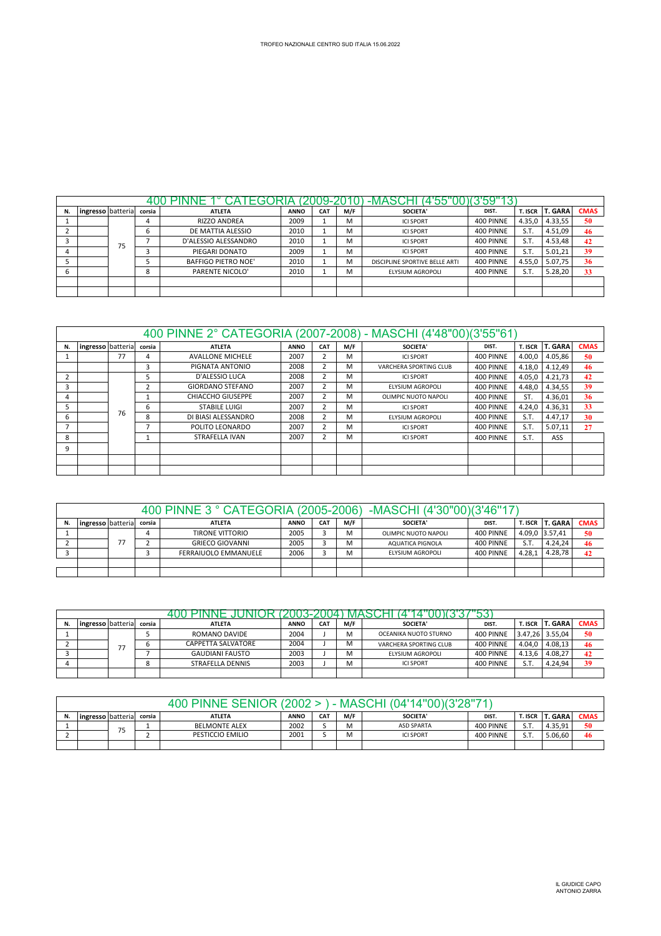| N. | ingresso batteria |    | corsia | <b>ATLETA</b>              | <b>ANNO</b> | <b>CAT</b> | M/F | SOCIETA'                       | DIST.     | <b>T. ISCR</b> | <b>T. GARA</b> | <b>CMAS</b> |
|----|-------------------|----|--------|----------------------------|-------------|------------|-----|--------------------------------|-----------|----------------|----------------|-------------|
|    |                   |    |        | <b>RIZZO ANDREA</b>        | 2009        |            | M   | <b>ICI SPORT</b>               | 400 PINNE | 4.35,0         | 4.33,55        | 50          |
|    |                   |    | h      | DE MATTIA ALESSIO          | 2010        |            | M   | <b>ICI SPORT</b>               | 400 PINNE | S.T.           | 4.51,09        | 46          |
|    |                   | 75 |        | D'ALESSIO ALESSANDRO       | 2010        |            | м   | <b>ICI SPORT</b>               | 400 PINNE | S.T.           | 4.53,48        | 42          |
| 4  |                   |    |        | PIEGARI DONATO             | 2009        |            | M   | <b>ICI SPORT</b>               | 400 PINNE | S.T.           | 5.01.21        | 39          |
|    |                   |    |        | <b>BAFFIGO PIETRO NOE'</b> | 2010        |            | M   | DISCIPLINE SPORTIVE BELLE ARTI | 400 PINNE | 4.55,0         | 5.07.75        | 36          |
| b  |                   |    | õ      | <b>PARENTE NICOLO'</b>     | 2010        |            | M   | ELYSIUM AGROPOLI               | 400 PINNE | S.T.           | 5.28,20        | 33          |
|    |                   |    |        |                            |             |            |     |                                |           |                |                |             |
|    |                   |    |        |                            |             |            |     |                                |           |                |                |             |

|    |                   |    |                | 400 PINNE 2° CATEGORIA (2007-2008) - MASCHI (4'48"00)(3'55"61) |             |                         |     |                         |           |         |                |             |
|----|-------------------|----|----------------|----------------------------------------------------------------|-------------|-------------------------|-----|-------------------------|-----------|---------|----------------|-------------|
| N. | ingresso batteria |    | corsia         | <b>ATLETA</b>                                                  | <b>ANNO</b> | <b>CAT</b>              | M/F | <b>SOCIETA'</b>         | DIST.     | T. ISCR | <b>T. GARA</b> | <b>CMAS</b> |
|    |                   | 77 | 4              | <b>AVALLONE MICHELE</b>                                        | 2007        | $\overline{\mathbf{c}}$ | м   | <b>ICI SPORT</b>        | 400 PINNE | 4.00,0  | 4.05,86        | 50          |
|    |                   |    | 3              | PIGNATA ANTONIO                                                | 2008        | $\overline{\mathbf{c}}$ | м   | VARCHERA SPORTING CLUB  | 400 PINNE | 4.18,0  | 4.12,49        | 46          |
|    |                   |    |                | D'ALESSIO LUCA                                                 | 2008        | $\overline{\mathbf{c}}$ | М   | <b>ICI SPORT</b>        | 400 PINNE | 4.05,0  | 4.21,73        | 42          |
| 3  |                   |    | 2              | <b>GIORDANO STEFANO</b>                                        | 2007        | $\overline{\mathbf{c}}$ | м   | <b>ELYSIUM AGROPOLI</b> | 400 PINNE | 4.48,0  | 4.34,55        | 39          |
| 4  |                   |    |                | <b>CHIACCHO GIUSEPPE</b>                                       | 2007        |                         | M   | OLIMPIC NUOTO NAPOLI    | 400 PINNE | ST.     | 4.36,01        | 36          |
| 5  |                   | 76 | 6              | <b>STABILE LUIGI</b>                                           | 2007        | $\overline{\mathbf{c}}$ | м   | <b>ICI SPORT</b>        | 400 PINNE | 4.24.0  | 4.36,31        | 33          |
| 6  |                   |    | 8              | DI BIASI ALESSANDRO                                            | 2008        |                         | м   | <b>ELYSIUM AGROPOLI</b> | 400 PINNE | S.T.    | 4.47,17        | 30          |
|    |                   |    | $\overline{ }$ | POLITO LEONARDO                                                | 2007        | $\overline{\mathbf{c}}$ | м   | <b>ICI SPORT</b>        | 400 PINNE | S.T.    | 5.07,11        | 27          |
| 8  |                   |    | 1              | STRAFELLA IVAN                                                 | 2007        | $\overline{2}$          | м   | <b>ICI SPORT</b>        | 400 PINNE | S.T.    | ASS            |             |
| 9  |                   |    |                |                                                                |             |                         |     |                         |           |         |                |             |
|    |                   |    |                |                                                                |             |                         |     |                         |           |         |                |             |
|    |                   |    |                |                                                                |             |                         |     |                         |           |         |                |             |

|    |                                                                                                                                                |    |  | 400 PINNE 3 ° CATEGORIA (2005-2006) |      |  |   | -MASCHI (4'30"00)(3'46"17) |           |        |                |    |  |  |
|----|------------------------------------------------------------------------------------------------------------------------------------------------|----|--|-------------------------------------|------|--|---|----------------------------|-----------|--------|----------------|----|--|--|
| N. | <b>CMAS</b><br><b>T. ISCR T. GARA</b><br>Ingresso batteria<br><b>CAT</b><br>M/F<br><b>ANNO</b><br>DIST.<br>corsia<br>SOCIETA'<br><b>ATLETA</b> |    |  |                                     |      |  |   |                            |           |        |                |    |  |  |
|    |                                                                                                                                                |    |  | <b>TIRONE VITTORIO</b>              | 2005 |  | м | OLIMPIC NUOTO NAPOLI       | 400 PINNE |        | 4.09,0 3.57,41 | 50 |  |  |
|    |                                                                                                                                                | -- |  | <b>GRIECO GIOVANNI</b>              | 2005 |  | м | AQUATICA PIGNOLA           | 400 PINNE | S.T.   | 4.24.24        | 46 |  |  |
|    |                                                                                                                                                |    |  | FERRAIUOLO EMMANUELE                | 2006 |  | M | ELYSIUM AGROPOLI           | 400 PINNE | 4.28.1 | 4.28.78        | 42 |  |  |
|    |                                                                                                                                                |    |  |                                     |      |  |   |                            |           |        |                |    |  |  |
|    |                                                                                                                                                |    |  |                                     |      |  |   |                            |           |        |                |    |  |  |

| N. | ingresso batteria |    | corsia | <b>ATLETA</b>           | <b>ANNO</b> | <b>CAT</b> | M/F | <b>SOCIETA'</b>        | DIST.     | <b>T. ISCR</b> | <b>T. GARA</b>  | <b>CMAS</b> |
|----|-------------------|----|--------|-------------------------|-------------|------------|-----|------------------------|-----------|----------------|-----------------|-------------|
|    |                   |    |        | ROMANO DAVIDE           | 2004        |            | м   | OCEANIKA NUOTO STURNO  | 400 PINNE |                | 3.47.26 3.55.04 | 50          |
|    |                   | っっ |        | CAPPETTA SALVATORE      | 2004        |            | M   | VARCHERA SPORTING CLUB | 400 PINNE | 4.04,0         | 4.08.13         | 46          |
|    |                   |    |        | <b>GAUDIANI FAUSTO</b>  | 2003        |            | M   | ELYSIUM AGROPOLI       | 400 PINNE | 4.13.6         | 4.08.27         | 42          |
|    |                   |    | ິ      | <b>STRAFELLA DENNIS</b> | 2003        |            | M   | <b>ICI SPORT</b>       | 400 PINNE | S.T            | 4.24.94         | 39          |
|    |                   |    |        |                         |             |            |     |                        |           |                |                 |             |

|    |                                                                                                                                                               |       |  | 400 PINNE SENIOR     |      |  |   | $14$ " $00$ $(3'28"71$<br>MASCHI<br>T)4' |           |                |         |    |
|----|---------------------------------------------------------------------------------------------------------------------------------------------------------------|-------|--|----------------------|------|--|---|------------------------------------------|-----------|----------------|---------|----|
| N. | M/F<br><b>T. GARA</b><br><b>CMAS</b><br>CA <sub>1</sub><br>SOCIETA'<br><b>ANNO</b><br><b>ATLETA</b><br><b>T. ISCR</b><br>ingresso batteria<br>DIST.<br>corsia |       |  |                      |      |  |   |                                          |           |                |         |    |
|    |                                                                                                                                                               | $- -$ |  | <b>BELMONTE ALEX</b> | 2002 |  | M | <b>ASD SPARTA</b>                        | 400 PINNE | cт<br>ا د ب    | 4.35.91 | 50 |
|    |                                                                                                                                                               | ۰.    |  | PESTICCIO EMILIO     | 2001 |  | M | <b>ICI SPORT</b>                         | 400 PINNE | $C$ T<br>ا د ب | 5.06.60 | 46 |
|    |                                                                                                                                                               |       |  |                      |      |  |   |                                          |           |                |         |    |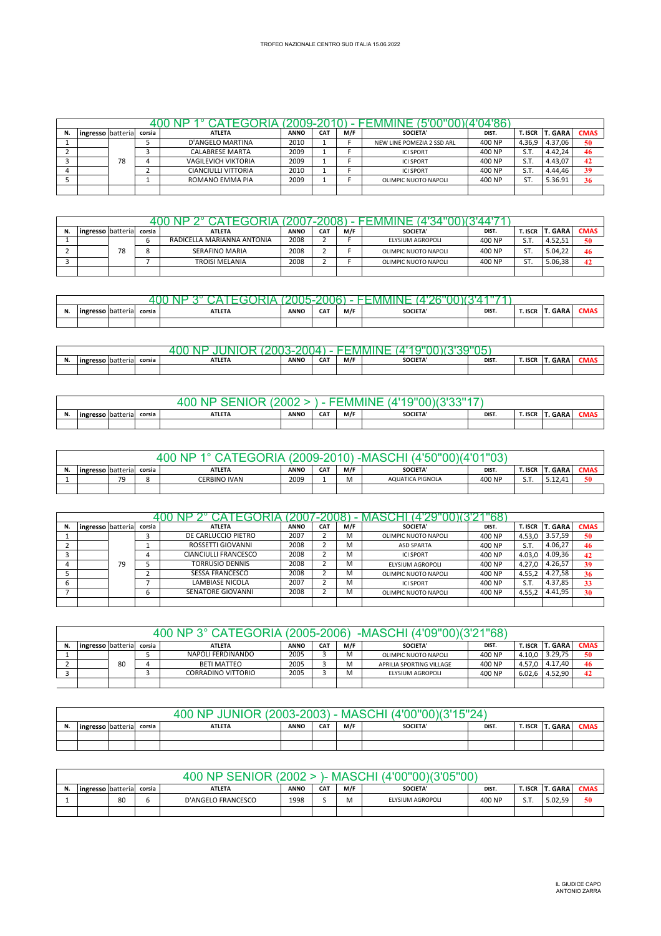| N. | ingresso batteria |    | corsia | <b>ATLETA</b>              | <b>ANNO</b> | <b>CAT</b> | M/F | SOCIETA'                   | DIST.  | T. ISCR I | <b>T. GARA</b> | <b>CMAS</b> |
|----|-------------------|----|--------|----------------------------|-------------|------------|-----|----------------------------|--------|-----------|----------------|-------------|
|    |                   |    |        | D'ANGELO MARTINA           | 2010        |            |     | NEW LINE POMEZIA 2 SSD ARL | 400 NP | 4.36.9    | 4.37.06        | 50          |
|    |                   |    |        | <b>CALABRESE MARTA</b>     | 2009        |            |     | <b>ICI SPORT</b>           | 400 NP | S.T.      | 4.42.24        | 46          |
|    |                   | 78 |        | <b>VAGILEVICH VIKTORIA</b> | 2009        |            |     | <b>ICI SPORT</b>           | 400 NP | S.T.      | 4.43.07        | 42          |
|    |                   |    |        | <b>CIANCIULLI VITTORIA</b> | 2010        |            |     | <b>ICI SPORT</b>           | 400 NP | S.T.      | 4.44.46        | 39          |
|    |                   |    |        | ROMANO EMMA PIA            | 2009        |            |     | OLIMPIC NUOTO NAPOLI       | 400 NP | ST.       | 5.36.91        | 36          |
|    |                   |    |        |                            |             |            |     |                            |        |           |                |             |

| N. | ingresso batteria |    | corsia | <b>ATLETA</b>              | <b>ANNO</b> | <b>CAT</b> | M/F | <b>SOCIETA'</b>      | DIST.  | T. ISCR I | <b>T. GARA</b> | <b>CMAS</b> |
|----|-------------------|----|--------|----------------------------|-------------|------------|-----|----------------------|--------|-----------|----------------|-------------|
|    |                   |    |        | RADICELLA MARIANNA ANTONIA | 2008        |            |     | ELYSIUM AGROPOLI     | 400 NP | S.T       | 4.52.51        | 50          |
|    |                   | 78 |        | SERAFINO MARIA             | 2008        |            |     | OLIMPIC NUOTO NAPOLI | 400 NP | ST        | 5.04.22        | 46          |
|    |                   |    |        | <b>TROISI MELANIA</b>      | 2008        |            |     | OLIMPIC NUOTO NAPOLI | 400 NP | ST        | 5.06.38        | 42          |
|    |                   |    |        |                            |             |            |     |                      |        |           |                |             |

| <br><b>Ingresso</b> batteria | corsia | <b>ATLETA</b> | <b>ANNO</b> | <b>CAT</b> | M/F | <b>SOCIETA</b> | DIST. | <b>T. ISCR</b> | $\sim$ $\sim$<br>GAKA | LIVIAS |
|------------------------------|--------|---------------|-------------|------------|-----|----------------|-------|----------------|-----------------------|--------|
|                              |        |               |             |            |     |                |       |                |                       |        |

|                       |        | w.<br>w       |             |            |     |                |       |                |             |        |
|-----------------------|--------|---------------|-------------|------------|-----|----------------|-------|----------------|-------------|--------|
| <br>ingresso batteria | corsia | <b>ATLETA</b> | <b>ANNO</b> | <b>CAT</b> | M/F | <b>SOCIETA</b> | DIST. | <b>T. ISCR</b> | <b>GARA</b> | LIVIAS |
|                       |        |               |             |            |     |                |       |                |             |        |

|                               |        | ۰UC<br>NL     |             | -          | MM  | w              | $\rightarrow$ |         |              |      |
|-------------------------------|--------|---------------|-------------|------------|-----|----------------|---------------|---------|--------------|------|
| <br><b>lingresso</b> batteria | corsia | <b>ATLETA</b> | <b>ANNO</b> | <b>CAT</b> | M/F | <b>SOCIETA</b> | DIST.         | T. ISCR | <b></b> GARA | CMAS |
|                               |        |               |             |            |     |                |               |         |              |      |

|    |                                                                                                                                                          |           |  | 11 N         | מ∩מפ∙ |  |   | $-N$             | UU     |                           |         |    |  |
|----|----------------------------------------------------------------------------------------------------------------------------------------------------------|-----------|--|--------------|-------|--|---|------------------|--------|---------------------------|---------|----|--|
| N. | <b>T. GARA</b><br><b>CMAS</b><br>M/F<br><b>CAT</b><br><b>SOCIETA'</b><br><b>ANNO</b><br>DIST.<br>T. ISCR<br><b>ATLETA</b><br>ingresso batteria<br>corsia |           |  |              |       |  |   |                  |        |                           |         |    |  |
|    |                                                                                                                                                          | 70<br>, , |  | CERBINO IVAN | 2009  |  | M | AQUATICA PIGNOLA | 400 NP | S <sub>T</sub><br>. ا د ت | 5.12.41 | 50 |  |
|    |                                                                                                                                                          |           |  |              |       |  |   |                  |        |                           |         |    |  |

| N. | ingresso batteria |    | corsia | <b>ATLETA</b>               | <b>ANNO</b> | <b>CAT</b> | M/F | <b>SOCIETA'</b>      | DIST.  | T. ISCR | <b>T. GARA</b> | <b>CMAS</b> |
|----|-------------------|----|--------|-----------------------------|-------------|------------|-----|----------------------|--------|---------|----------------|-------------|
|    |                   |    |        | DE CARLUCCIO PIETRO         | 2007        |            | M   | OLIMPIC NUOTO NAPOLI | 400 NP | 4.53.0  | 3.57,59        | 50          |
|    |                   |    |        | ROSSETTI GIOVANNI           | 2008        |            | м   | <b>ASD SPARTA</b>    | 400 NP | S.T.    | 4.06.27        | 46          |
|    |                   |    |        | <b>CIANCIULLI FRANCESCO</b> | 2008        |            | M   | <b>ICI SPORT</b>     | 400 NP | 4.03.0  | 4.09,36        | 42          |
|    |                   | 79 |        | <b>TORRUSIO DENNIS</b>      | 2008        |            | M   | ELYSIUM AGROPOLI     | 400 NP | 4.27.0  | 4.26.57        | 39          |
|    |                   |    |        | <b>SESSA FRANCESCO</b>      | 2008        |            | M   | OLIMPIC NUOTO NAPOLI | 400 NP | 4.55.2  | 4.27,58        | 36          |
|    |                   |    |        | LAMBIASE NICOLA             | 2007        |            | M   | <b>ICI SPORT</b>     | 400 NP | S.T.    | 4.37,85        | 33          |
|    |                   |    |        | SENATORE GIOVANNI           | 2008        |            | м   | OLIMPIC NUOTO NAPOLI | 400 NP | 4.55.2  | 4.41.95        | 30          |
|    |                   |    |        |                             |             |            |     |                      |        |         |                |             |

|    |                                                                                                                                                |    |  | 400 NP 3° CATEGORIA (2005-2006) |      |  |   | -MASCHI (4'09''00)(3'21''68) |        |        |         |    |  |  |
|----|------------------------------------------------------------------------------------------------------------------------------------------------|----|--|---------------------------------|------|--|---|------------------------------|--------|--------|---------|----|--|--|
| N. | <b>CMAS</b><br>T. ISCR T. GARA<br><b>CAT</b><br>M/F<br><b>SOCIETA'</b><br><b>ANNO</b><br><b>ATLETA</b><br>ingresso batteria<br>DIST.<br>corsia |    |  |                                 |      |  |   |                              |        |        |         |    |  |  |
|    |                                                                                                                                                |    |  | NAPOLI FERDINANDO               | 2005 |  | M | OLIMPIC NUOTO NAPOLI         | 400 NP | 4.10.0 | 3.29.75 | 50 |  |  |
|    |                                                                                                                                                | 80 |  | BETI MATTEO                     | 2005 |  | M | APRILIA SPORTING VILLAGE     | 400 NP | 4.57.0 | 4.17.40 | 46 |  |  |
|    |                                                                                                                                                |    |  | <b>CORRADINO VITTORIO</b>       | 2005 |  | M | ELYSIUM AGROPOLI             | 400 NP | 6.02.6 | 4.52.90 | 42 |  |  |
|    |                                                                                                                                                |    |  |                                 |      |  |   |                              |        |        |         |    |  |  |

|    |                   |        | <b>INIOR</b><br>$+00 \text{ NP}$ | $(2003 - 2003)$ |            | - MASCHI | (4'00"00)(3'15"24) |       |         |         |             |
|----|-------------------|--------|----------------------------------|-----------------|------------|----------|--------------------|-------|---------|---------|-------------|
| N. | ingresso batteria | corsia | <b>ATLETA</b>                    | <b>ANNO</b>     | <b>CAT</b> | M/F      | <b>SOCIETA'</b>    | DIST. | T. ISCR | í. GARA | <b>CMAS</b> |
|    |                   |        |                                  |                 |            |          |                    |       |         |         |             |
|    |                   |        |                                  |                 |            |          |                    |       |         |         |             |

|    |                                                                                                                                                       |    |  | . NP.<br>400.      | 2002 |  | MAS | (3'05"00)        |        |     |         |    |  |
|----|-------------------------------------------------------------------------------------------------------------------------------------------------------|----|--|--------------------|------|--|-----|------------------|--------|-----|---------|----|--|
| N. | <b>CMAS</b><br><b>T. GARA</b><br>M/F<br><b>CAT</b><br><b>SOCIETA'</b><br>T. ISCR<br><b>ANNO</b><br>ingresso batteria corsia<br><b>ATLETA</b><br>DIST. |    |  |                    |      |  |     |                  |        |     |         |    |  |
|    |                                                                                                                                                       | 80 |  | D'ANGELO FRANCESCO | 1998 |  | M   | ELYSIUM AGROPOLI | 400 NP | S.T | 5.02.59 | 50 |  |
|    |                                                                                                                                                       |    |  |                    |      |  |     |                  |        |     |         |    |  |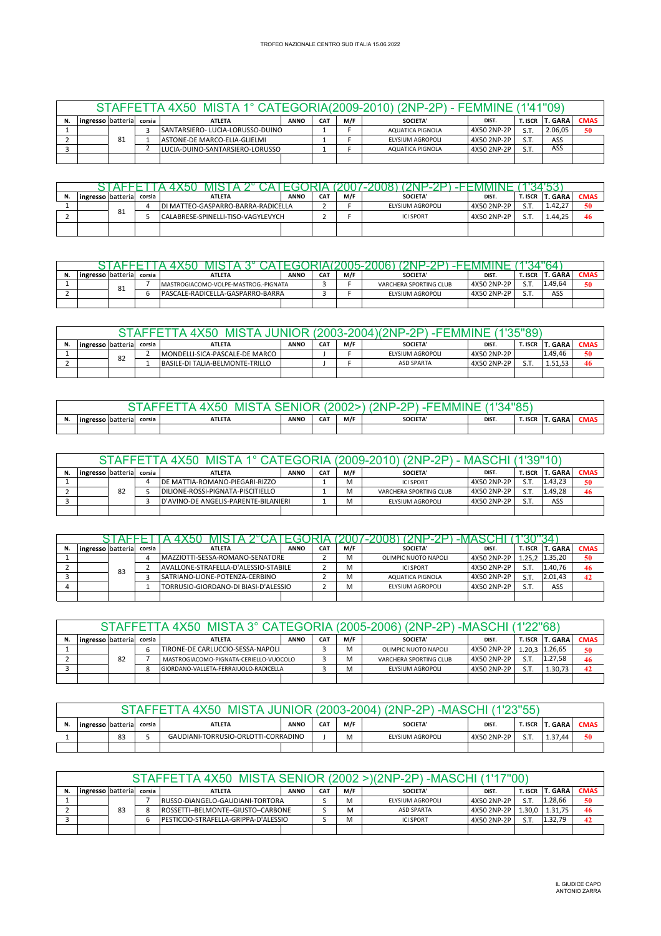|                          |    |        | STAFFETTA 4X50 MISTA 1° CATEGORIA(2009-2010) (2NP-2P) - FEMMINE (1'41"09) |             |                 |     |                  |             |                |                |             |
|--------------------------|----|--------|---------------------------------------------------------------------------|-------------|-----------------|-----|------------------|-------------|----------------|----------------|-------------|
| <b>ingresso</b> batteria |    | corsia | <b>ATLETA</b>                                                             | <b>ANNO</b> | CA <sub>1</sub> | M/F | SOCIETA'         | DIST.       | <b>T. ISCR</b> | <b>T. GARA</b> | <b>CMAS</b> |
|                          |    |        | ISANTARSIERO- LUCIA-LORUSSO-DUINO                                         |             |                 |     | AQUATICA PIGNOLA | 4X50 2NP-2P | S.T            | 2.06.05        | 50          |
|                          | 81 |        | ASTONE-DE MARCO-ELIA-GLIELMI                                              |             |                 |     | ELYSIUM AGROPOLI | 4X50 2NP-2P | ст             | ASS            |             |
|                          |    |        | LUCIA-DUINO-SANTARSIERO-LORUSSO                                           |             |                 |     | AQUATICA PIGNOLA | 4X50 2NP-2P | sт             | ASS            |             |
|                          |    |        |                                                                           |             |                 |     |                  |             |                |                |             |

| N. | ingresso batteria corsia |    | <b>ATLETA</b>                      | <b>ANNO</b> | CA <sub>7</sub> | M/F | <b>SOCIETA'</b>  | DIST.       | r. Iscr | <b>T. GARA</b> | <b>CMAS</b> |
|----|--------------------------|----|------------------------------------|-------------|-----------------|-----|------------------|-------------|---------|----------------|-------------|
|    |                          |    | DI MATTEO-GASPARRO-BARRA-RADICELLA |             |                 |     | ELYSIUM AGROPOLI | 4X50 2NP-2P | S.T.    | $1.42.2^{-}$   | 50          |
|    |                          | 81 | CALABRESE-SPINELLI-TISO-VAGYLEVYCH |             |                 |     | <b>ICI SPORT</b> | 4X50 2NP-2P | S.T     | 1.44.25        | 46          |
|    |                          |    |                                    |             |                 |     |                  |             |         |                |             |

| N. | lingresso batterial |    | corsia | <b>ATLETA</b>                        | <b>ANNO</b> | CA <sub>1</sub> | M/F | <b>SOCIETA</b>         | <b>DIST</b> | <b>SCR</b> | . GARA  | <b>CMAS</b> |
|----|---------------------|----|--------|--------------------------------------|-------------|-----------------|-----|------------------------|-------------|------------|---------|-------------|
|    |                     | 81 |        | MASTROGIACOMO-VOLPE-MASTROG.-PIGNATA |             |                 |     | VARCHERA SPORTING CLUB | 4X50 2NP-2P | ст         | . 49.64 | 50          |
|    |                     |    |        | IPASCALE-RADICELLA-GASPARRO-BARRA    |             |                 |     | ELYSIUM AGROPOLI       | 4X50 2NP-2P | - -        | ASS     |             |
|    |                     |    |        |                                      |             |                 |     |                        |             |            |         |             |

|                                                                                                                                                         |  |    |  | MIS:                            |  |  | $\sim$ MMMNF $\sim$ |                   |             |     |         |    |  |  |  |  |  |  |  |  |
|---------------------------------------------------------------------------------------------------------------------------------------------------------|--|----|--|---------------------------------|--|--|---------------------|-------------------|-------------|-----|---------|----|--|--|--|--|--|--|--|--|
| <b>CMAS</b><br>M/F<br><b>T. GARA</b><br>T. ISCR<br>CA <sup>7</sup><br>SOCIETA'<br><b>ANNO</b><br>ingresso batterial<br><b>ATLETA</b><br>DIST.<br>corsia |  |    |  |                                 |  |  |                     |                   |             |     |         |    |  |  |  |  |  |  |  |  |
|                                                                                                                                                         |  | 82 |  | MONDELLI-SICA-PASCALE-DE MARCO  |  |  |                     | ELYSIUM AGROPOLI  | 4X50 2NP-2P |     | 1.49,46 | 50 |  |  |  |  |  |  |  |  |
|                                                                                                                                                         |  |    |  | BASILE-DI TALIA-BELMONTE-TRILLO |  |  |                     | <b>ASD SPARTA</b> | 4X50 2NP-2P | S.T | 1.51.53 | 46 |  |  |  |  |  |  |  |  |
|                                                                                                                                                         |  |    |  |                                 |  |  |                     |                   |             |     |         |    |  |  |  |  |  |  |  |  |

| $\mathsf{HOM}$<br>70 L<br>'NP-.<br>MB.<br>н.<br>'N/HM<br>- 1811<br>--<br>ור |  |        |               |             |            |     |                |       |         |         |      |  |
|-----------------------------------------------------------------------------|--|--------|---------------|-------------|------------|-----|----------------|-------|---------|---------|------|--|
| <br><b>lingresso</b> batteria                                               |  | corsia | <b>ATLETA</b> | <b>ANNO</b> | <b>CAT</b> | M/F | <b>SOCIETA</b> | DIST. | T. ISCR | T. GARA | CMAS |  |
|                                                                             |  |        |               |             |            |     |                |       |         |         |      |  |

|                                                                                                                                                                |    |  | STAFFETTA 4X50                       |  |  |   | MISTA 1° CATEGORIA (2009-2010) (2NP-2P) - MASCHI (1'39"10) |             |     |         |    |
|----------------------------------------------------------------------------------------------------------------------------------------------------------------|----|--|--------------------------------------|--|--|---|------------------------------------------------------------|-------------|-----|---------|----|
| <b>CMAS</b><br><b>T. GARA</b><br><b>ingresso</b> batterial<br>M/F<br>CA <sup>7</sup><br>DIST.<br>r. Iscr<br><b>ANNO</b><br>SOCIETA'<br><b>ATLETA</b><br>corsia |    |  |                                      |  |  |   |                                                            |             |     |         |    |
| <b>IDE MATTIA-ROMANO-PIEGARI-RIZZO</b>                                                                                                                         |    |  |                                      |  |  |   | <b>ICLSPORT</b>                                            | 4X50 2NP-2P | S.T | 1.43.23 | 50 |
|                                                                                                                                                                | 82 |  | DILIONE-ROSSI-PIGNATA-PISCITIELLO    |  |  |   | VARCHERA SPORTING CLUB                                     | 4X50 2NP-2P | S.T | 1.49.28 | 46 |
|                                                                                                                                                                |    |  | D'AVINO-DE ANGELIS-PARENTE-BILANIERI |  |  | м | ELYSIUM AGROPOLI                                           | 4X50 2NP-2P | S.T | ASS     |    |
|                                                                                                                                                                |    |  |                                      |  |  |   |                                                            |             |     |         |    |

|                    |    |        | VII.                                 |             |                 |     |                      |             |         |                |             |
|--------------------|----|--------|--------------------------------------|-------------|-----------------|-----|----------------------|-------------|---------|----------------|-------------|
| ingresso batterial |    | corsia | <b>ATLETA</b>                        | <b>ANNO</b> | CA <sup>T</sup> | M/F | SOCIETA'             | DIST.       | T. ISCR | <b>T. GARA</b> | <b>CMAS</b> |
|                    |    |        | MAZZIOTTI-SESSA-ROMANO-SENATORE      |             |                 |     | OLIMPIC NUOTO NAPOLI | 4X50 2NP-2P | 1.25.2  | 1.35.20        | 50          |
|                    | 83 |        | AVALLONE-STRAFELLA-D'ALESSIO-STABILE |             |                 |     | <b>ICLSPORT</b>      | 4X50 2NP-2P | S.T     | 1.40.76        | 46          |
|                    |    |        | SATRIANO-LIONE-POTENZA-CERBINO       |             |                 | M   | AQUATICA PIGNOLA     | 4X50 2NP-2P | S.T     | 2.01,43        | 42          |
|                    |    |        | TORRUSIO-GIORDANO-DI BIASI-D'ALESSIO |             |                 |     | ELYSIUM AGROPOLI     | 4X50 2NP-2P | S.T     | ASS            |             |
|                    |    |        |                                      |             |                 |     |                      |             |         |                |             |

|                                                                                                                                                |    |  | STAFFETTA 4X50 MISTA 3° CATEGORIA (2005-2006) (2NP-2P) -MASCHI (1'22"68) |  |  |   |                        |             |       |         |             |
|------------------------------------------------------------------------------------------------------------------------------------------------|----|--|--------------------------------------------------------------------------|--|--|---|------------------------|-------------|-------|---------|-------------|
| M/F<br><b>T. GARA</b><br>CA1<br><b>SOCIETA'</b><br><b>ANNO</b><br>T. ISCR<br><b>ATLETA</b><br>DIST.<br><b>l ingresso I</b> batterial<br>corsia |    |  |                                                                          |  |  |   |                        |             |       |         | <b>CMAS</b> |
|                                                                                                                                                |    |  | TIRONE-DE CARLUCCIO-SESSA-NAPOLI                                         |  |  | M | OLIMPIC NUOTO NAPOLI   | 4X50 2NP-2P | .20.3 | 1.26,65 | 50          |
|                                                                                                                                                | 82 |  | MASTROGIACOMO-PIGNATA-CERIELLO-VUOCOLO                                   |  |  | M | VARCHERA SPORTING CLUB | 4X50 2NP-2P | S.T   | 1.27.58 | -46         |
|                                                                                                                                                |    |  | GIORDANO-VALLETA-FERRAIUOLO-RADICELLA                                    |  |  | M | ELYSIUM AGROPOLI       | 4X50 2NP-2P |       | 1.30.73 | 42          |
|                                                                                                                                                |    |  |                                                                          |  |  |   |                        |             |       |         |             |

|                                                                                                                                                  |    |  | <b>MISTA</b><br>4X50                |  |  |   | JUNIOR (2003-2004) (2NP-2P)<br>, -MASCH' |             | (1'23"55`              |         |    |  |
|--------------------------------------------------------------------------------------------------------------------------------------------------|----|--|-------------------------------------|--|--|---|------------------------------------------|-------------|------------------------|---------|----|--|
| M/F<br>CAT<br><b>T. GARA</b><br>r. ISCR<br><b>ANNO</b><br><b>SOCIETA</b><br>ingresso batteria<br><b>CMAS</b><br><b>ATLETA</b><br>DIST.<br>corsia |    |  |                                     |  |  |   |                                          |             |                        |         |    |  |
|                                                                                                                                                  | 83 |  | GAUDIANI-TORRUSIO-ORLOTTI-CORRADINO |  |  | M | ELYSIUM AGROPOLI                         | 4X50 2NP-2P | $\sim$ $\sim$<br>ا د ب | 1.37,44 | 50 |  |
|                                                                                                                                                  |    |  |                                     |  |  |   |                                          |             |                        |         |    |  |

|    |                                                                                                                                                         |    | STAFFFT | MISTA SENIOR (2002 ><br>4 Y 50       |  |  |   | $>$ $(2NP-2P)$<br>-MASCHI | . (1'17"00` |        |         |    |  |  |
|----|---------------------------------------------------------------------------------------------------------------------------------------------------------|----|---------|--------------------------------------|--|--|---|---------------------------|-------------|--------|---------|----|--|--|
| N. | <b>CMAS</b><br>M/F<br><b>T. GARA</b><br>T. ISCR<br>CA <sub>1</sub><br><b>ANNO</b><br>SOCIETA'<br>DIST.<br><b>ATLETA</b><br>ingresso batterial<br>corsia |    |         |                                      |  |  |   |                           |             |        |         |    |  |  |
|    |                                                                                                                                                         |    |         | RUSSO-DIANGELO-GAUDIANI-TORTORA      |  |  | м | ELYSIUM AGROPOLI          | 4X50 2NP-2P | S.T    | 1.28,66 | 50 |  |  |
|    |                                                                                                                                                         | 83 |         | ROSSETTI-BELMONTE-GIUSTO-CARBONE     |  |  | M | <b>ASD SPARTA</b>         | 4X50 2NP-2P | 1.30.0 | 1.31.75 | 46 |  |  |
|    |                                                                                                                                                         |    |         | PESTICCIO-STRAFELLA-GRIPPA-D'ALESSIO |  |  | M | <b>ICI SPORT</b>          | 4X50 2NP-2P | S.T    | 1.32,79 | 42 |  |  |
|    |                                                                                                                                                         |    |         |                                      |  |  |   |                           |             |        |         |    |  |  |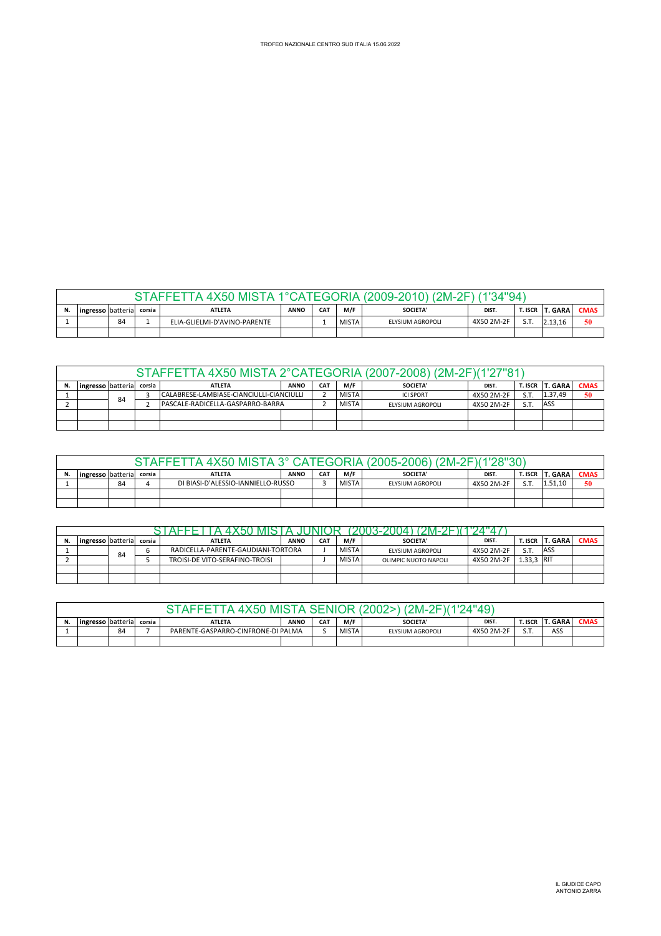|   |                                                                                                                                                           |    |  | , AFFF<br><b>X50</b><br>. MIST | 10, |  |              | (2009-2010)<br>$^{\prime}$ 2M-2, | (1'34"94'  |     |         |    |  |  |
|---|-----------------------------------------------------------------------------------------------------------------------------------------------------------|----|--|--------------------------------|-----|--|--------------|----------------------------------|------------|-----|---------|----|--|--|
| N | <b>T. GARA</b><br><b>CMAS</b><br>ingressolbatterial<br>M/F<br>DIST.<br><b>T. ISCR</b><br><b>CAT</b><br>SOCIETA'<br><b>ATLETA</b><br><b>ANNO</b><br>corsia |    |  |                                |     |  |              |                                  |            |     |         |    |  |  |
|   |                                                                                                                                                           | 84 |  | ELIA-GLIELMI-D'AVINO-PARENTE   |     |  | <b>MISTA</b> | ELYSIUM AGROPOLI                 | 4X50 2M-2F | S.T | 2.13.16 | 50 |  |  |
|   |                                                                                                                                                           |    |  |                                |     |  |              |                                  |            |     |         |    |  |  |

|    |                   |                                                |        | STAFFETTA 4X50 MISTA 2°CATEGORIA (2007-2008) (2M-2F)(1'27"81) |             |                 |                 |                  |            |         |                |             |
|----|-------------------|------------------------------------------------|--------|---------------------------------------------------------------|-------------|-----------------|-----------------|------------------|------------|---------|----------------|-------------|
| N. | ingresso batteria |                                                | corsia | <b>ATLETA</b>                                                 | <b>ANNO</b> | CA <sub>1</sub> | M/F             | <b>SOCIETA'</b>  | DIST.      | T. ISCR | <b>T. GARA</b> | <b>CMAS</b> |
|    |                   | CALABRESE-LAMBIASE-CIANCIULLI-CIANCIULLI<br>84 |        |                                                               |             | <b>MISTA</b>    | <b>ICLSPORT</b> | 4X50 2M-2F       | S.T.       | 1.37.49 | 50             |             |
|    |                   |                                                |        | PASCALE-RADICELLA-GASPARRO-BARRA                              |             |                 | <b>MISTA</b>    | ELYSIUM AGROPOLI | 4X50 2M-2F | S.T.    | ASS            |             |
|    |                   |                                                |        |                                                               |             |                 |                 |                  |            |         |                |             |
|    |                   |                                                |        |                                                               |             |                 |                 |                  |            |         |                |             |

|    |                                                                                                                                                   |    |  |                                    |  |  | STAFFETTA 4X50 MISTA 3° CATEGORIA (2005-2006) (2M-2F)(1'28"30) |                  |            |                |         |    |  |  |  |  |  |  |  |  |
|----|---------------------------------------------------------------------------------------------------------------------------------------------------|----|--|------------------------------------|--|--|----------------------------------------------------------------|------------------|------------|----------------|---------|----|--|--|--|--|--|--|--|--|
| N. | M/F<br>T. ISCR   T. GARA<br><b>CAT</b><br><b>CMAS</b><br><b>SOCIETA'</b><br><b>ATLETA</b><br><b>ANNO</b><br>ingresso batterial<br>DIST.<br>corsia |    |  |                                    |  |  |                                                                |                  |            |                |         |    |  |  |  |  |  |  |  |  |
|    |                                                                                                                                                   | 84 |  | DI BIASI-D'ALESSIO-IANNIELLO-RUSSO |  |  | <b>MISTA</b>                                                   | ELYSIUM AGROPOLI | 4X50 2M-2F | C <sub>T</sub> | 1.51.10 | 50 |  |  |  |  |  |  |  |  |
|    |                                                                                                                                                   |    |  |                                    |  |  |                                                                |                  |            |                |         |    |  |  |  |  |  |  |  |  |
|    |                                                                                                                                                   |    |  |                                    |  |  |                                                                |                  |            |                |         |    |  |  |  |  |  |  |  |  |

| N. | ingresso batterial |    | corsia | <b>ATLETA</b>                      | <b>ANNO</b> | <b>CAT</b> | M/F          | <b>SOCIETA'</b>      | DIST.      | T. ISCR    | <b>T. GARA</b> | <b>CMAS</b> |
|----|--------------------|----|--------|------------------------------------|-------------|------------|--------------|----------------------|------------|------------|----------------|-------------|
|    |                    | 84 |        | RADICELLA-PARENTE-GAUDIANI-TORTORA |             |            | <b>MISTA</b> | ELYSIUM AGROPOLI     | 4X50 2M-2F | S.T.       | ASS            |             |
|    |                    |    |        | TROISI-DE VITO-SERAFINO-TROISI     |             |            | <b>MISTA</b> | OLIMPIC NUOTO NAPOLI | 4X50 2M-2F | 1.33.3 RIT |                |             |
|    |                    |    |        |                                    |             |            |              |                      |            |            |                |             |
|    |                    |    |        |                                    |             |            |              |                      |            |            |                |             |

|                                                                                                                                                         |    |  |                                    | ANIS I | SENIO | ₩.           | א⊐כ<br>:M-:      | 24"49`     |            |     |  |
|---------------------------------------------------------------------------------------------------------------------------------------------------------|----|--|------------------------------------|--------|-------|--------------|------------------|------------|------------|-----|--|
| . GARA<br>M/F<br><b>CAT</b><br>ingresso batteria<br><b>ANNO</b><br><b>SOCIETA'</b><br><b>T. ISCR</b><br>DIST.<br><b>ATLETA</b><br><b>CMAS</b><br>corsia |    |  |                                    |        |       |              |                  |            |            |     |  |
|                                                                                                                                                         | 84 |  | PARENTE-GASPARRO-CINFRONE-DI PALMA |        |       | <b>MISTA</b> | ELYSIUM AGROPOLI | 4X50 2M-2F | $\sim$ $-$ | ASS |  |
|                                                                                                                                                         |    |  |                                    |        |       |              |                  |            |            |     |  |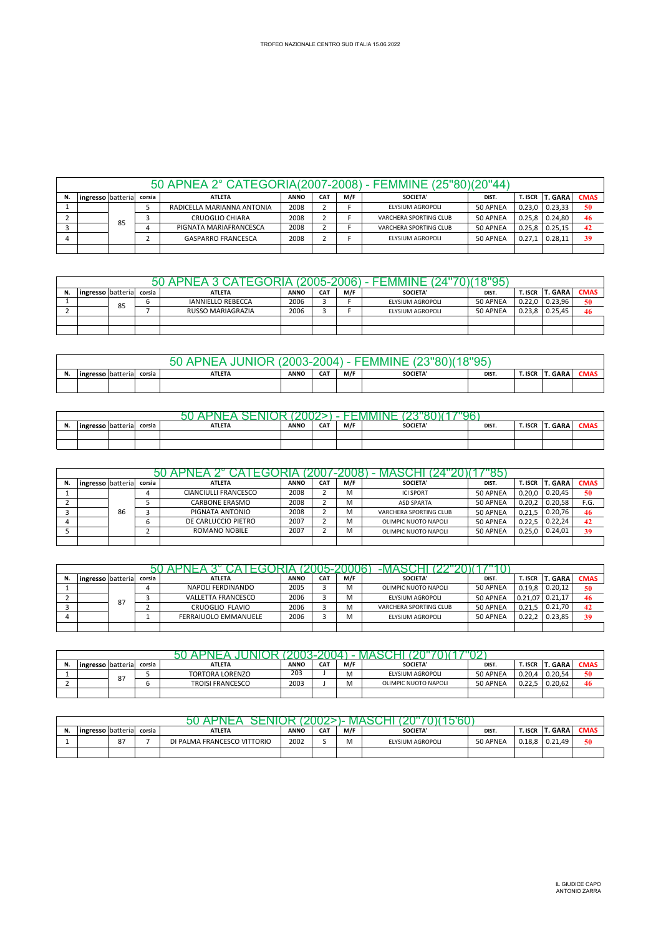|    |                   |    |        | 50 APNEA 2° CATEGORIA(2007-2008) - FEMMINE (25"80)(20"44) |             |            |     |                        |          |            |                |             |
|----|-------------------|----|--------|-----------------------------------------------------------|-------------|------------|-----|------------------------|----------|------------|----------------|-------------|
| N. | ingresso batteria |    | corsia | <b>ATLETA</b>                                             | <b>ANNO</b> | <b>CAT</b> | M/F | SOCIETA'               | DIST.    | T. ISCR    | <b>T. GARA</b> | <b>CMAS</b> |
|    |                   |    |        | RADICELLA MARIANNA ANTONIA                                | 2008        |            |     | ELYSIUM AGROPOLI       | 50 APNEA | 0.23.0     | 0.23.33        | 50          |
|    |                   | 85 |        | <b>CRUOGLIO CHIARA</b>                                    | 2008        |            |     | VARCHERA SPORTING CLUB | 50 APNEA | $0.25.8$ I | 0.24.80        | 46          |
|    |                   |    |        | PIGNATA MARIAFRANCESCA                                    | 2008        |            |     | VARCHERA SPORTING CLUB | 50 APNEA | 0.25.8     | 0.25.15        | 42          |
|    |                   |    |        | <b>GASPARRO FRANCESCA</b>                                 | 2008        |            |     | ELYSIUM AGROPOLI       | 50 APNEA | 0.27,1     | 0.28.11        | 39          |
|    |                   |    |        |                                                           |             |            |     |                        |          |            |                |             |

|    |                     |    |        |                          |             |            |     |                  | 9"04     |         |                |             |
|----|---------------------|----|--------|--------------------------|-------------|------------|-----|------------------|----------|---------|----------------|-------------|
| N. | lingresso batterial |    | corsia | <b>ATLETA</b>            | <b>ANNO</b> | <b>CAT</b> | M/F | SOCIETA'         | DIST.    | T. ISCR | <b>T. GARA</b> | <b>CMAS</b> |
|    |                     | 85 |        | <b>IANNIELLO REBECCA</b> | 2006        |            |     | ELYSIUM AGROPOLI | 50 APNEA | 0.22.0  | 0.23.96        | 50          |
|    |                     |    |        | RUSSO MARIAGRAZIA        | 2006        |            |     | ELYSIUM AGROPOLI | 50 APNEA | 0.23.8  | 0.25.45        | 46          |
|    |                     |    |        |                          |             |            |     |                  |          |         |                |             |
|    |                     |    |        |                          |             |            |     |                  |          |         |                |             |

|    |                   |        | - 4 PNF 4 -<br>TNH<br>່ວບ<br>. | .2003-2004) |            |     | −⊢MIMINF        | (18"95` |         |         |             |
|----|-------------------|--------|--------------------------------|-------------|------------|-----|-----------------|---------|---------|---------|-------------|
| N. | ingresso batteria | corsia | <b>ATLETA</b>                  | <b>ANNO</b> | <b>CAT</b> | M/F | <b>SOCIETA'</b> | DIST.   | T. ISCR | T. GARA | <b>CMAS</b> |
|    |                   |        |                                |             |            |     |                 |         |         |         |             |

|                        |        |               |             |            |     |                | ۵F    |         |                |      |
|------------------------|--------|---------------|-------------|------------|-----|----------------|-------|---------|----------------|------|
| <br>lingresso batteria | corsia | <b>ATLETA</b> | <b>ANNO</b> | <b>CAT</b> | M/F | <b>SOCIETA</b> | DIST. | T. ISCR | <b>T. GARA</b> | CMAS |
|                        |        |               |             |            |     |                |       |         |                |      |
|                        |        |               |             |            |     |                |       |         |                |      |

| ingresso batteria |    | corsia | <b>ATLETA</b>         | <b>ANNO</b> | CA <sub>7</sub> | M/F | <b>SOCIETA'</b>        | DIST.    | T. ISCR | <b>T. GARA</b> | <b>CMAS</b> |
|-------------------|----|--------|-----------------------|-------------|-----------------|-----|------------------------|----------|---------|----------------|-------------|
|                   |    |        | CIANCIULLI FRANCESCO  | 2008        |                 | M   | <b>ICI SPORT</b>       | 50 APNEA | 0.20.0  | 0.20.45        | 50          |
|                   |    |        | <b>CARBONE ERASMO</b> | 2008        |                 | M   | <b>ASD SPARTA</b>      | 50 APNEA | 0.20.2  | 0.20,58        | F.G.        |
|                   | 86 |        | PIGNATA ANTONIO       | 2008        |                 |     | VARCHERA SPORTING CLUB | 50 APNEA | 0.21.5  | 0.20,76        | 46          |
|                   |    |        | DE CARLUCCIO PIETRO   | 2007        |                 | M   | OLIMPIC NUOTO NAPOLI   | 50 APNEA | 0.22.5  | 0.22.24        | 42          |
|                   |    |        | ROMANO NOBILE         | 2007        |                 | м   | OLIMPIC NUOTO NAPOLI   | 50 APNEA | 0.25.0  | 0.24,01        | 39          |
|                   |    |        |                       |             |                 |     |                        |          |         |                |             |

|    |                   |    |        |                           |             |                 |     | -MA:                   |          |           |                |             |
|----|-------------------|----|--------|---------------------------|-------------|-----------------|-----|------------------------|----------|-----------|----------------|-------------|
| Ν. | ingresso batteria |    | corsia | <b>ATLETA</b>             | <b>ANNO</b> | CA <sup>T</sup> | M/F | <b>SOCIETA'</b>        | DIST.    | t. Iscr i | <b>T. GARA</b> | <b>CMAS</b> |
|    |                   |    |        | NAPOLI FERDINANDO         | 2005        |                 | M   | OLIMPIC NUOTO NAPOLI   | 50 APNEA | 0.19.8    | 0.20.12        | 50          |
|    |                   | 87 |        | <b>VALLETTA FRANCESCO</b> | 2006        |                 | м   | ELYSIUM AGROPOLI       | 50 APNEA | 0.21.07   | 0.21,17        | 46          |
|    |                   |    |        | CRUOGLIO FLAVIO           | 2006        |                 | м   | VARCHERA SPORTING CLUB | 50 APNEA | 0.21.5    | 0.21.70        | 42          |
|    |                   |    |        | FERRAIUOLO EMMANUELE      | 2006        |                 | M   | ELYSIUM AGROPOLI       | 50 APNEA | 0.22.2    | 0.23.85        | 39          |
|    |                   |    |        |                           |             |                 |     |                        |          |           |                |             |

| N. | ingresso batteria |    | corsia | <b>ATLETA</b>           | <b>ANNO</b> | CA <sub>1</sub> | M/F | SOCIETA'             | DIST.    | <b>T. ISCR</b> | <b>T. GARA</b> | <b>CMAS</b> |
|----|-------------------|----|--------|-------------------------|-------------|-----------------|-----|----------------------|----------|----------------|----------------|-------------|
|    |                   | 87 |        | <b>TORTORA LORENZO</b>  | 203         |                 | М   | ELYSIUM AGROPOLI     | 50 APNEA | 0.20.4         | 0.20.54        | 50          |
|    |                   |    |        | <b>TROISI FRANCESCO</b> | 2003        |                 | ועו | OLIMPIC NUOTO NAPOLI | 50 APNEA | 0.22.5         | 0.20.62        | 46          |
|    |                   |    |        |                         |             |                 |     |                      |          |                |                |             |

| N. | ingresso batteria corsia |                             | <b>ATLETA</b>               | ANNO | <b>CAT</b> | M/F | <b>SOCIETA'</b>  | DIST.    | T. ISCR | <b>T. GARA</b> | <b>CMAS</b> |
|----|--------------------------|-----------------------------|-----------------------------|------|------------|-----|------------------|----------|---------|----------------|-------------|
|    |                          | 0 <sub>7</sub><br>$\Omega'$ | DI PALMA FRANCESCO VITTORIO | 2002 |            | M   | ELYSIUM AGROPOLI | 50 APNEA | 0.18.8  | 0.21.49        | 50          |
|    |                          |                             |                             |      |            |     |                  |          |         |                |             |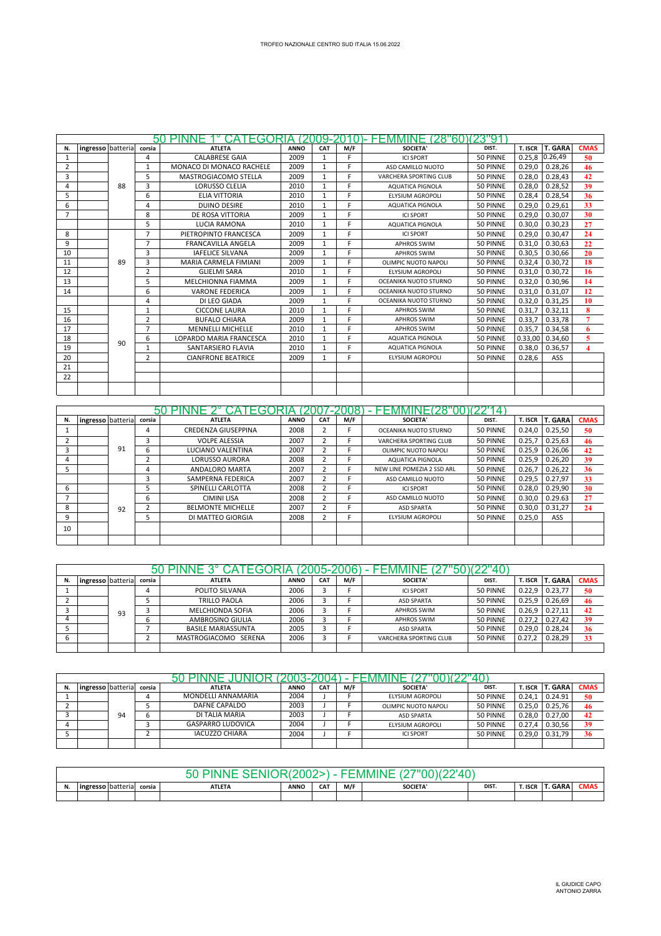|                |                   |    |                | 50 PINNE  1° CATEGORIA (2009-2010)- FEMMINE (28"60)(23"91 |             |              |     |                               |          |         |                |                         |
|----------------|-------------------|----|----------------|-----------------------------------------------------------|-------------|--------------|-----|-------------------------------|----------|---------|----------------|-------------------------|
| N.             | ingresso batteria |    | corsia         | <b>ATLETA</b>                                             | <b>ANNO</b> | CAT          | M/F | <b>SOCIETA'</b>               | DIST.    | T. ISCR | <b>T. GARA</b> | <b>CMAS</b>             |
| 1              |                   |    | 4              | <b>CALABRESE GAIA</b>                                     | 2009        | 1            | F   | <b>ICI SPORT</b>              | 50 PINNE |         | 0.25,8 0.26,49 | 50                      |
| $\overline{2}$ |                   |    | 1              | MONACO DI MONACO RACHELE                                  | 2009        | 1            | F.  | ASD CAMILLO NUOTO             | 50 PINNE | 0.29.0  | 0.28.26        | 46                      |
| 3              |                   |    | 5              | MASTROGIACOMO STELLA                                      | 2009        | 1            | F.  | <b>VARCHERA SPORTING CLUB</b> | 50 PINNE | 0.28,0  | 0.28,43        | 42                      |
| 4              |                   | 88 | $\overline{3}$ | LORUSSO CLELIA                                            | 2010        | $\mathbf{1}$ | E.  | <b>AQUATICA PIGNOLA</b>       | 50 PINNE | 0.28,0  | 0.28,52        | 39                      |
| 5              |                   |    | 6              | <b>ELIA VITTORIA</b>                                      | 2010        | $\mathbf{1}$ | E.  | <b>ELYSIUM AGROPOLI</b>       | 50 PINNE | 0.28,4  | 0.28,54        | 36                      |
| 6              |                   |    | 4              | <b>DUINO DESIRE</b>                                       | 2010        | $\mathbf{1}$ | F.  | <b>AQUATICA PIGNOLA</b>       | 50 PINNE | 0.29,0  | 0.29,61        | 33                      |
|                |                   |    | 8              | DE ROSA VITTORIA                                          | 2009        | 1            | F.  | <b>ICI SPORT</b>              | 50 PINNE | 0.29.0  | 0.30,07        | 30                      |
|                |                   |    | 5              | <b>LUCIA RAMONA</b>                                       | 2010        | 1            | E.  | <b>AQUATICA PIGNOLA</b>       | 50 PINNE | 0.30,0  | 0.30,23        | 27                      |
| 8              |                   |    | $\overline{7}$ | PIETROPINTO FRANCESCA                                     | 2009        | $\mathbf{1}$ | E   | <b>ICI SPORT</b>              | 50 PINNE | 0.29,0  | 0.30.47        | 24                      |
| 9              |                   |    | $\overline{7}$ | <b>FRANCAVILLA ANGELA</b>                                 | 2009        | $\mathbf{1}$ | F   | <b>APHROS SWIM</b>            | 50 PINNE | 0.31.0  | 0.30,63        | 22                      |
| 10             |                   |    | 3              | <b>IAFELICE SILVANA</b>                                   | 2009        | $\mathbf{1}$ | F   | <b>APHROS SWIM</b>            | 50 PINNE | 0.30,5  | 0.30,66        | 20                      |
| 11             |                   | 89 | 3              | MARIA CARMELA FIMIANI                                     | 2009        | 1            | F.  | OLIMPIC NUOTO NAPOLI          | 50 PINNE | 0.32,4  | 0.30,72        | 18                      |
| 12             |                   |    | $\overline{2}$ | <b>GLIELMI SARA</b>                                       | 2010        | $\mathbf{1}$ | F.  | <b>ELYSIUM AGROPOLI</b>       | 50 PINNE | 0.31,0  | 0.30,72        | 16                      |
| 13             |                   |    | 5              | MELCHIONNA FIAMMA                                         | 2009        | $\mathbf{1}$ | F   | OCEANIKA NUOTO STURNO         | 50 PINNE | 0.32,0  | 0.30,96        | 14                      |
| 14             |                   |    | 6              | <b>VARONE FEDERICA</b>                                    | 2009        | $\mathbf{1}$ | E.  | OCEANIKA NUOTO STURNO         | 50 PINNE | 0.31.0  | 0.31,07        | 12                      |
|                |                   |    | 4              | DI LEO GIADA                                              | 2009        | $\mathbf{1}$ | F   | OCEANIKA NUOTO STURNO         | 50 PINNE | 0.32,0  | 0.31,25        | 10                      |
| 15             |                   |    | $\mathbf{1}$   | <b>CICCONE LAURA</b>                                      | 2010        | 1            | E   | <b>APHROS SWIM</b>            | 50 PINNE | 0.31,7  | 0.32,11        | 8                       |
| 16             |                   |    | $\overline{2}$ | <b>BUFALO CHIARA</b>                                      | 2009        | $\mathbf{1}$ | F.  | <b>APHROS SWIM</b>            | 50 PINNE | 0.33.7  | 0.33,78        | $\overline{7}$          |
| 17             |                   |    | $\overline{7}$ | <b>MENNELLI MICHELLE</b>                                  | 2010        | $\mathbf{1}$ | F   | <b>APHROS SWIM</b>            | 50 PINNE | 0.35,7  | 0.34,58        | 6                       |
| 18             |                   | 90 | 6              | LOPARDO MARIA FRANCESCA                                   | 2010        | $\mathbf{1}$ | E.  | <b>AQUATICA PIGNOLA</b>       | 50 PINNE | 0.33,00 | 0.34,60        | 5                       |
| 19             |                   |    | 1              | SANTARSIERO FLAVIA                                        | 2010        | 1            | F   | <b>AQUATICA PIGNOLA</b>       | 50 PINNE | 0.38,0  | 0.36,57        | $\overline{\mathbf{4}}$ |
| 20             |                   |    | $\overline{2}$ | <b>CIANFRONE BEATRICE</b>                                 | 2009        | $\mathbf{1}$ | F   | <b>ELYSIUM AGROPOLI</b>       | 50 PINNE | 0.28,6  | ASS            |                         |
| 21             |                   |    |                |                                                           |             |              |     |                               |          |         |                |                         |
| 22             |                   |    |                |                                                           |             |              |     |                               |          |         |                |                         |
|                |                   |    |                |                                                           |             |              |     |                               |          |         |                |                         |

|    |                   |    |        |                            |             |                         |     |                            | 4        |         |                |             |
|----|-------------------|----|--------|----------------------------|-------------|-------------------------|-----|----------------------------|----------|---------|----------------|-------------|
| N. | ingresso batteria |    | corsia | <b>ATLETA</b>              | <b>ANNO</b> | CAT                     | M/F | SOCIETA'                   | DIST.    | T. ISCR | <b>T. GARA</b> | <b>CMAS</b> |
|    |                   |    | 4      | <b>CREDENZA GIUSEPPINA</b> | 2008        | 2                       |     | OCEANIKA NUOTO STURNO      | 50 PINNE | 0.24.0  | 0.25,50        | 50          |
|    |                   |    |        | <b>VOLPE ALESSIA</b>       | 2007        |                         |     | VARCHERA SPORTING CLUB     | 50 PINNE | 0.25.7  | 0.25.63        | 46          |
|    |                   | 91 | b      | LUCIANO VALENTINA          | 2007        | 2                       |     | OLIMPIC NUOTO NAPOLI       | 50 PINNE | 0.25.9  | 0.26,06        | 42          |
| 4  |                   |    |        | <b>LORUSSO AURORA</b>      | 2008        | $\overline{2}$          |     | AQUATICA PIGNOLA           | 50 PINNE | 0.25.9  | 0.26.20        | 39          |
|    |                   |    | 4      | ANDALORO MARTA             | 2007        | 2                       |     | NEW LINE POMEZIA 2 SSD ARL | 50 PINNE | 0.26.7  | 0.26,22        | 36          |
|    |                   |    |        | SAMPERNA FEDERICA          | 2007        | h                       |     | ASD CAMILLO NUOTO          | 50 PINNE | 0.29.5  | 0.27.97        | 33          |
| 6  |                   |    |        | SPINELLI CARLOTTA          | 2008        | 2                       |     | <b>ICI SPORT</b>           | 50 PINNE | 0.28.0  | 0.29.90        | 30          |
|    |                   |    | 6      | <b>CIMINI LISA</b>         | 2008        | $\overline{2}$          |     | ASD CAMILLO NUOTO          | 50 PINNE | 0.30.0  | 0.29.63        | 27          |
| 8  |                   | 92 |        | <b>BELMONTE MICHELLE</b>   | 2007        | $\overline{\mathbf{c}}$ |     | <b>ASD SPARTA</b>          | 50 PINNE | 0.30,0  | 0.31,27        | 24          |
|    |                   |    |        | DI MATTEO GIORGIA          | 2008        |                         |     | ELYSIUM AGROPOLI           | 50 PINNE | 0.25,0  | ASS            |             |
| 10 |                   |    |        |                            |             |                         |     |                            |          |         |                |             |
|    |                   |    |        |                            |             |                         |     |                            |          |         |                |             |

|                   |    |        | GORIA                     |             | 2005-2006  |     | ∗EMMIN⊾                |          |         |                |             |
|-------------------|----|--------|---------------------------|-------------|------------|-----|------------------------|----------|---------|----------------|-------------|
| ingresso batteria |    | corsia | <b>ATLETA</b>             | <b>ANNO</b> | <b>CAT</b> | M/F | <b>SOCIETA'</b>        | DIST.    | T. ISCR | <b>T. GARA</b> | <b>CMAS</b> |
|                   |    |        | POLITO SILVANA            | 2006        |            |     | <b>ICI SPORT</b>       | 50 PINNE | 0.22.9  | 0.23.77        | 50          |
|                   |    |        | <b>TRILLO PAOLA</b>       | 2006        | з          |     | <b>ASD SPARTA</b>      | 50 PINNE | 0.25.9  | 0.26,69        | 46          |
|                   | 93 |        | <b>MELCHIONDA SOFIA</b>   | 2006        | r.         |     | <b>APHROS SWIM</b>     | 50 PINNE | 0.26.9  | 0.27,11        | 42          |
|                   |    |        | AMBROSINO GIULIA          | 2006        |            |     | <b>APHROS SWIM</b>     | 50 PINNE | 0.27,2  | 0.27,42        | 39          |
|                   |    |        | <b>BASILE MARIASSUNTA</b> | 2005        |            |     | <b>ASD SPARTA</b>      | 50 PINNE | 0.29.0  | 0.28,24        | 36          |
|                   |    |        | MASTROGIACOMO SERENA      | 2006        |            |     | VARCHERA SPORTING CLUB | 50 PINNE | 0.27.2  | 0.28,29        | 33          |
|                   |    |        |                           |             |            |     |                        |          |         |                |             |

| Ν. | ingresso batteria |    | corsia | <b>ATLETA</b>            | <b>ANNO</b> | CA <sub>1</sub> | M/F | SOCIETA'             | DIST.    | T. ISCR | <b>T. GARA</b> | <b>CMAS</b> |
|----|-------------------|----|--------|--------------------------|-------------|-----------------|-----|----------------------|----------|---------|----------------|-------------|
|    |                   |    |        | MONDELLI ANNAMARIA       | 2004        |                 |     | ELYSIUM AGROPOLI     | 50 PINNE | 0.24,1  | 0.24.91        | 50          |
|    |                   |    |        | DAFNE CAPALDO            | 2003        |                 |     | OLIMPIC NUOTO NAPOLI | 50 PINNE | 0.25.0  | 0.25.76        | -46         |
|    |                   | 94 | h      | DI TALIA MARIA           | 2003        |                 |     | <b>ASD SPARTA</b>    | 50 PINNE | 0.28.0  | 0.27.00        | 42          |
|    |                   |    |        | <b>GASPARRO LUDOVICA</b> | 2004        |                 |     | ELYSIUM AGROPOLI     | 50 PINNE | 0.27.4  | 0.30.56        | 39          |
|    |                   |    |        | <b>IACUZZO CHIARA</b>    | 2004        |                 |     | <b>ICI SPORT</b>     | 50 PINNE | 0.29.0  | 0.31.79        | 36          |
|    |                   |    |        |                          |             |                 |     |                      |          |         |                |             |

| <br>ingresso batteria | corsia | <b>ATLETA</b> | <b>ANNO</b> | <b>CAT</b> | M/F | <b>SOCIETA</b> | DIST. | T. ISCR | <b>T. GARA</b> | CMAS |
|-----------------------|--------|---------------|-------------|------------|-----|----------------|-------|---------|----------------|------|
|                       |        |               |             |            |     |                |       |         |                |      |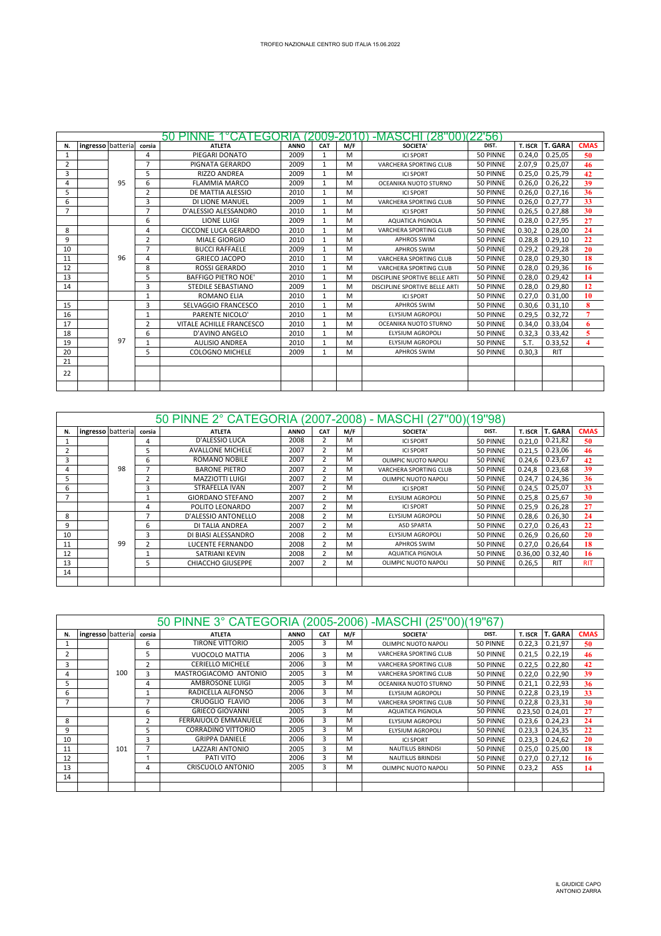|                |                   |    |                | 50 PINNE 1°CATEGORIA (2009-2010) |             |              |     | -MASCHI (28"00)(22'56)         |          |         |                |                         |
|----------------|-------------------|----|----------------|----------------------------------|-------------|--------------|-----|--------------------------------|----------|---------|----------------|-------------------------|
| N.             | ingresso batteria |    | corsia         | <b>ATLETA</b>                    | <b>ANNO</b> | CAT          | M/F | <b>SOCIETA'</b>                | DIST.    | T. ISCR | <b>T. GARA</b> | <b>CMAS</b>             |
| 1              |                   |    | 4              | PIEGARI DONATO                   | 2009        | $\mathbf{1}$ | M   | <b>ICI SPORT</b>               | 50 PINNE | 0.24.0  | 0.25,05        | 50                      |
| 2              |                   |    | $\overline{7}$ | PIGNATA GERARDO                  | 2009        | $\mathbf{1}$ | M   | <b>VARCHERA SPORTING CLUB</b>  | 50 PINNE | 2.07.9  | 0.25,07        | 46                      |
| 3              |                   |    | 5              | <b>RIZZO ANDREA</b>              | 2009        | 1            | M   | <b>ICI SPORT</b>               | 50 PINNE | 0.25,0  | 0.25.79        | 42                      |
| 4              |                   | 95 | 6              | <b>FLAMMIA MARCO</b>             | 2009        | 1            | M   | OCEANIKA NUOTO STURNO          | 50 PINNE | 0.26,0  | 0.26,22        | 39                      |
| 5              |                   |    | $\overline{2}$ | DE MATTIA ALESSIO                | 2010        | $\mathbf{1}$ | M   | <b>ICI SPORT</b>               | 50 PINNE | 0.26.0  | 0.27.16        | 36                      |
| 6              |                   |    | 3              | DI LIONE MANUEL                  | 2009        | $\mathbf{1}$ | M   | VARCHERA SPORTING CLUB         | 50 PINNE | 0.26,0  | 0.27,77        | 33                      |
| $\overline{7}$ |                   |    | $\overline{7}$ | D'ALESSIO ALESSANDRO             | 2010        | 1            | M   | <b>ICI SPORT</b>               | 50 PINNE | 0.26,5  | 0.27,88        | 30                      |
|                |                   |    | 6              | <b>LIONE LUIGI</b>               | 2009        | $\mathbf{1}$ | M   | <b>AQUATICA PIGNOLA</b>        | 50 PINNE | 0.28,0  | 0.27,95        | 27                      |
| 8              |                   |    | 4              | CICCONE LUCA GERARDO             | 2010        | $\mathbf{1}$ | M   | VARCHERA SPORTING CLUB         | 50 PINNE | 0.30.2  | 0.28.00        | 24                      |
| 9              |                   |    | $\overline{2}$ | <b>MIALE GIORGIO</b>             | 2010        | $\mathbf{1}$ | м   | <b>APHROS SWIM</b>             | 50 PINNE | 0.28,8  | 0.29,10        | 22                      |
| 10             |                   |    | $\overline{7}$ | <b>BUCCI RAFFAELE</b>            | 2009        | 1            | M   | <b>APHROS SWIM</b>             | 50 PINNE | 0.29,2  | 0.29,28        | 20                      |
| 11             |                   | 96 | 4              | <b>GRIECO JACOPO</b>             | 2010        | $\mathbf{1}$ | M   | <b>VARCHERA SPORTING CLUB</b>  | 50 PINNE | 0.28,0  | 0.29,30        | 18                      |
| 12             |                   |    | 8              | <b>ROSSI GERARDO</b>             | 2010        |              | м   | <b>VARCHERA SPORTING CLUB</b>  | 50 PINNE | 0.28,0  | 0.29,36        | 16                      |
| 13             |                   |    | 5              | <b>BAFFIGO PIETRO NOE'</b>       | 2010        | 1            | м   | DISCIPLINE SPORTIVE BELLE ARTI | 50 PINNE | 0.28.0  | 0.29,42        | 14                      |
| 14             |                   |    | 3              | STEDILE SEBASTIANO               | 2009        | $\mathbf{1}$ | M   | DISCIPLINE SPORTIVE BELLE ARTI | 50 PINNE | 0.28,0  | 0.29,80        | 12                      |
|                |                   |    | 1              | ROMANO ELIA                      | 2010        |              | M   | <b>ICI SPORT</b>               | 50 PINNE | 0.27,0  | 0.31,00        | 10                      |
| 15             |                   |    | 3              | SELVAGGIO FRANCESCO              | 2010        | 1            | M   | <b>APHROS SWIM</b>             | 50 PINNE | 0.30,6  | 0.31.10        | 8                       |
| 16             |                   |    | 1              | <b>PARENTE NICOLO'</b>           | 2010        | $\mathbf{1}$ | M   | ELYSIUM AGROPOLI               | 50 PINNE | 0.29,5  | 0.32,72        | $\overline{7}$          |
| 17             |                   |    | 2              | VITALE ACHILLE FRANCESCO         | 2010        | $\mathbf{1}$ | M   | OCEANIKA NUOTO STURNO          | 50 PINNE | 0.34,0  | 0.33,04        | 6                       |
| 18             |                   |    | 6              | D'AVINO ANGELO                   | 2010        | $\mathbf{1}$ | M   | ELYSIUM AGROPOLI               | 50 PINNE | 0.32,3  | 0.33,42        | $\overline{5}$          |
| 19             |                   | 97 | $\mathbf{1}$   | <b>AULISIO ANDREA</b>            | 2010        | 1            | M   | <b>ELYSIUM AGROPOLI</b>        | 50 PINNE | S.T.    | 0.33,52        | $\overline{\mathbf{4}}$ |
| 20             |                   |    | 5              | <b>COLOGNO MICHELE</b>           | 2009        | $\mathbf{1}$ | M   | <b>APHROS SWIM</b>             | 50 PINNE | 0.30.3  | <b>RIT</b>     |                         |
| 21             |                   |    |                |                                  |             |              |     |                                |          |         |                |                         |
| 22             |                   |    |                |                                  |             |              |     |                                |          |         |                |                         |
|                |                   |    |                |                                  |             |              |     |                                |          |         |                |                         |
|                |                   |    |                |                                  |             |              |     |                                |          |         |                |                         |

|    |                   |    |                         | 50 PINNE 2° CATEGORIA (2007-2008) - MASCHI (27"00)(19"98) |             |                         |     |                         |          |         |                |             |
|----|-------------------|----|-------------------------|-----------------------------------------------------------|-------------|-------------------------|-----|-------------------------|----------|---------|----------------|-------------|
| N. | ingresso batteria |    | corsia                  | <b>ATLETA</b>                                             | <b>ANNO</b> | <b>CAT</b>              | M/F | <b>SOCIETA'</b>         | DIST.    | T. ISCR | <b>T. GARA</b> | <b>CMAS</b> |
|    |                   |    | 4                       | D'ALESSIO LUCA                                            | 2008        | 2                       | м   | <b>ICI SPORT</b>        | 50 PINNE | 0.21.0  | 0.21,82        | 50          |
|    |                   |    | 5                       | <b>AVALLONE MICHELE</b>                                   | 2007        | 2                       | м   | <b>ICI SPORT</b>        | 50 PINNE | 0.21,5  | 0.23,06        | 46          |
|    |                   |    | 6                       | <b>ROMANO NOBILE</b>                                      | 2007        | $\overline{2}$          | м   | OLIMPIC NUOTO NAPOLI    | 50 PINNE | 0.24.6  | 0.23,67        | 42          |
| 4  |                   | 98 |                         | <b>BARONE PIETRO</b>                                      | 2007        | $\overline{\mathbf{c}}$ | м   | VARCHERA SPORTING CLUB  | 50 PINNE | 0.24.8  | 0.23,68        | 39          |
|    |                   |    |                         | MAZZIOTTI LUIGI                                           | 2007        | $\overline{2}$          | м   | OLIMPIC NUOTO NAPOLI    | 50 PINNE | 0.24.7  | 0.24.36        | 36          |
| 6  |                   |    | $\overline{\mathbf{3}}$ | STRAFELLA IVAN                                            | 2007        | $\overline{2}$          | м   | <b>ICI SPORT</b>        | 50 PINNE | 0.24.5  | 0.25,07        | 33          |
|    |                   |    |                         | <b>GIORDANO STEFANO</b>                                   | 2007        | $\overline{2}$          | м   | ELYSIUM AGROPOLI        | 50 PINNE | 0.25.8  | 0.25,67        | 30          |
|    |                   |    | 4                       | POLITO LEONARDO                                           | 2007        | $\overline{2}$          | м   | <b>ICI SPORT</b>        | 50 PINNE | 0.25.9  | 0.26,28        | 27          |
| 8  |                   |    |                         | D'ALESSIO ANTONELLO                                       | 2008        | $\overline{2}$          | м   | <b>ELYSIUM AGROPOLI</b> | 50 PINNE | 0.28.6  | 0.26,30        | 24          |
| 9  |                   |    | 6                       | DI TALIA ANDREA                                           | 2007        | $\overline{2}$          | м   | <b>ASD SPARTA</b>       | 50 PINNE | 0.27,0  | 0.26,43        | 22          |
| 10 |                   |    | з                       | DI BIASI ALESSANDRO                                       | 2008        | $\overline{2}$          | м   | ELYSIUM AGROPOLI        | 50 PINNE | 0.26.9  | 0.26.60        | 20          |
| 11 |                   | 99 | $\overline{2}$          | LUCENTE FERNANDO                                          | 2008        | $\overline{2}$          | м   | <b>APHROS SWIM</b>      | 50 PINNE | 0.27,0  | 0.26,64        | 18          |
| 12 |                   |    |                         | SATRIANI KEVIN                                            | 2008        | $\overline{2}$          | м   | AQUATICA PIGNOLA        | 50 PINNE | 0.36,00 | 0.32,40        | 16          |
| 13 |                   |    | 5                       | <b>CHIACCHO GIUSEPPE</b>                                  | 2007        | $\overline{2}$          | м   | OLIMPIC NUOTO NAPOLI    | 50 PINNE | 0.26.5  | <b>RIT</b>     | <b>RIT</b>  |
| 14 |                   |    |                         |                                                           |             |                         |     |                         |          |         |                |             |
|    |                   |    |                         |                                                           |             |                         |     |                         |          |         |                |             |

|    |                   |     |        | 50 PINNE 3° CATEGORIA (2005-2006) |             |            |     | -MASCHI (25"00)(19"67    |          |         |                |             |
|----|-------------------|-----|--------|-----------------------------------|-------------|------------|-----|--------------------------|----------|---------|----------------|-------------|
| N. | ingresso batteria |     | corsia | <b>ATLETA</b>                     | <b>ANNO</b> | <b>CAT</b> | M/F | <b>SOCIETA'</b>          | DIST.    | T. ISCR | <b>T. GARA</b> | <b>CMAS</b> |
|    |                   |     | 6      | <b>TIRONE VITTORIO</b>            | 2005        | 3          | м   | OLIMPIC NUOTO NAPOLI     | 50 PINNE | 0.22,3  | 0.21,97        | 50          |
|    |                   |     | 5      | VUOCOLO MATTIA                    | 2006        | 3          | м   | VARCHERA SPORTING CLUB   | 50 PINNE | 0.21,5  | 0.22,19        | 46          |
|    |                   |     | 2      | <b>CERIELLO MICHELE</b>           | 2006        | 3          | м   | VARCHERA SPORTING CLUB   | 50 PINNE | 0.22,5  | 0.22,80        | 42          |
|    |                   | 100 | 3      | MASTROGIACOMO ANTONIO             | 2005        | 3          | м   | VARCHERA SPORTING CLUB   | 50 PINNE | 0.22,0  | 0.22,90        | 39          |
|    |                   |     | 4      | AMBROSONE LUIGI                   | 2005        | 3          | м   | OCEANIKA NUOTO STURNO    | 50 PINNE | 0.21.1  | 0.22,93        | 36          |
| 6  |                   |     |        | RADICELLA ALFONSO                 | 2006        | 3          | м   | <b>ELYSIUM AGROPOLI</b>  | 50 PINNE | 0.22,8  | 0.23,19        | 33          |
|    |                   |     | -      | CRUOGLIO FLAVIO                   | 2006        | 3          | м   | VARCHERA SPORTING CLUB   | 50 PINNE | 0.22,8  | 0.23,31        | 30          |
|    |                   |     | 6      | <b>GRIECO GIOVANNI</b>            | 2005        | 3          | M   | AQUATICA PIGNOLA         | 50 PINNE | 0.23.50 | 0.24,01        | 27          |
| 8  |                   |     | 2      | <b>FERRAIUOLO EMMANUELE</b>       | 2006        | 3          | M   | <b>ELYSIUM AGROPOLI</b>  | 50 PINNE | 0.23,6  | 0.24,23        | 24          |
| 9  |                   |     | 5      | <b>CORRADINO VITTORIO</b>         | 2005        | 3          | м   | <b>ELYSIUM AGROPOLI</b>  | 50 PINNE | 0.23,3  | 0.24,35        | 22          |
| 10 |                   |     | 3      | <b>GRIPPA DANIELE</b>             | 2006        | 3          | M   | <b>ICI SPORT</b>         | 50 PINNE | 0.23,3  | 0.24,62        | 20          |
| 11 |                   | 101 |        | LAZZARI ANTONIO                   | 2005        | 3          | M   | <b>NAUTILUS BRINDISI</b> | 50 PINNE | 0.25,0  | 0.25,00        | 18          |
| 12 |                   |     |        | PATI VITO                         | 2006        | 3          | M   | <b>NAUTILUS BRINDISI</b> | 50 PINNE | 0.27,0  | 0.27,12        | 16          |
| 13 |                   |     | 4      | CRISCUOLO ANTONIO                 | 2005        | 3          | м   | OLIMPIC NUOTO NAPOLI     | 50 PINNE | 0.23,2  | ASS            | 14          |
| 14 |                   |     |        |                                   |             |            |     |                          |          |         |                |             |
|    |                   |     |        |                                   |             |            |     |                          |          |         |                |             |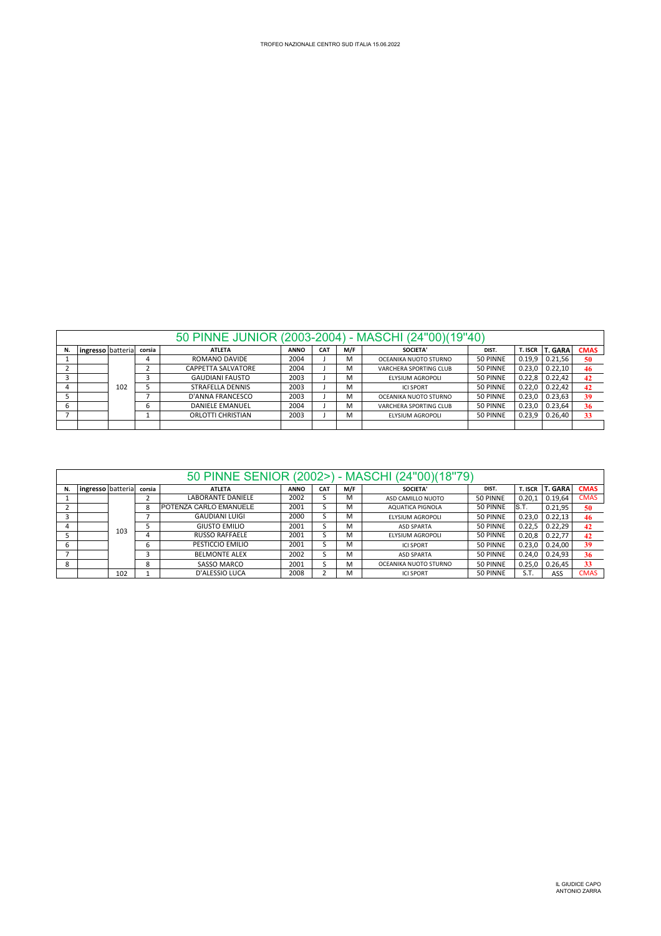| 50 PINNE JUNIOR (2003-2004) - MASCHI (24"00)(19"40) |  |
|-----------------------------------------------------|--|

| ingresso batteria |     | corsia | <b>ATLETA</b>           | <b>ANNO</b> | <b>CAT</b> | M/F | SOCIETA'               | DIST.    | T. ISCR | l T. GARA | <b>CMAS</b> |
|-------------------|-----|--------|-------------------------|-------------|------------|-----|------------------------|----------|---------|-----------|-------------|
|                   |     |        | ROMANO DAVIDE           | 2004        |            | M   | OCEANIKA NUOTO STURNO  | 50 PINNE | 0.19.9  | 0.21.56   | 50          |
|                   |     |        | CAPPETTA SALVATORE      | 2004        |            | M   | VARCHERA SPORTING CLUB | 50 PINNE | 0.23.0  | 0.22.10   | -46         |
|                   |     |        | <b>GAUDIANI FAUSTO</b>  | 2003        |            | M   | ELYSIUM AGROPOLI       | 50 PINNE | 0.22.8  | 0.22,42   | 42          |
|                   | 102 |        | <b>STRAFELLA DENNIS</b> | 2003        |            | M   | <b>ICI SPORT</b>       | 50 PINNE | 0.22,0  | 0.22,42   | 42          |
|                   |     |        | D'ANNA FRANCESCO        | 2003        |            | м   | OCEANIKA NUOTO STURNO  | 50 PINNE | 0.23.0  | 0.23.63   | 39          |
|                   |     | b      | <b>DANIELE EMANUEL</b>  | 2004        |            | M   | VARCHERA SPORTING CLUB | 50 PINNE | 0.23.0  | 0.23.64   | 36          |
|                   |     |        | ORLOTTI CHRISTIAN       | 2003        |            | M   | ELYSIUM AGROPOLI       | 50 PINNE | 0.23.9  | 0.26,40   | 33          |
|                   |     |        |                         |             |            |     |                        |          |         |           |             |

|    |                   |     |        | 50 PINNE SENIOR (2002>)  |             |            | ٠   | MASCHI (24"00)(18"79) |          |         |                |             |
|----|-------------------|-----|--------|--------------------------|-------------|------------|-----|-----------------------|----------|---------|----------------|-------------|
| N. | ingresso batteria |     | corsia | <b>ATLETA</b>            | <b>ANNO</b> | <b>CAT</b> | M/F | SOCIETA'              | DIST.    | T. ISCR | <b>T. GARA</b> | <b>CMAS</b> |
|    |                   |     |        | <b>LABORANTE DANIELE</b> | 2002        |            | м   | ASD CAMILLO NUOTO     | 50 PINNE | 0.20.1  | 0.19,64        | <b>CMAS</b> |
|    |                   |     | 8      | POTENZA CARLO EMANUELE   | 2001        |            | м   | AQUATICA PIGNOLA      | 50 PINNE | IS.T.   | 0.21,95        | 50          |
|    |                   |     |        | <b>GAUDIANI LUIGI</b>    | 2000        |            | M   | ELYSIUM AGROPOLI      | 50 PINNE | 0.23.0  | 0.22, 13       | 46          |
|    |                   | 103 |        | <b>GIUSTO EMILIO</b>     | 2001        |            | м   | <b>ASD SPARTA</b>     | 50 PINNE | 0.22.5  | 0.22,29        | 42          |
|    |                   |     |        | <b>RUSSO RAFFAELE</b>    | 2001        |            | м   | ELYSIUM AGROPOLI      | 50 PINNE | 0.20.8  | 0.22.77        | 42          |
| h  |                   |     | 6      | PESTICCIO EMILIO         | 2001        |            | м   | <b>ICLSPORT</b>       | 50 PINNE | 0.23.0  | 0.24,00        | 39          |
|    |                   |     |        | <b>BELMONTE ALEX</b>     | 2002        |            | M   | <b>ASD SPARTA</b>     | 50 PINNE | 0.24.0  | 0.24,93        | 36          |
| 8  |                   |     | 8      | <b>SASSO MARCO</b>       | 2001        |            | м   | OCEANIKA NUOTO STURNO | 50 PINNE | 0.25.0  | 0.26,45        | 33          |
|    |                   | 102 |        | D'ALESSIO LUCA           | 2008        |            | M   | <b>ICI SPORT</b>      | 50 PINNE | S.T.    | ASS            | <b>CMAS</b> |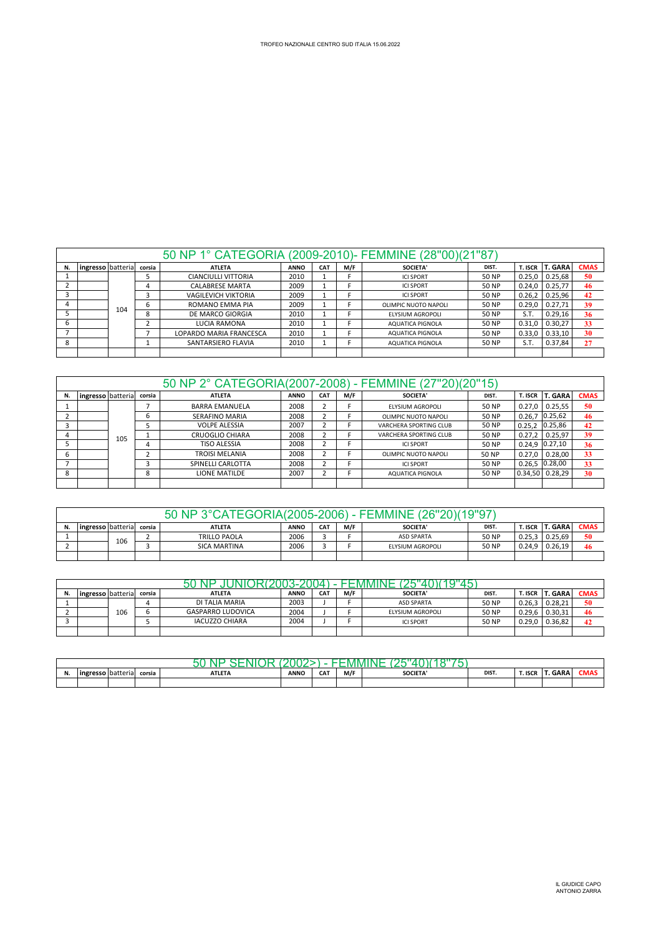|    |                   |     |        | 50 NP 1° CATEGORIA (2009-2010)- FEMMINE (28"00)(21"87" |             |            |     |                      |              |         |                |             |
|----|-------------------|-----|--------|--------------------------------------------------------|-------------|------------|-----|----------------------|--------------|---------|----------------|-------------|
| N. | ingresso batteria |     | corsia | <b>ATLETA</b>                                          | <b>ANNO</b> | <b>CAT</b> | M/F | <b>SOCIETA'</b>      | DIST.        | T. ISCR | <b>T. GARA</b> | <b>CMAS</b> |
|    |                   |     |        | <b>CIANCIULLI VITTORIA</b>                             | 2010        |            |     | <b>ICI SPORT</b>     | 50 NP        | 0.25,0  | 0.25,68        | 50          |
|    |                   |     | 4      | <b>CALABRESE MARTA</b>                                 | 2009        |            |     | <b>ICI SPORT</b>     | 50 NP        | 0.24.0  | 0.25,77        | 46          |
|    |                   |     |        | <b>VAGILEVICH VIKTORIA</b>                             | 2009        |            |     | <b>ICI SPORT</b>     | <b>50 NP</b> | 0.26.2  | 0.25,96        | 42          |
|    |                   | 104 | ь      | ROMANO EMMA PIA                                        | 2009        |            |     | OLIMPIC NUOTO NAPOLI | <b>50 NP</b> | 0.29.0  | 0.27.71        | 39          |
|    |                   |     | 8      | DE MARCO GIORGIA                                       | 2010        |            |     | ELYSIUM AGROPOLI     | <b>50 NP</b> | S.T.    | 0.29,16        | 36          |
| ь  |                   |     |        | LUCIA RAMONA                                           | 2010        |            |     | AQUATICA PIGNOLA     | 50 NP        | 0.31.0  | 0.30.27        | 33          |
|    |                   |     |        | LOPARDO MARIA FRANCESCA                                | 2010        |            |     | AQUATICA PIGNOLA     | 50 NP        | 0.33,0  | 0.33, 10       | 30          |
| 8  |                   |     |        | SANTARSIERO FLAVIA                                     | 2010        |            |     | AQUATICA PIGNOLA     | <b>50 NP</b> | S.T.    | 0.37,84        | 27          |
|    |                   |     |        |                                                        |             |            |     |                      |              |         |                |             |

|    |                   |     |        | 50 NP 2° CATEGORIA(2007-2008) - FEMMINE (27"20)(20"15) |             |            |     |                        |              |         |                  |             |
|----|-------------------|-----|--------|--------------------------------------------------------|-------------|------------|-----|------------------------|--------------|---------|------------------|-------------|
| N. | ingresso batteria |     | corsia | <b>ATLETA</b>                                          | <b>ANNO</b> | <b>CAT</b> | M/F | <b>SOCIETA'</b>        | DIST.        | T. ISCR | <b>T. GARA</b>   | <b>CMAS</b> |
|    |                   |     |        | <b>BARRA EMANUELA</b>                                  | 2008        | ∠          |     | ELYSIUM AGROPOLI       | <b>50 NP</b> | 0.27.0  | 0.25,55          | 50          |
|    |                   |     |        | <b>SERAFINO MARIA</b>                                  | 2008        |            |     | OLIMPIC NUOTO NAPOLI   | 50 NP        | 0.26.7  | 0.25,62          | 46          |
|    |                   |     |        | <b>VOLPE ALESSIA</b>                                   | 2007        |            |     | VARCHERA SPORTING CLUB | 50 NP        | 0.25.2  | 0.25,86          | 42          |
|    |                   | 105 |        | <b>CRUOGLIO CHIARA</b>                                 | 2008        |            |     | VARCHERA SPORTING CLUB | 50 NP        | 0.27.2  | 0.25,97          | 39          |
|    |                   |     |        | <b>TISO ALESSIA</b>                                    | 2008        | {          |     | <b>ICI SPORT</b>       | 50 NP        |         | $0.24,9$ 0.27,10 | 36          |
|    |                   |     |        | <b>TROISI MELANIA</b>                                  | 2008        |            |     | OLIMPIC NUOTO NAPOLI   | 50 NP        | 0.27.0  | 0.28,00          | 33          |
|    |                   |     |        | SPINELLI CARLOTTA                                      | 2008        |            |     | <b>ICI SPORT</b>       | 50 NP        |         | $0.26,5$ 0.28,00 | 33          |
|    |                   |     | o      | LIONE MATILDE                                          | 2007        |            |     | AQUATICA PIGNOLA       | 50 NP        | 0.34,50 | 0.28,29          | 30          |
|    |                   |     |        |                                                        |             |            |     |                        |              |         |                  |             |

| 2006<br>50 NI             |     |  |                     |             |            |     |                   |              |         |                |             |  |
|---------------------------|-----|--|---------------------|-------------|------------|-----|-------------------|--------------|---------|----------------|-------------|--|
| ingresso batterial corsia |     |  | <b>ATLETA</b>       | <b>ANNO</b> | <b>CAT</b> | M/F | <b>SOCIETA'</b>   | DIST.        | T. ISCR | <b>T. GARA</b> | <b>CMAS</b> |  |
|                           | 106 |  | <b>TRILLO PAOLA</b> | 2006        |            |     | <b>ASD SPARTA</b> | <b>50 NP</b> | 0.25.3  | 0.25.69        | 50          |  |
|                           |     |  | <b>SICA MARTINA</b> | 2006        |            |     | ELYSIUM AGROPOLI  | <b>50 NP</b> | 0.24.9  | 0.26.19        | 46          |  |
|                           |     |  |                     |             |            |     |                   |              |         |                |             |  |

| 50 NP JUNIOR(2003-2004) - FEMMINE (25"40)(19"45) |  |  |  |
|--------------------------------------------------|--|--|--|
|                                                  |  |  |  |
|                                                  |  |  |  |

 $\Gamma$ 

|    |                    |     |        | ----                     |             |                 |     | .<br>.            | _____ |                |         |             |
|----|--------------------|-----|--------|--------------------------|-------------|-----------------|-----|-------------------|-------|----------------|---------|-------------|
| N. | lingresso batteria |     | corsia | <b>ATLETA</b>            | <b>ANNO</b> | CA <sub>1</sub> | M/F | <b>SOCIETA'</b>   | DIST. | <b>T. ISCR</b> | T. GARA | <b>CMAS</b> |
|    |                    |     |        | DI TALIA MARIA           | 2003        |                 |     | <b>ASD SPARTA</b> | 50 NP | 0.26.3         | 0.28.21 | 50          |
|    |                    | 106 |        | <b>GASPARRO LUDOVICA</b> | 2004        |                 |     | ELYSIUM AGROPOLI  | 50 NP | 0.29.6         | 0.30.31 | 46          |
|    |                    |     |        | <b>IACUZZO CHIARA</b>    | 2004        |                 |     | <b>ICI SPORT</b>  | 50 NP | 0.29.0         | 0.36.82 | 42          |
|    |                    |     |        |                          |             |                 |     |                   |       |                |         |             |

| . | <b>Ingr</b><br>esso | . I batteria l | corsia | <b>ATLETA</b> | <b>ANNO</b><br>_____ | <b>CAT</b> | M/F | <b>SOCIETA</b> | DIST. | T. ISCR | GARA | LIVIAS |
|---|---------------------|----------------|--------|---------------|----------------------|------------|-----|----------------|-------|---------|------|--------|
|   |                     |                |        |               |                      |            |     |                |       |         |      |        |

٦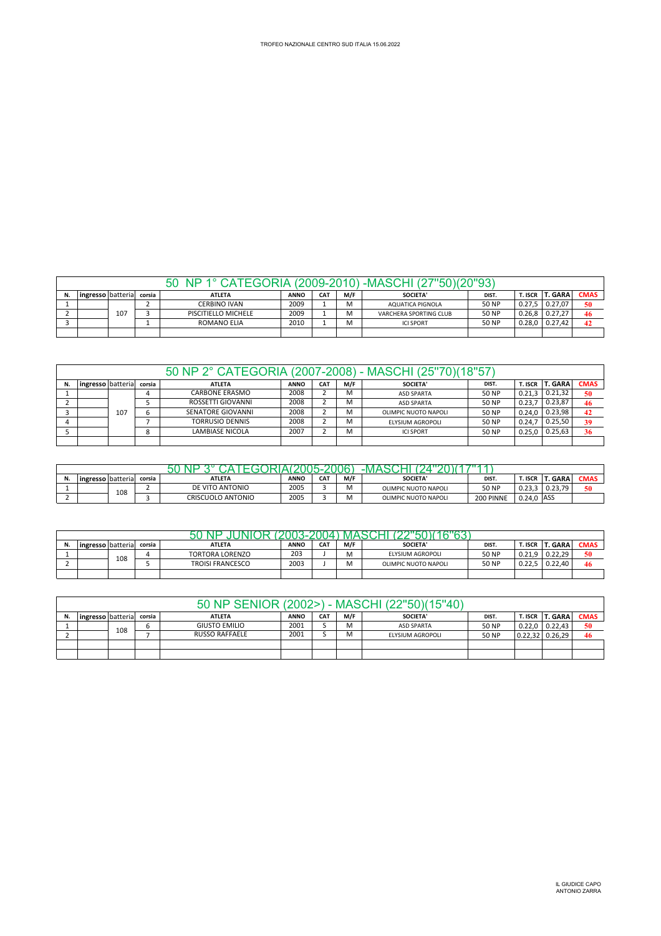|                                                                                                                                                           |  |     |  | TEGORIA (2009-2010)<br>40 |      |  |   | , -MASCH'              |              |        |                  |    |
|-----------------------------------------------------------------------------------------------------------------------------------------------------------|--|-----|--|---------------------------|------|--|---|------------------------|--------------|--------|------------------|----|
| M/F<br><b>T. GARA</b><br><b>CMAS</b><br>SOCIETA'<br><b>CAT</b><br>T. ISCR  <br><b>ANNO</b><br>ingresso batteria<br><b>ATLETA</b><br>N.<br>DIST.<br>corsia |  |     |  |                           |      |  |   |                        |              |        |                  |    |
|                                                                                                                                                           |  |     |  | CERBINO IVAN              | 2009 |  | M | AQUATICA PIGNOLA       | <b>50 NP</b> |        | $0.27.5$ 0.27.07 | 50 |
|                                                                                                                                                           |  | 107 |  | PISCITIELLO MICHELE       | 2009 |  | M | VARCHERA SPORTING CLUB | <b>50 NP</b> | 0.26.8 | 0.27,27          | 46 |
|                                                                                                                                                           |  |     |  | <b>ROMANO ELIA</b>        | 2010 |  | M | <b>ICI SPORT</b>       | <b>50 NP</b> | 0.28.0 | 0.27.42          | 42 |
|                                                                                                                                                           |  |     |  |                           |      |  |   |                        |              |        |                  |    |

|                                                                                                                                                                            |  |     |  | 50 NP 2° CATEGORIA (2007-2008) - MASCHI (25"70)(18"57" |      |  |   |                      |       |        |         |    |  |
|----------------------------------------------------------------------------------------------------------------------------------------------------------------------------|--|-----|--|--------------------------------------------------------|------|--|---|----------------------|-------|--------|---------|----|--|
| <b>T. GARA</b><br>M/F<br><b>CMAS</b><br>ingresso batteria<br>CA <sub>1</sub><br><b>SOCIETA'</b><br><b>T. ISCR</b><br>corsia<br><b>ATLETA</b><br><b>ANNO</b><br>N.<br>DIST. |  |     |  |                                                        |      |  |   |                      |       |        |         |    |  |
|                                                                                                                                                                            |  |     |  | <b>CARBONE ERASMO</b>                                  | 2008 |  | м | <b>ASD SPARTA</b>    | 50 NP | 0.21.3 | 0.21.32 | 50 |  |
|                                                                                                                                                                            |  |     |  | ROSSETTI GIOVANNI                                      | 2008 |  | M | <b>ASD SPARTA</b>    | 50 NP | 0.23.7 | 0.23,87 | 46 |  |
|                                                                                                                                                                            |  | 107 |  | SENATORE GIOVANNI                                      | 2008 |  | M | OLIMPIC NUOTO NAPOLI | 50 NP | 0.24.0 | 0.23.98 | 42 |  |
|                                                                                                                                                                            |  |     |  | <b>TORRUSIO DENNIS</b>                                 | 2008 |  | M | ELYSIUM AGROPOLI     | 50 NP | 0.24.7 | 0.25.50 | 39 |  |
|                                                                                                                                                                            |  |     |  | <b>LAMBIASE NICOLA</b>                                 | 2007 |  | M | <b>ICI SPORT</b>     | 50 NP | 0.25.0 | 0.25.63 | 36 |  |
|                                                                                                                                                                            |  |     |  |                                                        |      |  |   |                      |       |        |         |    |  |

|    | - IV/I               |     |        |                   |             |                 |     |                      |           |                      |               |       |  |  |
|----|----------------------|-----|--------|-------------------|-------------|-----------------|-----|----------------------|-----------|----------------------|---------------|-------|--|--|
| N. | lingresso I batteria |     | corsia | <b>ATLETA</b>     | <b>ANNO</b> | CA <sub>1</sub> | M/F | <b>SOCIETA'</b>      | DIST.     | <b>T. ISCR</b>       | <b>GARA</b>   | ∵ิMAS |  |  |
|    |                      | 108 |        | DE VITO ANTONIO   | 2005        |                 |     | OLIMPIC NUOTO NAPOLI | 50 NP     | ່າາ<br><b>0.20.0</b> | <b>0.43.7</b> | 50    |  |  |
|    |                      |     |        | CRISCUOLO ANTONIO | 2005        |                 |     | OLIMPIC NUOTO NAPOLI | 200 PINNE | 0.24.0               | <b>ASS</b>    |       |  |  |

| N. | ingresso batteria |     | corsia | <b>ATLETA</b>           | <b>ANNO</b> | <b>CAT</b> | M/F | <b>SOCIETA'</b>      | DIST. | $T$ ISCR $\mathsf{L}$ | T. GARA | <b>CMAS</b> |  |  |  |
|----|-------------------|-----|--------|-------------------------|-------------|------------|-----|----------------------|-------|-----------------------|---------|-------------|--|--|--|
|    |                   | 108 |        | <b>TORTORA LORENZO</b>  | 203         |            | M   | ELYSIUM AGROPOLI     | 50 NP | 0.21.9                | 0.22.29 | 50          |  |  |  |
|    |                   |     |        | <b>TROISI FRANCESCO</b> | 2003        |            | M   | OLIMPIC NUOTO NAPOLI | 50 NP | 0.22.5                | 0.22.40 | 46          |  |  |  |
|    |                   |     |        |                         |             |            |     |                      |       |                       |         |             |  |  |  |

|    |                   |     |        |                       |             |                 |     | 50 NP SENIOR (2002>) - MASCHI (22"50)(15"40) |              |                                       |             |
|----|-------------------|-----|--------|-----------------------|-------------|-----------------|-----|----------------------------------------------|--------------|---------------------------------------|-------------|
| N. | ingresso batteria |     | corsia | <b>ATLETA</b>         | <b>ANNO</b> | CA <sub>1</sub> | M/F | <b>SOCIETA'</b>                              | DIST.        | T. ISCR T. GARA                       | <b>CMAS</b> |
|    |                   | 108 |        | <b>GIUSTO EMILIO</b>  | 2001        |                 | м   | <b>ASD SPARTA</b>                            | 50 NP        | $0.22.0$ 0.22.43                      | 50          |
|    |                   |     |        | <b>RUSSO RAFFAELE</b> | 2001        |                 | M   | ELYSIUM AGROPOLI                             | <b>50 NP</b> | $\vert 0.22, 32 \vert 0.26, 29 \vert$ | 46          |
|    |                   |     |        |                       |             |                 |     |                                              |              |                                       |             |
|    |                   |     |        |                       |             |                 |     |                                              |              |                                       |             |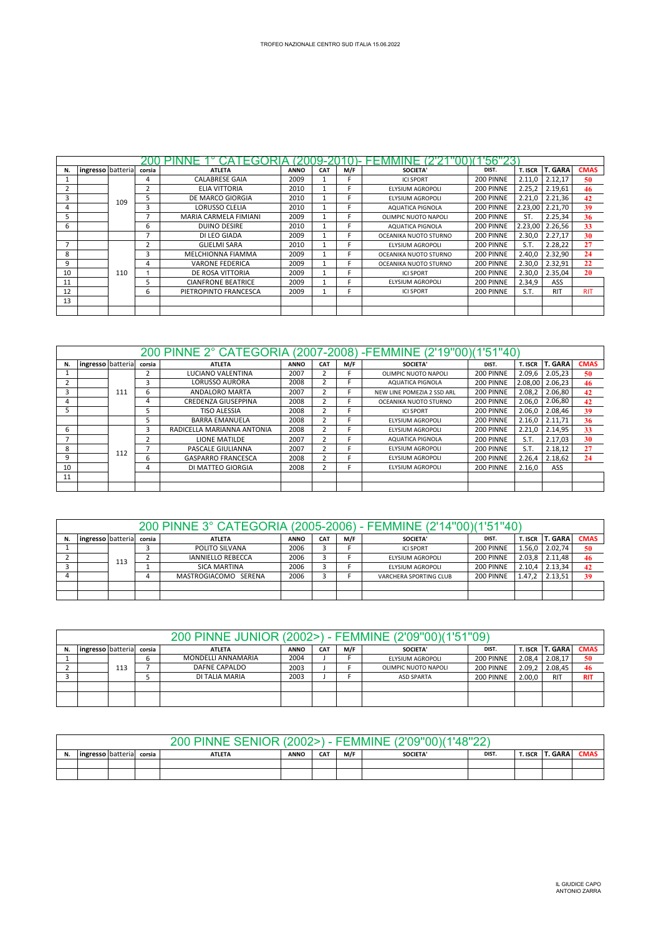| N. | ingresso batteria |     | corsia                  | <b>ATLETA</b>             | <b>ANNO</b> | <b>CAT</b> | M/F | <b>SOCIETA'</b>         | DIST.     | T. ISCR | T. GARA    | <b>CMAS</b> |
|----|-------------------|-----|-------------------------|---------------------------|-------------|------------|-----|-------------------------|-----------|---------|------------|-------------|
|    |                   |     | 4                       | <b>CALABRESE GAIA</b>     | 2009        |            |     | <b>ICI SPORT</b>        | 200 PINNE | 2.11,0  | 2.12,17    | 50          |
|    |                   |     | $\overline{\mathbf{c}}$ | ELIA VITTORIA             | 2010        |            |     | <b>ELYSIUM AGROPOLI</b> | 200 PINNE | 2.25,2  | 2.19,61    | 46          |
|    |                   | 109 | 5                       | DE MARCO GIORGIA          | 2010        |            |     | ELYSIUM AGROPOLI        | 200 PINNE | 2.21,0  | 2.21,36    | 42          |
| 4  |                   |     | 3                       | LORUSSO CLELIA            | 2010        |            |     | <b>AQUATICA PIGNOLA</b> | 200 PINNE | 2.23,00 | 2.21,70    | 39          |
|    |                   |     | ÷,                      | MARIA CARMELA FIMIANI     | 2009        |            |     | OLIMPIC NUOTO NAPOLI    | 200 PINNE | ST.     | 2.25,34    | 36          |
| 6  |                   |     | 6                       | <b>DUINO DESIRE</b>       | 2010        |            |     | <b>AQUATICA PIGNOLA</b> | 200 PINNE | 2.23,00 | 2.26,56    | 33          |
|    |                   |     | $\overline{ }$          | DI LEO GIADA              | 2009        |            |     | OCEANIKA NUOTO STURNO   | 200 PINNE | 2.30,0  | 2.27,17    | 30          |
|    |                   |     | 2                       | <b>GLIELMI SARA</b>       | 2010        |            |     | ELYSIUM AGROPOLI        | 200 PINNE | S.T.    | 2.28.22    | 27          |
| 8  |                   |     | ς                       | MELCHIONNA FIAMMA         | 2009        |            |     | OCEANIKA NUOTO STURNO   | 200 PINNE | 2.40.0  | 2.32,90    | 24          |
| 9  |                   |     | 4                       | <b>VARONE FEDERICA</b>    | 2009        |            |     | OCEANIKA NUOTO STURNO   | 200 PINNE | 2.30,0  | 2.32,91    | 22          |
| 10 |                   | 110 |                         | DE ROSA VITTORIA          | 2009        |            |     | <b>ICI SPORT</b>        | 200 PINNE | 2.30,0  | 2.35,04    | 20          |
| 11 |                   |     | 5                       | <b>CIANFRONE BEATRICE</b> | 2009        |            |     | ELYSIUM AGROPOLI        | 200 PINNE | 2.34.9  | ASS        |             |
| 12 |                   |     | 6                       | PIETROPINTO FRANCESCA     | 2009        |            |     | <b>ICI SPORT</b>        | 200 PINNE | S.T.    | <b>RIT</b> | <b>RIT</b>  |
| 13 |                   |     |                         |                           |             |            |     |                         |           |         |            |             |
|    |                   |     |                         |                           |             |            |     |                         |           |         |            |             |

|    |                   |     |        | 200 PINNE 2° CATEGORIA (2007-2008) - FEMMINE (2'19"00) (1'51"40) |             |                |     |                            |           |         |                 |             |
|----|-------------------|-----|--------|------------------------------------------------------------------|-------------|----------------|-----|----------------------------|-----------|---------|-----------------|-------------|
| N. | ingresso batteria |     | corsia | <b>ATLETA</b>                                                    | <b>ANNO</b> | <b>CAT</b>     | M/F | <b>SOCIETA'</b>            | DIST.     | T. ISCR | <b>T. GARA</b>  | <b>CMAS</b> |
|    |                   |     |        | LUCIANO VALENTINA                                                | 2007        |                |     | OLIMPIC NUOTO NAPOLI       | 200 PINNE | 2.09,6  | 2.05,23         | 50          |
|    |                   |     |        | <b>LORUSSO AURORA</b>                                            | 2008        |                |     | <b>AQUATICA PIGNOLA</b>    | 200 PINNE |         | 2.08,00 2.06,23 | 46          |
|    |                   | 111 | 6      | <b>ANDALORO MARTA</b>                                            | 2007        | $\overline{2}$ |     | NEW LINE POMEZIA 2 SSD ARL | 200 PINNE | 2.08,2  | 2.06,80         | 42          |
|    |                   |     | 4      | CREDENZA GIUSEPPINA                                              | 2008        |                |     | OCEANIKA NUOTO STURNO      | 200 PINNE | 2.06.0  | 2.06,80         | 42          |
|    |                   |     |        | <b>TISO ALESSIA</b>                                              | 2008        | $\overline{2}$ |     | <b>ICI SPORT</b>           | 200 PINNE | 2.06.0  | 2.08.46         | 39          |
|    |                   |     |        | <b>BARRA EMANUELA</b>                                            | 2008        | h              |     | <b>ELYSIUM AGROPOLI</b>    | 200 PINNE | 2.16,0  | 2.11.71         | 36          |
| 6  |                   |     | 3      | RADICELLA MARIANNA ANTONIA                                       | 2008        | 2              |     | ELYSIUM AGROPOLI           | 200 PINNE | 2.21,0  | 2.14,95         | 33          |
|    |                   |     |        | LIONE MATILDE                                                    | 2007        | 2              |     | AQUATICA PIGNOLA           | 200 PINNE | S.T.    | 2.17,03         | 30          |
| 8  |                   | 112 |        | PASCALE GIULIANNA                                                | 2007        |                |     | ELYSIUM AGROPOLI           | 200 PINNE | S.T.    | 2.18,12         | 27          |
| 9  |                   |     | b      | <b>GASPARRO FRANCESCA</b>                                        | 2008        | $\overline{2}$ |     | ELYSIUM AGROPOLI           | 200 PINNE | 2.26,4  | 2.18,62         | 24          |
| 10 |                   |     | 4      | DI MATTEO GIORGIA                                                | 2008        |                |     | ELYSIUM AGROPOLI           | 200 PINNE | 2.16,0  | ASS             |             |
| 11 |                   |     |        |                                                                  |             |                |     |                            |           |         |                 |             |
|    |                   |     |        |                                                                  |             |                |     |                            |           |         |                 |             |

|                                                                                                                                         |     |  | 200 PINNE 3° CATEGORIA (2005-2006) - FEMMINE (2'14"00)(1'51"40) |      |  |  |                        |           |        |         |    |  |  |
|-----------------------------------------------------------------------------------------------------------------------------------------|-----|--|-----------------------------------------------------------------|------|--|--|------------------------|-----------|--------|---------|----|--|--|
| <b>CMAS</b><br>T. ISCR T. GARA<br>M/F<br><b>CAT</b><br><b>ANNO</b><br>SOCIETA'<br>corsia<br><b>ATLETA</b><br>ingresso batteria<br>DIST. |     |  |                                                                 |      |  |  |                        |           |        |         |    |  |  |
|                                                                                                                                         |     |  | POLITO SILVANA                                                  | 2006 |  |  | <b>ICI SPORT</b>       | 200 PINNE | 1.56,0 | 2.02.74 | 50 |  |  |
|                                                                                                                                         | 113 |  | <b>IANNIELLO REBECCA</b>                                        | 2006 |  |  | ELYSIUM AGROPOLI       | 200 PINNE | 2.03.8 | 2.11,48 | 46 |  |  |
|                                                                                                                                         |     |  | SICA MARTINA                                                    | 2006 |  |  | ELYSIUM AGROPOLI       | 200 PINNE | 2.10.4 | 2.13.34 | 42 |  |  |
|                                                                                                                                         |     |  | MASTROGIACOMO SERENA                                            | 2006 |  |  | VARCHERA SPORTING CLUB | 200 PINNE | 1.47.2 | 2.13,51 | 39 |  |  |
|                                                                                                                                         |     |  |                                                                 |      |  |  |                        |           |        |         |    |  |  |
|                                                                                                                                         |     |  |                                                                 |      |  |  |                        |           |        |         |    |  |  |

|                                                                                                                                                   |     |  | 200 PINNE JUNIOR (2002>) - FEMMINE (2'09"00)(1'51"09) |      |  |  |                      |           |        |            |            |
|---------------------------------------------------------------------------------------------------------------------------------------------------|-----|--|-------------------------------------------------------|------|--|--|----------------------|-----------|--------|------------|------------|
| <b>T. GARA</b><br>M/F<br><b>CMAS</b><br>ingresso batteria<br><b>CAT</b><br>SOCIETA'<br>T. ISCR<br><b>ATLETA</b><br><b>ANNO</b><br>corsia<br>DIST. |     |  |                                                       |      |  |  |                      |           |        |            |            |
|                                                                                                                                                   |     |  | MONDELLI ANNAMARIA                                    | 2004 |  |  | ELYSIUM AGROPOLI     | 200 PINNE | 2.08,4 | 2.08.17    | 50         |
|                                                                                                                                                   | 113 |  | DAFNE CAPALDO                                         | 2003 |  |  | OLIMPIC NUOTO NAPOLI | 200 PINNE | 2.09,2 | 2.08,45    | 46         |
|                                                                                                                                                   |     |  | DI TALIA MARIA                                        | 2003 |  |  | <b>ASD SPARTA</b>    | 200 PINNE | 2.00.0 | <b>RIT</b> | <b>RIT</b> |
|                                                                                                                                                   |     |  |                                                       |      |  |  |                      |           |        |            |            |
|                                                                                                                                                   |     |  |                                                       |      |  |  |                      |           |        |            |            |

|    |                                                                                                                                            |  |  | <b>PINNE</b><br><u> 200 - </u><br><b>SENIOR</b> | 2002 | <b>CONTRACTOR</b> |  | (2'09"00)(1'48"22)<br>EEMMINE |  |  |  |  |
|----|--------------------------------------------------------------------------------------------------------------------------------------------|--|--|-------------------------------------------------|------|-------------------|--|-------------------------------|--|--|--|--|
| N. | T. GARA<br>M/F<br><b>CMAS</b><br><b>CAT</b><br>SOCIETA'<br>T. ISCR<br><b>ANNO</b><br><b>ATLETA</b><br>ingresso batteria<br>corsia<br>DIST. |  |  |                                                 |      |                   |  |                               |  |  |  |  |
|    |                                                                                                                                            |  |  |                                                 |      |                   |  |                               |  |  |  |  |
|    |                                                                                                                                            |  |  |                                                 |      |                   |  |                               |  |  |  |  |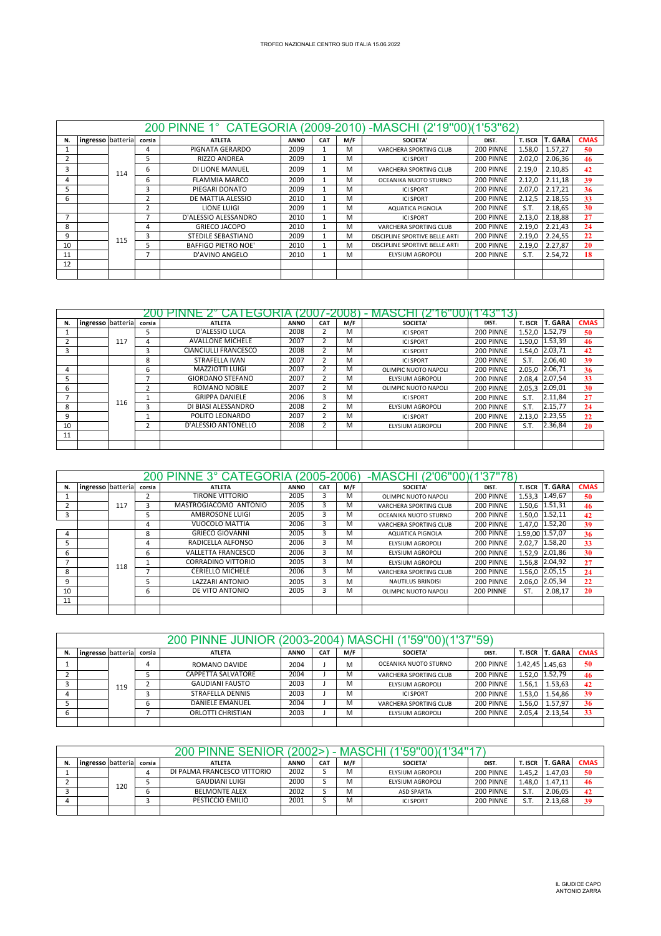|    |                   |     |        | 200 PINNE 1° CATEGORIA (2009-2010) -MASCHI (2'19"00)(1'53"62) |             |            |     |                                |           |         |                |             |
|----|-------------------|-----|--------|---------------------------------------------------------------|-------------|------------|-----|--------------------------------|-----------|---------|----------------|-------------|
| N. | ingresso batteria |     | corsia | <b>ATLETA</b>                                                 | <b>ANNO</b> | <b>CAT</b> | M/F | <b>SOCIETA'</b>                | DIST.     | T. ISCR | <b>T. GARA</b> | <b>CMAS</b> |
|    |                   |     | 4      | PIGNATA GERARDO                                               | 2009        |            | M   | VARCHERA SPORTING CLUB         | 200 PINNE | 1.58,0  | 1.57,27        | 50          |
|    |                   |     | 5      | RIZZO ANDREA                                                  | 2009        |            | M   | <b>ICI SPORT</b>               | 200 PINNE | 2.02,0  | 2.06,36        | 46          |
| 3  |                   | 114 | 6      | DI LIONE MANUEL                                               | 2009        |            | M   | VARCHERA SPORTING CLUB         | 200 PINNE | 2.19,0  | 2.10,85        | 42          |
| 4  |                   |     | 6      | <b>FLAMMIA MARCO</b>                                          | 2009        |            | M   | OCEANIKA NUOTO STURNO          | 200 PINNE | 2.12,0  | 2.11,18        | 39          |
|    |                   |     | з      | PIEGARI DONATO                                                | 2009        |            | M   | <b>ICI SPORT</b>               | 200 PINNE | 2.07.0  | 2.17.21        | 36          |
| 6  |                   |     | 2      | DE MATTIA ALESSIO                                             | 2010        |            | M   | <b>ICI SPORT</b>               | 200 PINNE | 2.12,5  | 2.18,55        | 33          |
|    |                   |     | 2      | LIONE LUIGI                                                   | 2009        |            | M   | AQUATICA PIGNOLA               | 200 PINNE | S.T.    | 2.18.65        | 30          |
|    |                   |     | ÷,     | D'ALESSIO ALESSANDRO                                          | 2010        |            | M   | <b>ICI SPORT</b>               | 200 PINNE | 2.13,0  | 2.18.88        | 27          |
| 8  |                   |     | 4      | <b>GRIECO JACOPO</b>                                          | 2010        |            | M   | VARCHERA SPORTING CLUB         | 200 PINNE | 2.19,0  | 2.21,43        | 24          |
| 9  |                   | 115 | 3      | STEDILE SEBASTIANO                                            | 2009        |            | M   | DISCIPLINE SPORTIVE BELLE ARTI | 200 PINNE | 2.19.0  | 2.24,55        | 22          |
| 10 |                   |     | 5      | <b>BAFFIGO PIETRO NOE'</b>                                    | 2010        |            | M   | DISCIPLINE SPORTIVE BELLE ARTI | 200 PINNE | 2.19,0  | 2.27,87        | 20          |
| 11 |                   |     | E.     | D'AVINO ANGELO                                                | 2010        |            | M   | ELYSIUM AGROPOLI               | 200 PINNE | S.T.    | 2.54,72        | 18          |
| 12 |                   |     |        |                                                               |             |            |     |                                |           |         |                |             |
|    |                   |     |        |                                                               |             |            |     |                                |           |         |                |             |

|    |                   |     |        | пt                          |             |            |     |                      |           |         |                |             |
|----|-------------------|-----|--------|-----------------------------|-------------|------------|-----|----------------------|-----------|---------|----------------|-------------|
| N. | ingresso batteria |     | corsia | <b>ATLETA</b>               | <b>ANNO</b> | <b>CAT</b> | M/F | <b>SOCIETA'</b>      | DIST.     | T. ISCR | <b>T. GARA</b> | <b>CMAS</b> |
|    |                   |     |        | D'ALESSIO LUCA              | 2008        |            | м   | <b>ICI SPORT</b>     | 200 PINNE | 1.52,0  | 1.52,79        | 50          |
|    |                   | 117 |        | <b>AVALLONE MICHELE</b>     | 2007        |            | м   | <b>ICI SPORT</b>     | 200 PINNE | 1.50.0  | 1.53,39        | 46          |
|    |                   |     |        | <b>CIANCIULLI FRANCESCO</b> | 2008        |            | M   | <b>ICI SPORT</b>     | 200 PINNE | 1.54.0  | 2.03,71        | 42          |
|    |                   |     | 8      | STRAFELLA IVAN              | 2007        |            | м   | <b>ICI SPORT</b>     | 200 PINNE | S.T.    | 2.06,40        | 39          |
| 4  |                   |     | 6      | MAZZIOTTI LUIGI             | 2007        |            | м   | OLIMPIC NUOTO NAPOLI | 200 PINNE | 2.05.0  | 2.06,71        | 36          |
|    |                   |     |        | <b>GIORDANO STEFANO</b>     | 2007        |            | м   | ELYSIUM AGROPOLI     | 200 PINNE | 2.08.4  | 2.07,54        | 33          |
| 6  |                   |     |        | <b>ROMANO NOBILE</b>        | 2007        |            | м   | OLIMPIC NUOTO NAPOLI | 200 PINNE | 2.05.3  | 2.09,01        | 30          |
|    |                   |     |        | <b>GRIPPA DANIELE</b>       | 2006        | 3          | м   | <b>ICI SPORT</b>     | 200 PINNE | S.T.    | 2.11,84        | 27          |
| 8  |                   | 116 |        | DI BIASI ALESSANDRO         | 2008        |            | M   | ELYSIUM AGROPOLI     | 200 PINNE | S.T.    | 2.15,77        | 24          |
| q  |                   |     |        | POLITO LEONARDO             | 2007        |            | м   | <b>ICI SPORT</b>     | 200 PINNE | 2.13,0  | 2.23,55        | 22          |
| 10 |                   |     |        | D'ALESSIO ANTONELLO         | 2008        |            | м   | ELYSIUM AGROPOLI     | 200 PINNE | S.T.    | 2.36,84        | 20          |
| 11 |                   |     |        |                             |             |            |     |                      |           |         |                |             |
|    |                   |     |        |                             |             |            |     |                      |           |         |                |             |

|    |                   |     |        | 200 PINNE 3° CATEGORIA (2005-2006) |             |     |     | -MASCHI (2'06"00)(1'37"78) |           |                |                 |             |
|----|-------------------|-----|--------|------------------------------------|-------------|-----|-----|----------------------------|-----------|----------------|-----------------|-------------|
| N. | ingresso batteria |     | corsia | <b>ATLETA</b>                      | <b>ANNO</b> | CAT | M/F | <b>SOCIETA'</b>            | DIST.     | <b>T. ISCR</b> | <b>T. GARA</b>  | <b>CMAS</b> |
|    |                   |     |        | <b>TIRONE VITTORIO</b>             | 2005        | 3   | M   | OLIMPIC NUOTO NAPOLI       | 200 PINNE | 1.53,3         | 1.49,67         | 50          |
|    |                   | 117 | 3      | MASTROGIACOMO ANTONIO              | 2005        | 3   | M   | VARCHERA SPORTING CLUB     | 200 PINNE |                | 1.50,6 1.51,31  | 46          |
| 3  |                   |     | 5      | AMBROSONE LUIGI                    | 2005        | 3   | M   | OCEANIKA NUOTO STURNO      | 200 PINNE |                | 1.50.0 1.52,11  | 42          |
|    |                   |     | 4      | <b>VUOCOLO MATTIA</b>              | 2006        | 3   | M   | VARCHERA SPORTING CLUB     | 200 PINNE | 1.47.0         | 1.52,20         | 39          |
| 4  |                   |     | 8      | <b>GRIECO GIOVANNI</b>             | 2005        | 3   | M   | <b>AQUATICA PIGNOLA</b>    | 200 PINNE |                | 1.59.00 1.57,07 | 36          |
|    |                   |     | 4      | RADICELLA ALFONSO                  | 2006        | 3   | M   | ELYSIUM AGROPOLI           | 200 PINNE | 2.02.7         | 1.58,20         | 33          |
| 6  |                   |     | 6      | <b>VALLETTA FRANCESCO</b>          | 2006        | 3   | M   | ELYSIUM AGROPOLI           | 200 PINNE | 1.52.9         | 2.01,86         | 30          |
|    |                   | 118 |        | <b>CORRADINO VITTORIO</b>          | 2005        | 3   | M   | ELYSIUM AGROPOLI           | 200 PINNE |                | 1.56,8 2.04,92  | 27          |
| 8  |                   |     |        | <b>CERIELLO MICHELE</b>            | 2006        | 3   | M   | VARCHERA SPORTING CLUB     | 200 PINNE | 1.56.0         | 2.05,15         | 24          |
| 9  |                   |     |        | <b>LAZZARI ANTONIO</b>             | 2005        | 3   | M   | <b>NAUTILUS BRINDISI</b>   | 200 PINNE | 2.06.0         | 2.05,34         | 22          |
| 10 |                   |     | 6      | DE VITO ANTONIO                    | 2005        | 3   | M   | OLIMPIC NUOTO NAPOLI       | 200 PINNE | ST.            | 2.08,17         | 20          |
| 11 |                   |     |        |                                    |             |     |     |                            |           |                |                 |             |
|    |                   |     |        |                                    |             |     |     |                            |           |                |                 |             |

|                                                                                                                                                 |  |     |   | 200 PINNE JUNIOR (2003-2004) MASCHI (1'59"00)(1'37"59) |      |  |   |                        |           |        |                   |    |
|-------------------------------------------------------------------------------------------------------------------------------------------------|--|-----|---|--------------------------------------------------------|------|--|---|------------------------|-----------|--------|-------------------|----|
| <b>T. GARA</b><br>ingresso batteria<br>M/F<br>T. ISCR<br>DIST.<br>corsia<br><b>CAT</b><br><b>ANNO</b><br><b>SOCIETA'</b><br><b>ATLETA</b><br>N. |  |     |   |                                                        |      |  |   |                        |           |        | <b>CMAS</b>       |    |
|                                                                                                                                                 |  |     | 4 | ROMANO DAVIDE                                          | 2004 |  | M | OCEANIKA NUOTO STURNO  | 200 PINNE |        | $1.42,45$ 1.45,63 | 50 |
|                                                                                                                                                 |  |     |   | CAPPETTA SALVATORE                                     | 2004 |  | M | VARCHERA SPORTING CLUB | 200 PINNE | 1.52.0 | 1.52,79           | 46 |
|                                                                                                                                                 |  | 119 |   | <b>GAUDIANI FAUSTO</b>                                 | 2003 |  | M | ELYSIUM AGROPOLI       | 200 PINNE | 1.56.1 | 1.53,63           | 42 |
|                                                                                                                                                 |  |     |   | <b>STRAFELLA DENNIS</b>                                | 2003 |  | M | <b>ICLSPORT</b>        | 200 PINNE | 1.53.0 | 1.54.86           | 39 |
|                                                                                                                                                 |  |     | n | <b>DANIELE EMANUEL</b>                                 | 2004 |  | м | VARCHERA SPORTING CLUB | 200 PINNE | 1.56.0 | 1.57.97           | 36 |
|                                                                                                                                                 |  |     |   | ORLOTTI CHRISTIAN                                      | 2003 |  | M | ELYSIUM AGROPOLI       | 200 PINNE | 2.05.4 | 2.13,54           | 33 |
|                                                                                                                                                 |  |     |   |                                                        |      |  |   |                        |           |        |                   |    |

|    |                   |     |        | <b>200 PINNE SENIOF</b>     | 2002        |                 | <b>MASCH</b> | '59" <sup>r</sup> |           |                |                |             |
|----|-------------------|-----|--------|-----------------------------|-------------|-----------------|--------------|-------------------|-----------|----------------|----------------|-------------|
| N. | ingresso batteria |     | corsia | <b>ATLETA</b>               | <b>ANNO</b> | CA <sub>1</sub> | M/F          | <b>SOCIETA'</b>   | DIST.     | <b>T. ISCR</b> | <b>T. GARA</b> | <b>CMAS</b> |
|    |                   |     | 4      | DI PALMA FRANCESCO VITTORIO | 2002        |                 | M            | ELYSIUM AGROPOLI  | 200 PINNE | 1.45.2         | 1.47.03        | 50          |
|    |                   | 120 |        | <b>GAUDIANI LUIGI</b>       | 2000        |                 | M            | ELYSIUM AGROPOLI  | 200 PINNE | 1.48.0         | 1.47.11        | 46          |
|    |                   |     | n      | <b>BELMONTE ALEX</b>        | 2002        |                 | M            | <b>ASD SPARTA</b> | 200 PINNE | S.T            | 2.06.05        | 42          |
|    |                   |     |        | PESTICCIO EMILIO            | 2001        |                 | M            | <b>ICI SPORT</b>  | 200 PINNE | S.T            | 2.13.68        | 39          |
|    |                   |     |        |                             |             |                 |              |                   |           |                |                |             |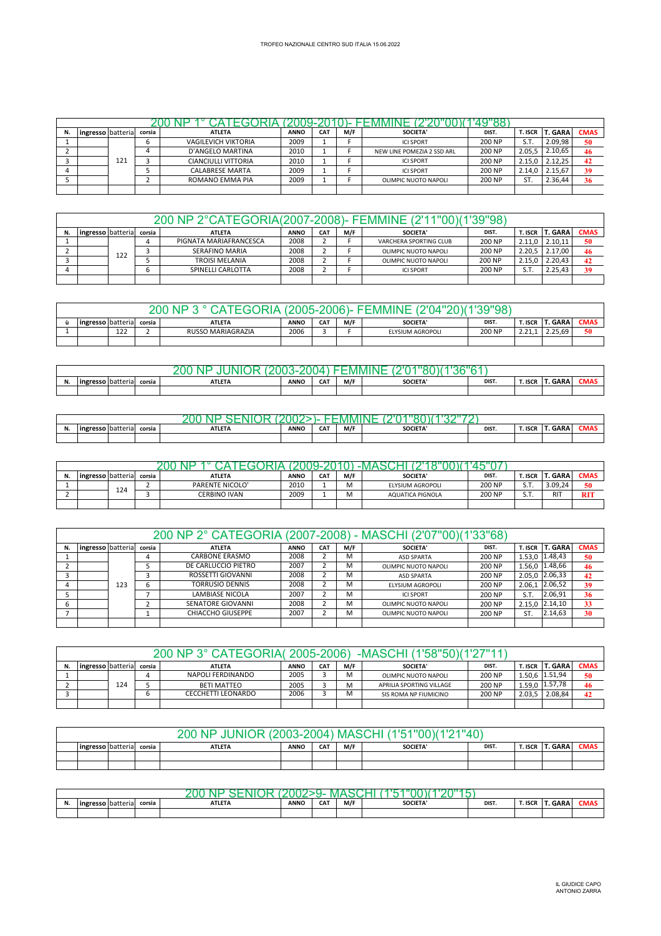| ingresso batteria |     | corsia | <b>ATLETA</b>              | <b>ANNO</b> | CA <sub>7</sub> | M/F | <b>SOCIETA'</b>            | DIST.  | t. Iscr i | <b>T. GARA</b> | <b>CMAS</b> |
|-------------------|-----|--------|----------------------------|-------------|-----------------|-----|----------------------------|--------|-----------|----------------|-------------|
|                   |     |        | <b>VAGILEVICH VIKTORIA</b> | 2009        |                 |     | <b>ICI SPORT</b>           | 200 NP | S.T.      | 2.09.98        | 50          |
|                   |     |        | D'ANGELO MARTINA           | 2010        |                 |     | NEW LINE POMEZIA 2 SSD ARL | 200 NP | 2.05.5    | 2.10.65        | 46          |
|                   | 121 |        | CIANCIULLI VITTORIA        | 2010        |                 |     | <b>ICI SPORT</b>           | 200 NP | 2.15.0    | 2.12.25        | 42          |
|                   |     |        | <b>CALABRESE MARTA</b>     | 2009        |                 |     | <b>ICI SPORT</b>           | 200 NP | 2.14.0    | 2.15.67        | 39          |
|                   |     |        | ROMANO EMMA PIA            | 2009        |                 |     | OLIMPIC NUOTO NAPOLI       | 200 NP | ST.       | 2.36.44        | 36          |
|                   |     |        |                            |             |                 |     |                            |        |           |                |             |

|    |                   |     |        | 200 NP 2°CATEGORIA(2007-2008)- FEMMINE (2'11"00)(1'39"98) |             |            |     |                        |        |         |                |             |
|----|-------------------|-----|--------|-----------------------------------------------------------|-------------|------------|-----|------------------------|--------|---------|----------------|-------------|
| N. | ingresso batteria |     | corsia | <b>ATLETA</b>                                             | <b>ANNO</b> | <b>CAT</b> | M/F | SOCIETA'               | DIST.  | r. ISCR | <b>T. GARA</b> | <b>CMAS</b> |
|    |                   |     |        | PIGNATA MARIAFRANCESCA                                    | 2008        |            |     | VARCHERA SPORTING CLUB | 200 NP | 2.11.0  | 2.10.11        | 50          |
|    |                   | 122 |        | <b>SERAFINO MARIA</b>                                     | 2008        |            |     | OLIMPIC NUOTO NAPOLI   | 200 NP | 2.20.5  | 2.17.00        | 46          |
|    |                   |     |        | <b>TROISI MELANIA</b>                                     | 2008        |            |     | OLIMPIC NUOTO NAPOLI   | 200 NP | 2.15.0  | 2.20.43        | 42          |
|    |                   |     |        | SPINELLI CARLOTTA                                         | 2008        |            |     | <b>ICI SPORT</b>       | 200 NP | S.T.    | 2.25.43        | 39          |
|    |                   |     |        |                                                           |             |            |     |                        |        |         |                |             |

|                                                                                                                                                   |     |  | 'OG               |      |  | -נאמפי | <b>IMAN</b>      | ອດ     |                         |         |    |  |
|---------------------------------------------------------------------------------------------------------------------------------------------------|-----|--|-------------------|------|--|--------|------------------|--------|-------------------------|---------|----|--|
| CMA:<br>. GARA<br><b>lingresso</b> batteria<br>DIST.<br><b>CAT</b><br>M/F<br><b>SOCIETA'</b><br><b>ANNO</b><br>T. ISCR<br><b>ATLETA</b><br>corsia |     |  |                   |      |  |        |                  |        |                         |         |    |  |
|                                                                                                                                                   | 122 |  | RUSSO MARIAGRAZIA | 2006 |  |        | ELYSIUM AGROPOLI | 200 NP | า า า<br><u> 2.21.1</u> | 2.25.69 | 50 |  |
|                                                                                                                                                   |     |  |                   |      |  |        |                  |        |                         |         |    |  |

|                        |          |        | τи            |             |     | • IV/HV/H | .              |       |         |             |     |
|------------------------|----------|--------|---------------|-------------|-----|-----------|----------------|-------|---------|-------------|-----|
| <br><b>Ingresso</b> It | hatteria | corsia | <b>ATLETA</b> | <b>ANNO</b> | CAT | M/F       | <b>SOCIETA</b> | DIST. | T. ISCR | <b>GARA</b> | CMA |
|                        |          |        |               |             |     |           |                |       |         |             |     |

|    |                   |                       |        | M             |             |            |     |                |       |         |         |      |
|----|-------------------|-----------------------|--------|---------------|-------------|------------|-----|----------------|-------|---------|---------|------|
| N. | ingresso batteria | $\sim$ $\sim$<br>ld I | corsia | <b>ATLETA</b> | <b>ANNO</b> | <b>CAT</b> | M/F | <b>SOCIETA</b> | DIST. | T. ISCR | T. GARA | CMA: |
|    |                   |                       |        |               |             |            |     |                |       |         |         |      |

| N. | ingresso batteria |     | corsia | <b>ATLETA</b>          | <b>ANNO</b> | CA7 | M/F        | <b>SOCIETA'</b>  | DIST.  | . ISCR          | GARA       | <b>CMAS</b> |
|----|-------------------|-----|--------|------------------------|-------------|-----|------------|------------------|--------|-----------------|------------|-------------|
|    |                   | 124 |        | <b>PARENTE NICOLO'</b> | 2010        |     | M          | ELYSIUM AGROPOLI | 200 NP | S.T             | 3.09.24    | 50          |
|    |                   |     |        | <b>CERBINO IVAN</b>    | 2009        |     | ٨л<br>ו או | AQUATICA PIGNOLA | 200 NP | $c$ $\tau$<br>. | <b>RIT</b> | <b>RIT</b>  |
|    |                   |     |        |                        |             |     |            |                  |        |                 |            |             |

|    |                   |     |        | 200 NP 2° CATEGORIA (2007-2008) - MASCHI (2'07"00)(1'33"68) |             |            |     |                      |        |         |                |             |
|----|-------------------|-----|--------|-------------------------------------------------------------|-------------|------------|-----|----------------------|--------|---------|----------------|-------------|
| N. | ingresso batteria |     | corsia | <b>ATLETA</b>                                               | <b>ANNO</b> | <b>CAT</b> | M/F | <b>SOCIETA'</b>      | DIST.  | T. ISCR | <b>T. GARA</b> | <b>CMAS</b> |
|    |                   |     | 4      | CARBONE ERASMO                                              | 2008        |            | M   | <b>ASD SPARTA</b>    | 200 NP |         | 1.53,0 1.48,43 | 50          |
|    |                   |     |        | DE CARLUCCIO PIETRO                                         | 2007        |            | M   | OLIMPIC NUOTO NAPOLI | 200 NP |         | 1.56,0 1.48,66 | 46          |
|    |                   |     |        | ROSSETTI GIOVANNI                                           | 2008        |            | M   | <b>ASD SPARTA</b>    | 200 NP |         | 2.05.0 2.06,33 | 42          |
|    |                   | 123 | 6      | <b>TORRUSIO DENNIS</b>                                      | 2008        |            | M   | ELYSIUM AGROPOLI     | 200 NP | 2.06.1  | 2.06,52        | 39          |
|    |                   |     |        | LAMBIASE NICOLA                                             | 2007        |            | M   | <b>ICLSPORT</b>      | 200 NP | S.T.    | 2.06.91        | 36          |
|    |                   |     |        | SENATORE GIOVANNI                                           | 2008        |            | м   | OLIMPIC NUOTO NAPOLI | 200 NP | 2.15.0  | 2.14,10        | 33          |
|    |                   |     |        | <b>CHIACCHO GIUSEPPE</b>                                    | 2007        |            | м   | OLIMPIC NUOTO NAPOLI | 200 NP | ST.     | 2.14,63        | 30          |
|    |                   |     |        |                                                             |             |            |     |                      |        |         |                |             |

|    |                   |     |        | 200 NP 3° CATEGORIA( 2005-2006) |             |                 |     | (1'58"50)(1'27"11<br>-MASCHI |        |                |                |             |
|----|-------------------|-----|--------|---------------------------------|-------------|-----------------|-----|------------------------------|--------|----------------|----------------|-------------|
| N. | ingresso batteria |     | corsia | <b>ATLETA</b>                   | <b>ANNO</b> | CA <sub>1</sub> | M/F | <b>SOCIETA'</b>              | DIST.  | <b>T. ISCR</b> | <b>T. GARA</b> | <b>CMAS</b> |
|    |                   |     |        | NAPOLI FERDINANDO               | 2005        |                 | M   | OLIMPIC NUOTO NAPOLI         | 200 NP |                | 1.50.6 1.51,94 | 50          |
|    |                   | 124 |        | <b>BETI MATTEO</b>              | 2005        |                 | M   | APRILIA SPORTING VILLAGE     | 200 NP |                | 1.59,0 1.57,78 | 46          |
|    |                   |     |        | <b>CECCHETTI LEONARDO</b>       | 2006        |                 | M   | SIS ROMA NP FIUMICINO        | 200 NP | 2.03.5         | 2.08.84        | 42          |
|    |                   |     |        |                                 |             |                 |     |                              |        |                |                |             |

|                          |  | 200<br>OR.<br>. NP<br>. II INK | $(2003 - 2004)$ |            |     | !) MASCHI (1'51"00)(1'21"40) |       |         |                |             |
|--------------------------|--|--------------------------------|-----------------|------------|-----|------------------------------|-------|---------|----------------|-------------|
| ingresso batteria corsia |  | <b>ATLETA</b>                  | <b>ANNO</b>     | <b>CAT</b> | M/F | <b>SOCIETA'</b>              | DIST. | T. ISCR | <b>T. GARA</b> | <b>CMAS</b> |
|                          |  |                                |                 |            |     |                              |       |         |                |             |
|                          |  |                                |                 |            |     |                              |       |         |                |             |

|           |                      |                |        |               |             | v          |     |                |       |         |                       |              |
|-----------|----------------------|----------------|--------|---------------|-------------|------------|-----|----------------|-------|---------|-----------------------|--------------|
| $ -$<br>. | <b>Ingr</b><br>resso | ) I batteria i | corsia | <b>ATLETA</b> | <b>ANNO</b> | <b>CAT</b> | M/F | <b>SOCIETA</b> | DIST. | T. ISCR | $\sim$ $\sim$<br>GAKA | <b>LIVIA</b> |
|           |                      |                |        |               |             |            |     |                |       |         |                       |              |